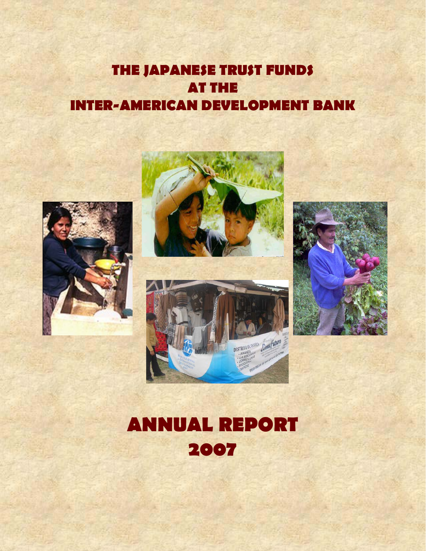# **THE JAPANESE TRUST FUNDS AT THE INTER-AMERICAN DEVELOPMENT BANK**









# **ANNUAL REPORT 2007**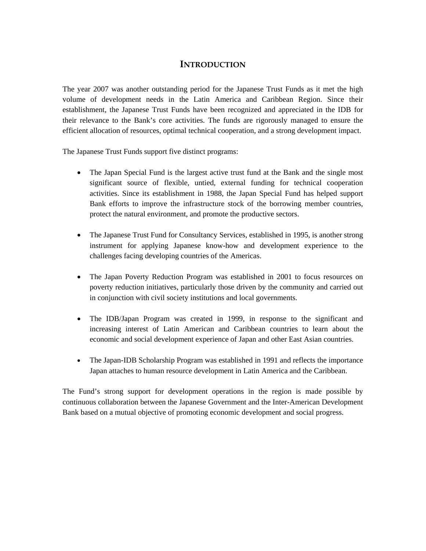# **INTRODUCTION**

The year 2007 was another outstanding period for the Japanese Trust Funds as it met the high volume of development needs in the Latin America and Caribbean Region. Since their establishment, the Japanese Trust Funds have been recognized and appreciated in the IDB for their relevance to the Bank's core activities. The funds are rigorously managed to ensure the efficient allocation of resources, optimal technical cooperation, and a strong development impact.

The Japanese Trust Funds support five distinct programs:

- The Japan Special Fund is the largest active trust fund at the Bank and the single most significant source of flexible, untied, external funding for technical cooperation activities. Since its establishment in 1988, the Japan Special Fund has helped support Bank efforts to improve the infrastructure stock of the borrowing member countries, protect the natural environment, and promote the productive sectors.
- The Japanese Trust Fund for Consultancy Services, established in 1995, is another strong instrument for applying Japanese know-how and development experience to the challenges facing developing countries of the Americas.
- The Japan Poverty Reduction Program was established in 2001 to focus resources on poverty reduction initiatives, particularly those driven by the community and carried out in conjunction with civil society institutions and local governments.
- The IDB/Japan Program was created in 1999, in response to the significant and increasing interest of Latin American and Caribbean countries to learn about the economic and social development experience of Japan and other East Asian countries.
- The Japan-IDB Scholarship Program was established in 1991 and reflects the importance Japan attaches to human resource development in Latin America and the Caribbean.

The Fund's strong support for development operations in the region is made possible by continuous collaboration between the Japanese Government and the Inter-American Development Bank based on a mutual objective of promoting economic development and social progress.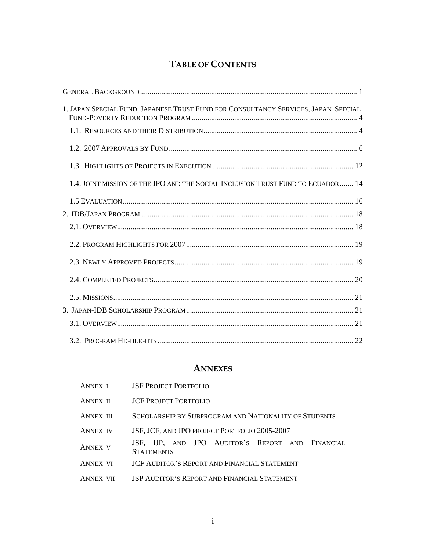# **TABLE OF CONTENTS**

| 1. JAPAN SPECIAL FUND, JAPANESE TRUST FUND FOR CONSULTANCY SERVICES, JAPAN SPECIAL |
|------------------------------------------------------------------------------------|
|                                                                                    |
|                                                                                    |
|                                                                                    |
| 1.4. JOINT MISSION OF THE JPO AND THE SOCIAL INCLUSION TRUST FUND TO ECUADOR  14   |
|                                                                                    |
|                                                                                    |
|                                                                                    |
|                                                                                    |
|                                                                                    |
|                                                                                    |
|                                                                                    |
|                                                                                    |
|                                                                                    |
|                                                                                    |

# **ANNEXES**

| <b>ANNEX I</b>   | <b>JSF PROJECT PORTFOLIO</b>                          |  |  |                                                     |  |  |  |  |  |
|------------------|-------------------------------------------------------|--|--|-----------------------------------------------------|--|--|--|--|--|
| <b>ANNEX II</b>  | <b>ICF PROJECT PORTEOLIO</b>                          |  |  |                                                     |  |  |  |  |  |
| <b>ANNEX III</b> | SCHOLARSHIP BY SUBPROGRAM AND NATIONALITY OF STUDENTS |  |  |                                                     |  |  |  |  |  |
| <b>ANNEX IV</b>  |                                                       |  |  | JSF, JCF, AND JPO PROJECT PORTFOLIO 2005-2007       |  |  |  |  |  |
| <b>ANNEX V</b>   | <b>STATEMENTS</b>                                     |  |  | JSF, IJP, AND JPO AUDITOR'S REPORT AND FINANCIAL    |  |  |  |  |  |
| <b>ANNEX VI</b>  |                                                       |  |  | <b>JCF AUDITOR'S REPORT AND FINANCIAL STATEMENT</b> |  |  |  |  |  |
| <b>ANNEY</b>     |                                                       |  |  | <b>JSP AUDITOR'S REPORT AND FINANCIAL STATEMENT</b> |  |  |  |  |  |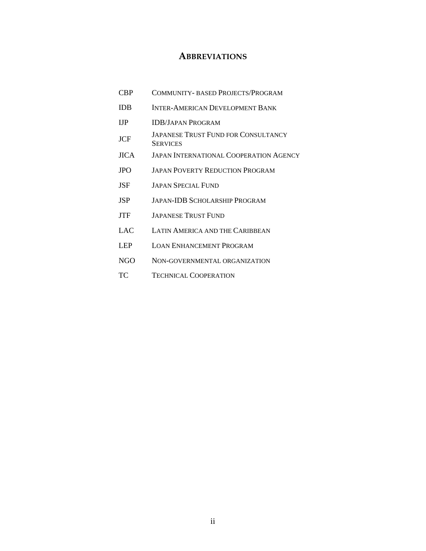# **ABBREVIATIONS**

- CBP COMMUNITY- BASED PROJECTS/PROGRAM
- IDB INTER-AMERICAN DEVELOPMENT BANK
- IJP IDB/JAPAN PROGRAM
- JCF JAPANESE TRUST FUND FOR CONSULTANCY **SERVICES**
- JICA JAPAN INTERNATIONAL COOPERATION AGENCY
- JPO JAPAN POVERTY REDUCTION PROGRAM
- JSF JAPAN SPECIAL FUND
- JSP JAPAN-IDB SCHOLARSHIP PROGRAM
- JTF JAPANESE TRUST FUND
- LAC LATIN AMERICA AND THE CARIBBEAN
- LEP LOAN ENHANCEMENT PROGRAM
- NGO NON-GOVERNMENTAL ORGANIZATION
- TC TECHNICAL COOPERATION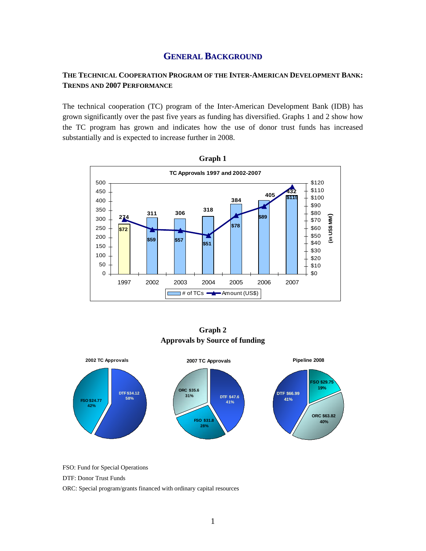# **GENERAL BACKGROUND**

# **THE TECHNICAL COOPERATION PROGRAM OF THE INTER-AMERICAN DEVELOPMENT BANK: TRENDS AND 2007 PERFORMANCE**

The technical cooperation (TC) program of the Inter-American Development Bank (IDB) has grown significantly over the past five years as funding has diversified. Graphs 1 and 2 show how the TC program has grown and indicates how the use of donor trust funds has increased substantially and is expected to increase further in 2008.



**Graph 2 Approvals by Source of funding** 



FSO: Fund for Special Operations

DTF: Donor Trust Funds

ORC: Special program/grants financed with ordinary capital resources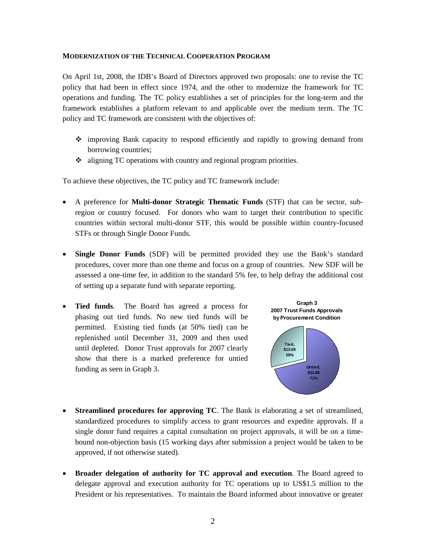#### **MODERNIZATION OF THE TECHNICAL COOPERATION PROGRAM**

On April 1st, 2008, the IDB's Board of Directors approved two proposals: one to revise the TC policy that had been in effect since 1974, and the other to modernize the framework for TC operations and funding. The TC policy establishes a set of principles for the long-term and the framework establishes a platform relevant to and applicable over the medium term. The TC policy and TC framework are consistent with the objectives of:

- improving Bank capacity to respond efficiently and rapidly to growing demand from borrowing countries;
- aligning TC operations with country and regional program priorities.

To achieve these objectives, the TC policy and TC framework include:

- A preference for **Multi-donor Strategic Thematic Funds** (STF) that can be sector, subregion or country focused. For donors who want to target their contribution to specific countries within sectoral multi-donor STF, this would be possible within country-focused STFs or through Single Donor Funds.
- **Single Donor Funds** (SDF) will be permitted provided they use the Bank's standard procedures, cover more than one theme and focus on a group of countries. New SDF will be assessed a one-time fee, in addition to the standard 5% fee, to help defray the additional cost of setting up a separate fund with separate reporting.
- **Tied funds**. The Board has agreed a process for phasing out tied funds. No new tied funds will be permitted. Existing tied funds (at 50% tied) can be replenished until December 31, 2009 and then used until depleted. Donor Trust approvals for 2007 clearly show that there is a marked preference for untied funding as seen in Graph 3.



- **Streamlined procedures for approving TC**. The Bank is elaborating a set of streamlined, standardized procedures to simplify access to grant resources and expedite approvals. If a single donor fund requires a capital consultation on project approvals, it will be on a timebound non-objection basis (15 working days after submission a project would be taken to be approved, if not otherwise stated).
- **Broader delegation of authority for TC approval and execution**. The Board agreed to delegate approval and execution authority for TC operations up to US\$1.5 million to the President or his representatives. To maintain the Board informed about innovative or greater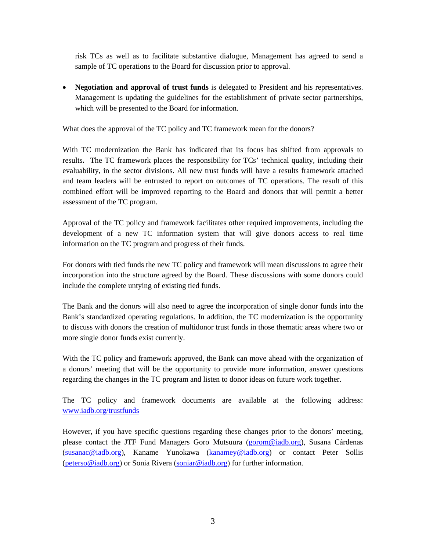risk TCs as well as to facilitate substantive dialogue, Management has agreed to send a sample of TC operations to the Board for discussion prior to approval.

• **Negotiation and approval of trust funds** is delegated to President and his representatives. Management is updating the guidelines for the establishment of private sector partnerships, which will be presented to the Board for information.

What does the approval of the TC policy and TC framework mean for the donors?

With TC modernization the Bank has indicated that its focus has shifted from approvals to results**.** The TC framework places the responsibility for TCs' technical quality, including their evaluability, in the sector divisions. All new trust funds will have a results framework attached and team leaders will be entrusted to report on outcomes of TC operations. The result of this combined effort will be improved reporting to the Board and donors that will permit a better assessment of the TC program.

Approval of the TC policy and framework facilitates other required improvements, including the development of a new TC information system that will give donors access to real time information on the TC program and progress of their funds.

For donors with tied funds the new TC policy and framework will mean discussions to agree their incorporation into the structure agreed by the Board. These discussions with some donors could include the complete untying of existing tied funds.

The Bank and the donors will also need to agree the incorporation of single donor funds into the Bank's standardized operating regulations. In addition, the TC modernization is the opportunity to discuss with donors the creation of multidonor trust funds in those thematic areas where two or more single donor funds exist currently.

With the TC policy and framework approved, the Bank can move ahead with the organization of a donors' meeting that will be the opportunity to provide more information, answer questions regarding the changes in the TC program and listen to donor ideas on future work together.

The TC policy and framework documents are available at the following address: www.iadb.org/trustfunds

However, if you have specific questions regarding these changes prior to the donors' meeting, please contact the JTF Fund Managers Goro Mutsuura (gorom@iadb.org), Susana Cárdenas (susanac@iadb.org), Kaname Yunokawa (kanamey@iadb.org) or contact Peter Sollis (peterso@iadb.org) or Sonia Rivera (soniar@iadb.org) for further information.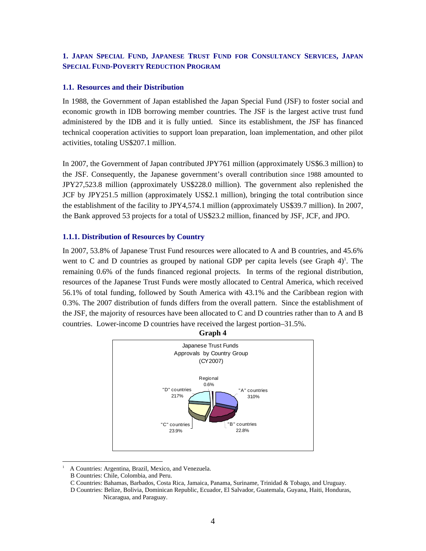# **1. JAPAN SPECIAL FUND, JAPANESE TRUST FUND FOR CONSULTANCY SERVICES, JAPAN SPECIAL FUND-POVERTY REDUCTION PROGRAM**

#### **1.1. Resources and their Distribution**

In 1988, the Government of Japan established the Japan Special Fund (JSF) to foster social and economic growth in IDB borrowing member countries. The JSF is the largest active trust fund administered by the IDB and it is fully untied. Since its establishment, the JSF has financed technical cooperation activities to support loan preparation, loan implementation, and other pilot activities, totaling US\$207.1 million.

In 2007, the Government of Japan contributed JPY761 million (approximately US\$6.3 million) to the JSF. Consequently, the Japanese government's overall contribution since 1988 amounted to JPY27,523.8 million (approximately US\$228.0 million). The government also replenished the JCF by JPY251.5 million (approximately US\$2.1 million), bringing the total contribution since the establishment of the facility to JPY4,574.1 million (approximately US\$39.7 million). In 2007, the Bank approved 53 projects for a total of US\$23.2 million, financed by JSF, JCF, and JPO.

#### **1.1.1. Distribution of Resources by Country**

In 2007, 53.8% of Japanese Trust Fund resources were allocated to A and B countries, and 45.6% went to C and D countries as grouped by national GDP per capita levels (see Graph  $4$ )<sup>1</sup>. The remaining 0.6% of the funds financed regional projects. In terms of the regional distribution, resources of the Japanese Trust Funds were mostly allocated to Central America, which received 56.1% of total funding, followed by South America with 43.1% and the Caribbean region with 0.3%. The 2007 distribution of funds differs from the overall pattern. Since the establishment of the JSF, the majority of resources have been allocated to C and D countries rather than to A and B countries. Lower-income D countries have received the largest portion–31.5%.



A Countries: Argentina, Brazil, Mexico, and Venezuela.

 $\overline{a}$ 1

B Countries: Chile, Colombia, and Peru.

C Countries: Bahamas, Barbados, Costa Rica, Jamaica, Panama, Suriname, Trinidad & Tobago, and Uruguay.

D Countries: Belize, Bolivia, Dominican Republic, Ecuador, El Salvador, Guatemala, Guyana, Haiti, Honduras, Nicaragua, and Paraguay.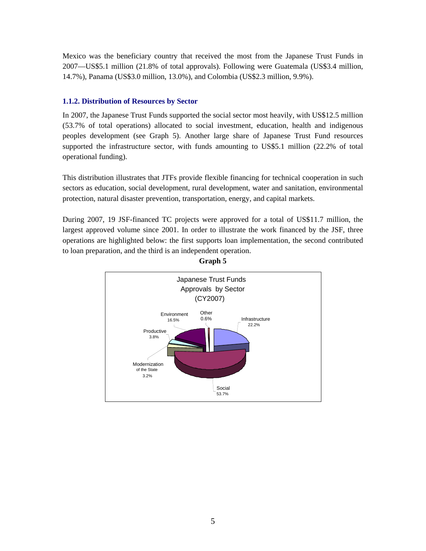Mexico was the beneficiary country that received the most from the Japanese Trust Funds in 2007—US\$5.1 million (21.8% of total approvals). Following were Guatemala (US\$3.4 million, 14.7%), Panama (US\$3.0 million, 13.0%), and Colombia (US\$2.3 million, 9.9%).

# **1.1.2. Distribution of Resources by Sector**

In 2007, the Japanese Trust Funds supported the social sector most heavily, with US\$12.5 million (53.7% of total operations) allocated to social investment, education, health and indigenous peoples development (see Graph 5). Another large share of Japanese Trust Fund resources supported the infrastructure sector, with funds amounting to US\$5.1 million (22.2% of total operational funding).

This distribution illustrates that JTFs provide flexible financing for technical cooperation in such sectors as education, social development, rural development, water and sanitation, environmental protection, natural disaster prevention, transportation, energy, and capital markets.

During 2007, 19 JSF-financed TC projects were approved for a total of US\$11.7 million, the largest approved volume since 2001. In order to illustrate the work financed by the JSF, three operations are highlighted below: the first supports loan implementation, the second contributed to loan preparation, and the third is an independent operation.



**Graph 5**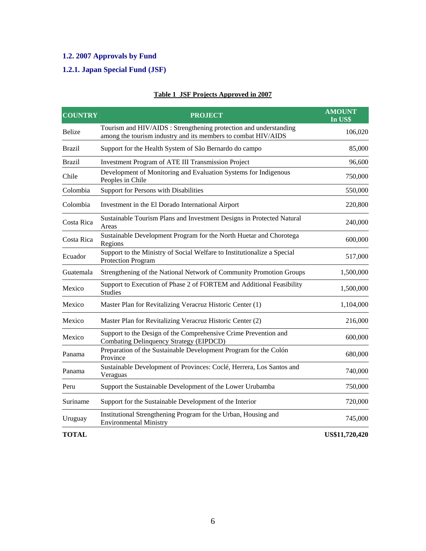# **1.2. 2007 Approvals by Fund**

# **1.2.1. Japan Special Fund (JSF)**

| <b>COUNTRY</b> | <b>PROJECT</b>                                                                                                                     | <b>AMOUNT</b><br>In US\$ |
|----------------|------------------------------------------------------------------------------------------------------------------------------------|--------------------------|
| <b>Belize</b>  | Tourism and HIV/AIDS : Strengthening protection and understanding<br>among the tourism industry and its members to combat HIV/AIDS | 106,020                  |
| <b>Brazil</b>  | Support for the Health System of São Bernardo do campo                                                                             | 85,000                   |
| <b>Brazil</b>  | Investment Program of ATE III Transmission Project                                                                                 | 96,600                   |
| Chile          | Development of Monitoring and Evaluation Systems for Indigenous<br>Peoples in Chile                                                | 750,000                  |
| Colombia       | Support for Persons with Disabilities                                                                                              | 550,000                  |
| Colombia       | Investment in the El Dorado International Airport                                                                                  | 220,800                  |
| Costa Rica     | Sustainable Tourism Plans and Investment Designs in Protected Natural<br>Areas                                                     | 240,000                  |
| Costa Rica     | Sustainable Development Program for the North Huetar and Chorotega<br>Regions                                                      | 600,000                  |
| Ecuador        | Support to the Ministry of Social Welfare to Institutionalize a Special<br><b>Protection Program</b>                               | 517,000                  |
| Guatemala      | Strengthening of the National Network of Community Promotion Groups                                                                | 1,500,000                |
| Mexico         | Support to Execution of Phase 2 of FORTEM and Additional Feasibility<br><b>Studies</b>                                             | 1,500,000                |
| Mexico         | Master Plan for Revitalizing Veracruz Historic Center (1)                                                                          | 1,104,000                |
| Mexico         | Master Plan for Revitalizing Veracruz Historic Center (2)                                                                          | 216,000                  |
| Mexico         | Support to the Design of the Comprehensive Crime Prevention and<br>Combating Delinquency Strategy (EIPDCD)                         | 600,000                  |
| Panama         | Preparation of the Sustainable Development Program for the Colón<br>Province                                                       | 680,000                  |
| Panama         | Sustainable Development of Provinces: Coclé, Herrera, Los Santos and<br>Veraguas                                                   | 740,000                  |
| Peru           | Support the Sustainable Development of the Lower Urubamba                                                                          | 750,000                  |
| Suriname       | Support for the Sustainable Development of the Interior                                                                            | 720,000                  |
| Uruguay        | Institutional Strengthening Program for the Urban, Housing and<br><b>Environmental Ministry</b>                                    | 745,000                  |
| <b>TOTAL</b>   |                                                                                                                                    | US\$11,720,420           |

# **Table 1 JSF Projects Approved in 2007**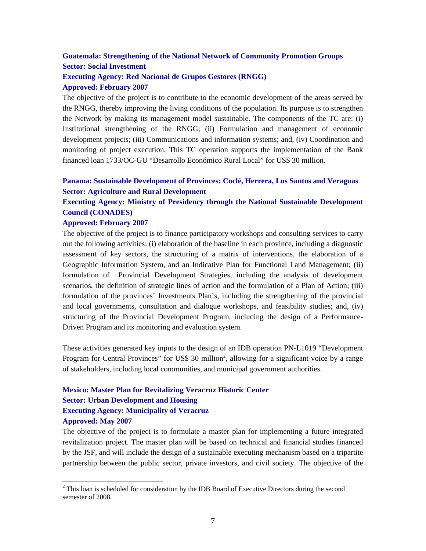# **Guatemala: Strengthening of the National Network of Community Promotion Groups Sector: Social Investment**

# **Executing Agency: Red Nacional de Grupos Gestores (RNGG)**

#### **Approved: February 2007**

The objective of the project is to contribute to the economic development of the areas served by the RNGG, thereby improving the living conditions of the population. Its purpose is to strengthen the Network by making its management model sustainable. The components of the TC are: (i) Institutional strengthening of the RNGG; (ii) Formulation and management of economic development projects; (iii) Communications and information systems; and, (iv) Coordination and monitoring of project execution. This TC operation supports the implementation of the Bank financed loan 1733/OC-GU "Desarrollo Económico Rural Local" for US\$ 30 million.

# **Panama: Sustainable Development of Provinces: Coclé, Herrera, Los Santos and Veraguas Sector: Agriculture and Rural Development**

# **Executing Agency: Ministry of Presidency through the National Sustainable Development Council (CONADES)**

#### **Approved: February 2007**

 $\overline{a}$ 

The objective of the project is to finance participatory workshops and consulting services to carry out the following activities: (i) elaboration of the baseline in each province, including a diagnostic assessment of key sectors, the structuring of a matrix of interventions, the elaboration of a Geographic Information System, and an Indicative Plan for Functional Land Management; (ii) formulation of Provincial Development Strategies, including the analysis of development scenarios, the definition of strategic lines of action and the formulation of a Plan of Action; (iii) formulation of the provinces' Investments Plan's, including the strengthening of the provincial and local governments, consultation and dialogue workshops, and feasibility studies; and, (iv) structuring of the Provincial Development Program, including the design of a Performance-Driven Program and its monitoring and evaluation system.

These activities generated key inputs to the design of an IDB operation PN-L1019 "Development Program for Central Provinces" for US\$ 30 million<sup>2</sup>, allowing for a significant voice by a range of stakeholders, including local communities, and municipal government authorities.

# **Mexico: Master Plan for Revitalizing Veracruz Historic Center Sector: Urban Development and Housing Executing Agency: Municipality of Veracruz Approved: May 2007**

The objective of the project is to formulate a master plan for implementing a future integrated revitalization project. The master plan will be based on technical and financial studies financed by the JSF, and will include the design of a sustainable executing mechanism based on a tripartite partnership between the public sector, private investors, and civil society. The objective of the

 $2^2$  This loan is scheduled for consideration by the IDB Board of Executive Directors during the second semester of 2008.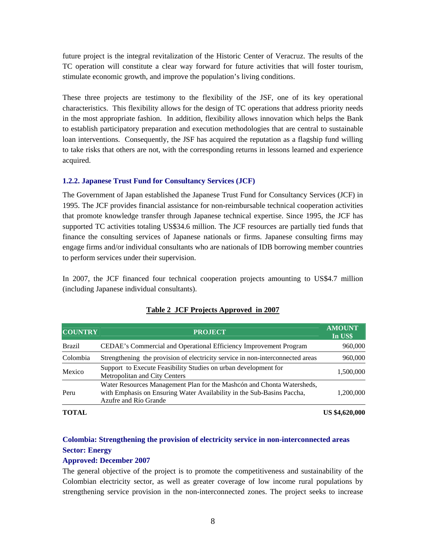future project is the integral revitalization of the Historic Center of Veracruz. The results of the TC operation will constitute a clear way forward for future activities that will foster tourism, stimulate economic growth, and improve the population's living conditions.

These three projects are testimony to the flexibility of the JSF, one of its key operational characteristics. This flexibility allows for the design of TC operations that address priority needs in the most appropriate fashion. In addition, flexibility allows innovation which helps the Bank to establish participatory preparation and execution methodologies that are central to sustainable loan interventions. Consequently, the JSF has acquired the reputation as a flagship fund willing to take risks that others are not, with the corresponding returns in lessons learned and experience acquired.

# **1.2.2. Japanese Trust Fund for Consultancy Services (JCF)**

The Government of Japan established the Japanese Trust Fund for Consultancy Services (JCF) in 1995. The JCF provides financial assistance for non-reimbursable technical cooperation activities that promote knowledge transfer through Japanese technical expertise. Since 1995, the JCF has supported TC activities totaling US\$34.6 million. The JCF resources are partially tied funds that finance the consulting services of Japanese nationals or firms. Japanese consulting firms may engage firms and/or individual consultants who are nationals of IDB borrowing member countries to perform services under their supervision.

In 2007, the JCF financed four technical cooperation projects amounting to US\$4.7 million (including Japanese individual consultants).

| <b>COUNTRY</b> | <b>PROJECT</b>                                                                                                                                                            | <b>AMOUNT</b><br>In US\$ |
|----------------|---------------------------------------------------------------------------------------------------------------------------------------------------------------------------|--------------------------|
| Brazil         | CEDAE's Commercial and Operational Efficiency Improvement Program                                                                                                         | 960,000                  |
| Colombia       | Strengthening the provision of electricity service in non-interconnected areas                                                                                            | 960,000                  |
| Mexico         | Support to Execute Feasibility Studies on urban development for<br>Metropolitan and City Centers                                                                          | 1,500,000                |
| Peru           | Water Resources Management Plan for the Mashcón and Chonta Watersheds,<br>with Emphasis on Ensuring Water Availability in the Sub-Basins Paccha,<br>Azufre and Río Grande | 1,200,000                |
| <b>TOTAL</b>   |                                                                                                                                                                           | <b>US \$4,620,000</b>    |

#### **Table 2 JCF Projects Approved in 2007**

# **Colombia: Strengthening the provision of electricity service in non-interconnected areas Sector: Energy**

# **Approved: December 2007**

The general objective of the project is to promote the competitiveness and sustainability of the Colombian electricity sector, as well as greater coverage of low income rural populations by strengthening service provision in the non-interconnected zones. The project seeks to increase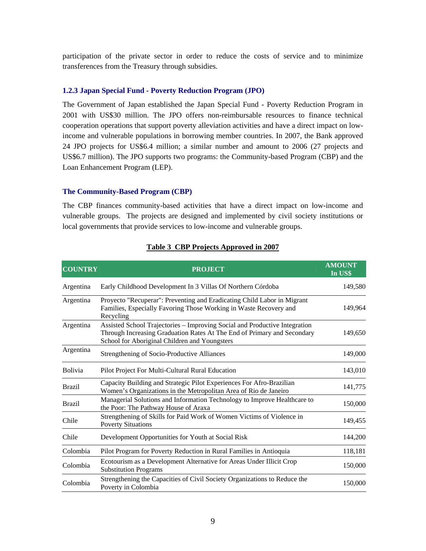participation of the private sector in order to reduce the costs of service and to minimize transferences from the Treasury through subsidies.

#### **1.2.3 Japan Special Fund - Poverty Reduction Program (JPO)**

The Government of Japan established the Japan Special Fund - Poverty Reduction Program in 2001 with US\$30 million. The JPO offers non-reimbursable resources to finance technical cooperation operations that support poverty alleviation activities and have a direct impact on lowincome and vulnerable populations in borrowing member countries. In 2007, the Bank approved 24 JPO projects for US\$6.4 million; a similar number and amount to 2006 (27 projects and US\$6.7 million). The JPO supports two programs: the Community-based Program (CBP) and the Loan Enhancement Program (LEP).

#### **The Community-Based Program (CBP)**

The CBP finances community-based activities that have a direct impact on low-income and vulnerable groups. The projects are designed and implemented by civil society institutions or local governments that provide services to low-income and vulnerable groups.

| <b>COUNTRY</b> | <b>PROJECT</b>                                                                                                                                                                                         | <b>AMOUNT</b><br>In US\$ |
|----------------|--------------------------------------------------------------------------------------------------------------------------------------------------------------------------------------------------------|--------------------------|
| Argentina      | Early Childhood Development In 3 Villas Of Northern Córdoba                                                                                                                                            | 149,580                  |
| Argentina      | Proyecto "Recuperar": Preventing and Eradicating Child Labor in Migrant<br>Families, Especially Favoring Those Working in Waste Recovery and<br>Recycling                                              | 149,964                  |
| Argentina      | Assisted School Trajectories - Improving Social and Productive Integration<br>Through Increasing Graduation Rates At The End of Primary and Secondary<br>School for Aboriginal Children and Youngsters | 149,650                  |
| Argentina      | Strengthening of Socio-Productive Alliances                                                                                                                                                            | 149,000                  |
| <b>Bolivia</b> | Pilot Project For Multi-Cultural Rural Education                                                                                                                                                       | 143,010                  |
| <b>Brazil</b>  | Capacity Building and Strategic Pilot Experiences For Afro-Brazilian<br>Women's Organizations in the Metropolitan Area of Rio de Janeiro                                                               | 141,775                  |
| <b>Brazil</b>  | Managerial Solutions and Information Technology to Improve Healthcare to<br>the Poor: The Pathway House of Araxa                                                                                       | 150,000                  |
| Chile          | Strengthening of Skills for Paid Work of Women Victims of Violence in<br><b>Poverty Situations</b>                                                                                                     | 149,455                  |
| Chile          | Development Opportunities for Youth at Social Risk                                                                                                                                                     | 144,200                  |
| Colombia       | Pilot Program for Poverty Reduction in Rural Families in Antioquia                                                                                                                                     | 118,181                  |
| Colombia       | Ecotourism as a Development Alternative for Areas Under Illicit Crop<br><b>Substitution Programs</b>                                                                                                   | 150,000                  |
| Colombia       | Strengthening the Capacities of Civil Society Organizations to Reduce the<br>Poverty in Colombia                                                                                                       | 150,000                  |

# **Table 3 CBP Projects Approved in 2007**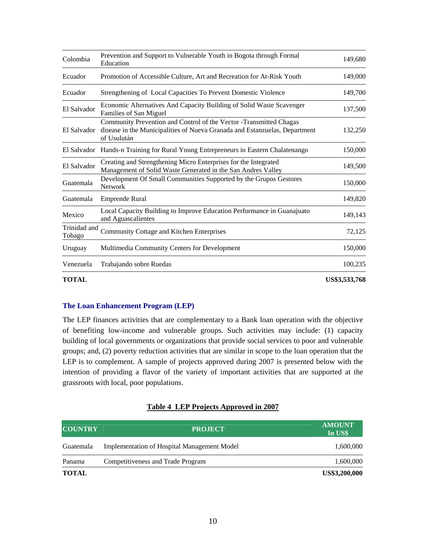| Colombia               | Prevention and Support to Vulnerable Youth in Bogota through Formal<br>Education                                                                                 | 149,680       |
|------------------------|------------------------------------------------------------------------------------------------------------------------------------------------------------------|---------------|
| Ecuador                | Promotion of Accessible Culture, Art and Recreation for At-Risk Youth                                                                                            | 149,000       |
| Ecuador                | Strengthening of Local Capacities To Prevent Domestic Violence                                                                                                   | 149,700       |
| El Salvador            | Economic Alternatives And Capacity Building of Solid Waste Scavenger<br>Families of San Miguel                                                                   | 137,500       |
| El Salvador            | Community Prevention and Control of the Vector - Transmitted Chagas<br>disease in the Municipalities of Nueva Granada and Estanzuelas, Department<br>of Usulután | 132,250       |
|                        | El Salvador Hands-n Training for Rural Young Entrepreneurs in Eastern Chalatenango                                                                               | 150,000       |
| El Salvador            | Creating and Strengthening Micro Enterprises for the Integrated<br>Management of Solid Waste Generated in the San Andres Valley                                  | 149,500       |
| Guatemala              | Development Of Small Communities Supported by the Grupos Gestores<br><b>Network</b>                                                                              | 150,000       |
| Guatemala              | Emprende Rural                                                                                                                                                   | 149,820       |
| Mexico                 | Local Capacity Building to Improve Education Performance in Guanajuato<br>and Aguascalientes                                                                     | 149,143       |
| Trinidad and<br>Tobago | Community Cottage and Kitchen Enterprises                                                                                                                        | 72,125        |
| Uruguay                | Multimedia Community Centers for Development                                                                                                                     | 150,000       |
| Venezuela              | Trabajando sobre Ruedas                                                                                                                                          | 100,235       |
| <b>TOTAL</b>           |                                                                                                                                                                  | US\$3,533,768 |

# **The Loan Enhancement Program (LEP)**

The LEP finances activities that are complementary to a Bank loan operation with the objective of benefiting low-income and vulnerable groups. Such activities may include: (1) capacity building of local governments or organizations that provide social services to poor and vulnerable groups; and, (2) poverty reduction activities that are similar in scope to the loan operation that the LEP is to complement. A sample of projects approved during 2007 is presented below with the intention of providing a flavor of the variety of important activities that are supported at the grassroots with local, poor populations.

# **Table 4 LEP Projects Approved in 2007**

| <b>COUNTRY</b> | <b>PROJECT</b>                                     | <b>AMOUNT</b><br>In US\$ |
|----------------|----------------------------------------------------|--------------------------|
| Guatemala      | <b>Implementation of Hospital Management Model</b> | 1,600,000                |
| Panama         | Competitiveness and Trade Program                  | 1,600,000                |
| <b>TOTAL</b>   |                                                    | US\$3,200,000            |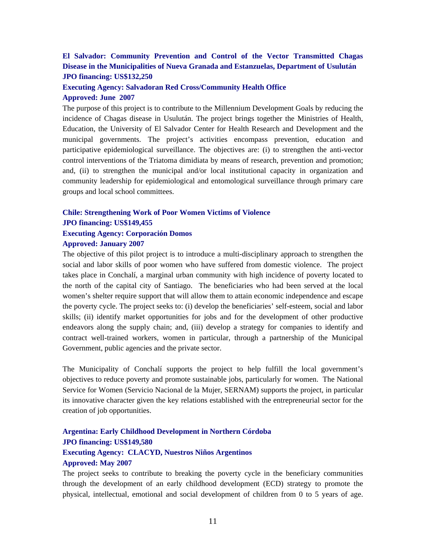# **El Salvador: Community Prevention and Control of the Vector Transmitted Chagas Disease in the Municipalities of Nueva Granada and Estanzuelas, Department of Usulután JPO financing: US\$132,250**

# **Executing Agency: Salvadoran Red Cross/Community Health Office Approved: June 2007**

The purpose of this project is to contribute to the Millennium Development Goals by reducing the incidence of Chagas disease in Usulután. The project brings together the Ministries of Health, Education, the University of El Salvador Center for Health Research and Development and the municipal governments. The project's activities encompass prevention, education and participative epidemiological surveillance. The objectives are: (i) to strengthen the anti-vector control interventions of the Triatoma dimidiata by means of research, prevention and promotion; and, (ii) to strengthen the municipal and/or local institutional capacity in organization and community leadership for epidemiological and entomological surveillance through primary care groups and local school committees.

# **Chile: Strengthening Work of Poor Women Victims of Violence JPO financing: US\$149,455 Executing Agency: Corporación Domos**

#### **Approved: January 2007**

The objective of this pilot project is to introduce a multi-disciplinary approach to strengthen the social and labor skills of poor women who have suffered from domestic violence. The project takes place in Conchalí, a marginal urban community with high incidence of poverty located to the north of the capital city of Santiago. The beneficiaries who had been served at the local women's shelter require support that will allow them to attain economic independence and escape the poverty cycle. The project seeks to: (i) develop the beneficiaries' self-esteem, social and labor skills; (ii) identify market opportunities for jobs and for the development of other productive endeavors along the supply chain; and, (iii) develop a strategy for companies to identify and contract well-trained workers, women in particular, through a partnership of the Municipal Government, public agencies and the private sector.

The Municipality of Conchalí supports the project to help fulfill the local government's objectives to reduce poverty and promote sustainable jobs, particularly for women. The National Service for Women (Servicio Nacional de la Mujer, SERNAM) supports the project, in particular its innovative character given the key relations established with the entrepreneurial sector for the creation of job opportunities.

# **Argentina: Early Childhood Development in Northern Córdoba JPO financing: US\$149,580 Executing Agency: CLACYD, Nuestros Niños Argentinos Approved: May 2007**

The project seeks to contribute to breaking the poverty cycle in the beneficiary communities through the development of an early childhood development (ECD) strategy to promote the physical, intellectual, emotional and social development of children from 0 to 5 years of age.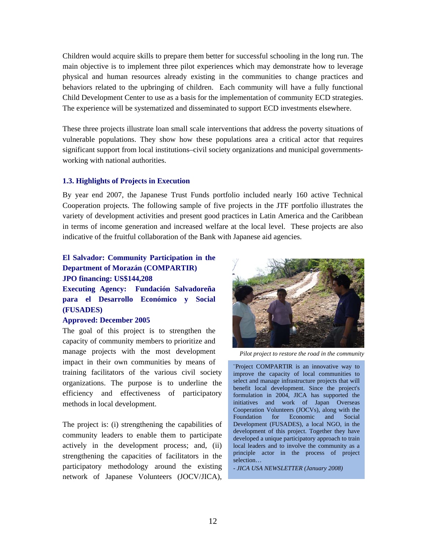Children would acquire skills to prepare them better for successful schooling in the long run. The main objective is to implement three pilot experiences which may demonstrate how to leverage physical and human resources already existing in the communities to change practices and behaviors related to the upbringing of children. Each community will have a fully functional Child Development Center to use as a basis for the implementation of community ECD strategies. The experience will be systematized and disseminated to support ECD investments elsewhere.

These three projects illustrate loan small scale interventions that address the poverty situations of vulnerable populations. They show how these populations area a critical actor that requires significant support from local institutions–civil society organizations and municipal governmentsworking with national authorities.

#### **1.3. Highlights of Projects in Execution**

By year end 2007, the Japanese Trust Funds portfolio included nearly 160 active Technical Cooperation projects. The following sample of five projects in the JTF portfolio illustrates the variety of development activities and present good practices in Latin America and the Caribbean in terms of income generation and increased welfare at the local level. These projects are also indicative of the fruitful collaboration of the Bank with Japanese aid agencies.

# **El Salvador: Community Participation in the Department of Morazán (COMPARTIR) JPO financing: US\$144,208**

**Executing Agency: Fundación Salvadoreña para el Desarrollo Económico y Social (FUSADES)** 

## **Approved: December 2005**

The goal of this project is to strengthen the capacity of community members to prioritize and manage projects with the most development impact in their own communities by means of training facilitators of the various civil society organizations. The purpose is to underline the efficiency and effectiveness of participatory methods in local development.

The project is: (i) strengthening the capabilities of community leaders to enable them to participate actively in the development process; and, (ii) strengthening the capacities of facilitators in the participatory methodology around the existing network of Japanese Volunteers (JOCV/JICA),



*Pilot project to restore the road in the community* 

¨Project COMPARTIR is an innovative way to improve the capacity of local communities to select and manage infrastructure projects that will benefit local development. Since the project's formulation in 2004, JICA has supported the initiatives and work of Japan Overseas Cooperation Volunteers (JOCVs), along with the Foundation for Economic and Social Development (FUSADES), a local NGO, in the development of this project. Together they have developed a unique participatory approach to train local leaders and to involve the community as a principle actor in the process of project selection…

*- JICA USA NEWSLETTER (January 2008)*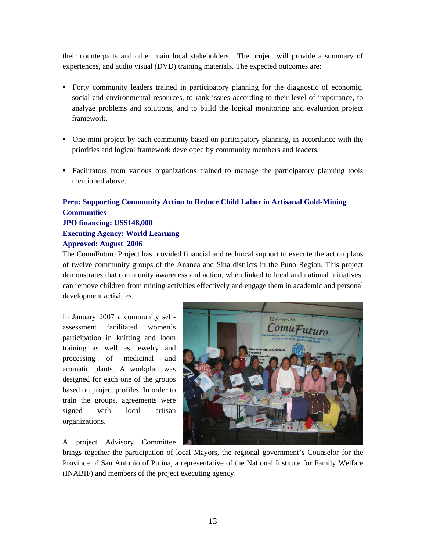their counterparts and other main local stakeholders. The project will provide a summary of experiences, and audio visual (DVD) training materials. The expected outcomes are:

- Forty community leaders trained in participatory planning for the diagnostic of economic, social and environmental resources, to rank issues according to their level of importance, to analyze problems and solutions, and to build the logical monitoring and evaluation project framework.
- One mini project by each community based on participatory planning, in accordance with the priorities and logical framework developed by community members and leaders.
- Facilitators from various organizations trained to manage the participatory planning tools mentioned above.

# **Peru: Supporting Community Action to Reduce Child Labor in Artisanal Gold-Mining Communities JPO financing: US\$148,000 Executing Agency: World Learning**

#### **Approved: August 2006**

The ComuFuturo Project has provided financial and technical support to execute the action plans of twelve community groups of the Ananea and Sina districts in the Puno Region. This project demonstrates that community awareness and action, when linked to local and national initiatives, can remove children from mining activities effectively and engage them in academic and personal development activities.

In January 2007 a community selfassessment facilitated women's participation in knitting and loom training as well as jewelry and processing of medicinal and aromatic plants. A workplan was designed for each one of the groups based on project profiles. In order to train the groups, agreements were signed with local artisan organizations.

A project Advisory Committee



brings together the participation of local Mayors, the regional government's Counselor for the Province of San Antonio of Putina, a representative of the National Institute for Family Welfare (INABIF) and members of the project executing agency.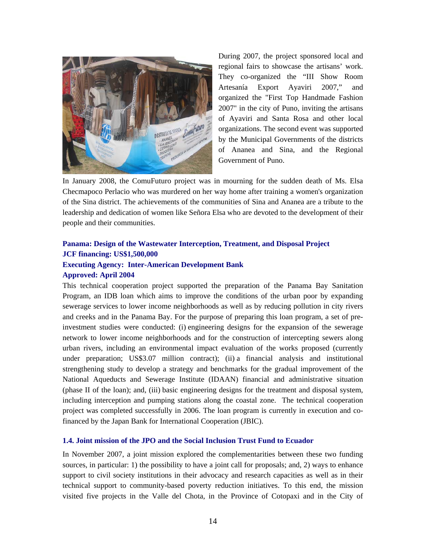

During 2007, the project sponsored local and regional fairs to showcase the artisans' work. They co-organized the "III Show Room Artesanía Export Ayaviri 2007," and organized the "First Top Handmade Fashion 2007" in the city of Puno, inviting the artisans of Ayaviri and Santa Rosa and other local organizations. The second event was supported by the Municipal Governments of the districts of Ananea and Sina, and the Regional Government of Puno.

In January 2008, the ComuFuturo project was in mourning for the sudden death of Ms. Elsa Checmapoco Perlacio who was murdered on her way home after training a women's organization of the Sina district. The achievements of the communities of Sina and Ananea are a tribute to the leadership and dedication of women like Señora Elsa who are devoted to the development of their people and their communities.

# **Panama: Design of the Wastewater Interception, Treatment, and Disposal Project JCF financing: US\$1,500,000 Executing Agency: Inter-American Development Bank Approved: April 2004**

This technical cooperation project supported the preparation of the Panama Bay Sanitation Program, an IDB loan which aims to improve the conditions of the urban poor by expanding sewerage services to lower income neighborhoods as well as by reducing pollution in city rivers and creeks and in the Panama Bay. For the purpose of preparing this loan program, a set of preinvestment studies were conducted: (i) engineering designs for the expansion of the sewerage network to lower income neighborhoods and for the construction of intercepting sewers along urban rivers, including an environmental impact evaluation of the works proposed (currently under preparation; US\$3.07 million contract); (ii) a financial analysis and institutional strengthening study to develop a strategy and benchmarks for the gradual improvement of the National Aqueducts and Sewerage Institute (IDAAN) financial and administrative situation (phase II of the loan); and, (iii) basic engineering designs for the treatment and disposal system, including interception and pumping stations along the coastal zone. The technical cooperation project was completed successfully in 2006. The loan program is currently in execution and cofinanced by the Japan Bank for International Cooperation (JBIC).

#### **1.4. Joint mission of the JPO and the Social Inclusion Trust Fund to Ecuador**

In November 2007, a joint mission explored the complementarities between these two funding sources, in particular: 1) the possibility to have a joint call for proposals; and, 2) ways to enhance support to civil society institutions in their advocacy and research capacities as well as in their technical support to community-based poverty reduction initiatives. To this end, the mission visited five projects in the Valle del Chota, in the Province of Cotopaxi and in the City of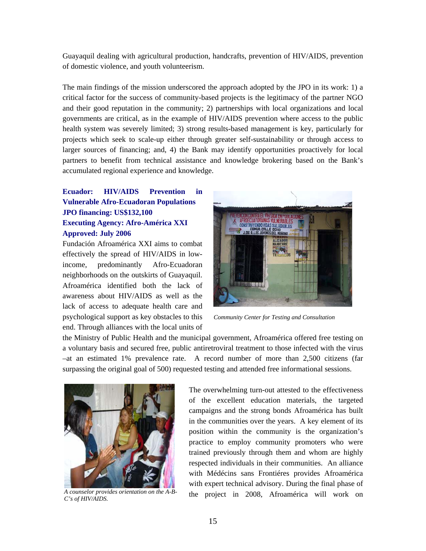Guayaquil dealing with agricultural production, handcrafts, prevention of HIV/AIDS, prevention of domestic violence, and youth volunteerism.

The main findings of the mission underscored the approach adopted by the JPO in its work: 1) a critical factor for the success of community-based projects is the legitimacy of the partner NGO and their good reputation in the community; 2) partnerships with local organizations and local governments are critical, as in the example of HIV/AIDS prevention where access to the public health system was severely limited; 3) strong results-based management is key, particularly for projects which seek to scale-up either through greater self-sustainability or through access to larger sources of financing; and, 4) the Bank may identify opportunities proactively for local partners to benefit from technical assistance and knowledge brokering based on the Bank's accumulated regional experience and knowledge.

# **Ecuador: HIV/AIDS Prevention in Vulnerable Afro-Ecuadoran Populations JPO financing: US\$132,100 Executing Agency: Afro-América XXI Approved: July 2006**

Fundación Afroamérica XXI aims to combat effectively the spread of HIV/AIDS in lowincome, predominantly Afro-Ecuadoran neighborhoods on the outskirts of Guayaquil. Afroamérica identified both the lack of awareness about HIV/AIDS as well as the lack of access to adequate health care and psychological support as key obstacles to this end. Through alliances with the local units of



*Community Center for Testing and Consultation* 

the Ministry of Public Health and the municipal government, Afroamérica offered free testing on a voluntary basis and secured free, public antiretroviral treatment to those infected with the virus –at an estimated 1% prevalence rate. A record number of more than 2,500 citizens (far surpassing the original goal of 500) requested testing and attended free informational sessions.



*A counselor provides orientation on the A-B-C's of HIV/AIDS.* 

The overwhelming turn-out attested to the effectiveness of the excellent education materials, the targeted campaigns and the strong bonds Afroamérica has built in the communities over the years. A key element of its position within the community is the organization's practice to employ community promoters who were trained previously through them and whom are highly respected individuals in their communities. An alliance with Médécins sans Frontiéres provides Afroamérica with expert technical advisory. During the final phase of the project in 2008, Afroamérica will work on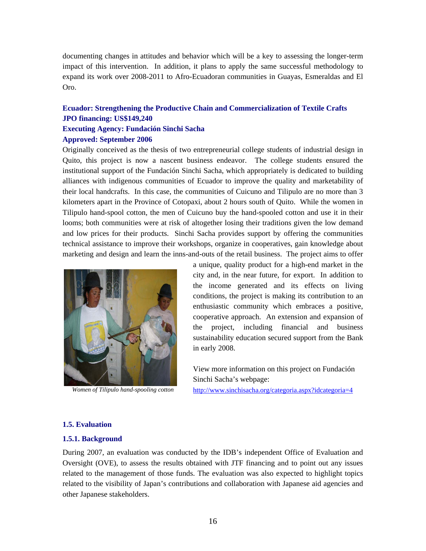documenting changes in attitudes and behavior which will be a key to assessing the longer-term impact of this intervention. In addition, it plans to apply the same successful methodology to expand its work over 2008-2011 to Afro-Ecuadoran communities in Guayas, Esmeraldas and El Oro.

# **Ecuador: Strengthening the Productive Chain and Commercialization of Textile Crafts JPO financing: US\$149,240**

# **Executing Agency: Fundación Sinchi Sacha**

#### **Approved: September 2006**

Originally conceived as the thesis of two entrepreneurial college students of industrial design in Quito, this project is now a nascent business endeavor. The college students ensured the institutional support of the Fundación Sinchi Sacha, which appropriately is dedicated to building alliances with indigenous communities of Ecuador to improve the quality and marketability of their local handcrafts. In this case, the communities of Cuicuno and Tilipulo are no more than 3 kilometers apart in the Province of Cotopaxi, about 2 hours south of Quito. While the women in Tilipulo hand-spool cotton, the men of Cuicuno buy the hand-spooled cotton and use it in their looms; both communities were at risk of altogether losing their traditions given the low demand and low prices for their products. Sinchi Sacha provides support by offering the communities technical assistance to improve their workshops, organize in cooperatives, gain knowledge about marketing and design and learn the inns-and-outs of the retail business. The project aims to offer



*Women of Tilipulo hand-spooling cotton* 

a unique, quality product for a high-end market in the city and, in the near future, for export. In addition to the income generated and its effects on living conditions, the project is making its contribution to an enthusiastic community which embraces a positive, cooperative approach. An extension and expansion of the project, including financial and business sustainability education secured support from the Bank in early 2008.

View more information on this project on Fundación Sinchi Sacha's webpage:

http://www.sinchisacha.org/categoria.aspx?idcategoria=4

# **1.5. Evaluation**

# **1.5.1. Background**

During 2007, an evaluation was conducted by the IDB's independent Office of Evaluation and Oversight (OVE), to assess the results obtained with JTF financing and to point out any issues related to the management of those funds. The evaluation was also expected to highlight topics related to the visibility of Japan's contributions and collaboration with Japanese aid agencies and other Japanese stakeholders.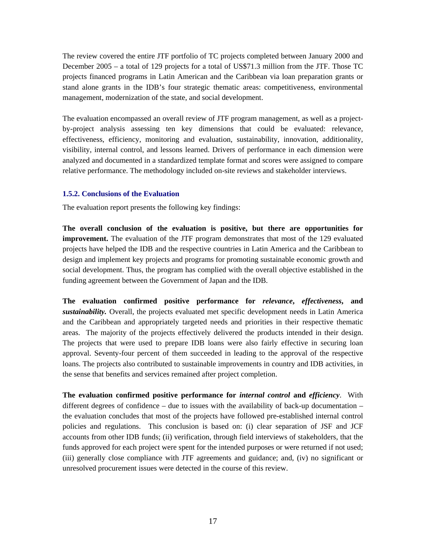The review covered the entire JTF portfolio of TC projects completed between January 2000 and December 2005 – a total of 129 projects for a total of US\$71.3 million from the JTF. Those TC projects financed programs in Latin American and the Caribbean via loan preparation grants or stand alone grants in the IDB's four strategic thematic areas: competitiveness, environmental management, modernization of the state, and social development.

The evaluation encompassed an overall review of JTF program management, as well as a projectby-project analysis assessing ten key dimensions that could be evaluated: relevance, effectiveness, efficiency, monitoring and evaluation, sustainability, innovation, additionality, visibility, internal control, and lessons learned. Drivers of performance in each dimension were analyzed and documented in a standardized template format and scores were assigned to compare relative performance. The methodology included on-site reviews and stakeholder interviews.

#### **1.5.2. Conclusions of the Evaluation**

The evaluation report presents the following key findings:

**The overall conclusion of the evaluation is positive, but there are opportunities for improvement.** The evaluation of the JTF program demonstrates that most of the 129 evaluated projects have helped the IDB and the respective countries in Latin America and the Caribbean to design and implement key projects and programs for promoting sustainable economic growth and social development. Thus, the program has complied with the overall objective established in the funding agreement between the Government of Japan and the IDB.

**The evaluation confirmed positive performance for** *relevance***,** *effectiveness***, and**  *sustainability.* Overall, the projects evaluated met specific development needs in Latin America and the Caribbean and appropriately targeted needs and priorities in their respective thematic areas. The majority of the projects effectively delivered the products intended in their design. The projects that were used to prepare IDB loans were also fairly effective in securing loan approval. Seventy-four percent of them succeeded in leading to the approval of the respective loans. The projects also contributed to sustainable improvements in country and IDB activities, in the sense that benefits and services remained after project completion.

**The evaluation confirmed positive performance for** *internal control* **and** *efficiency*. With different degrees of confidence – due to issues with the availability of back-up documentation – the evaluation concludes that most of the projects have followed pre-established internal control policies and regulations. This conclusion is based on: (i) clear separation of JSF and JCF accounts from other IDB funds; (ii) verification, through field interviews of stakeholders, that the funds approved for each project were spent for the intended purposes or were returned if not used; (iii) generally close compliance with JTF agreements and guidance; and, (iv) no significant or unresolved procurement issues were detected in the course of this review.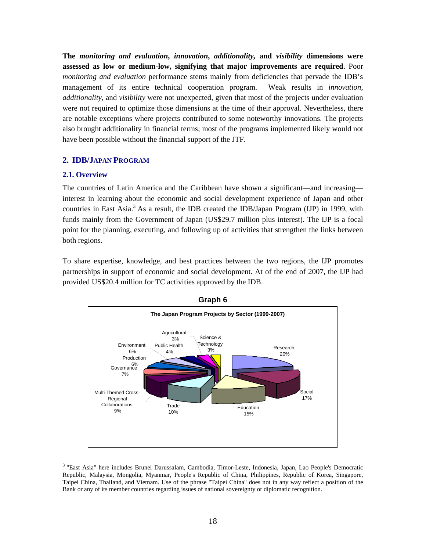**The** *monitoring and evaluation***,** *innovation***,** *additionality,* **and** *visibility* **dimensions were assessed as low or medium-low, signifying that major improvements are required**. Poor *monitoring and evaluation* performance stems mainly from deficiencies that pervade the IDB's management of its entire technical cooperation program. Weak results in *innovation*, *additionality*, and *visibility* were not unexpected, given that most of the projects under evaluation were not required to optimize those dimensions at the time of their approval. Nevertheless, there are notable exceptions where projects contributed to some noteworthy innovations. The projects also brought additionality in financial terms; most of the programs implemented likely would not have been possible without the financial support of the JTF.

# **2. IDB/JAPAN PROGRAM**

#### **2.1. Overview**

l

The countries of Latin America and the Caribbean have shown a significant—and increasing interest in learning about the economic and social development experience of Japan and other countries in East Asia.<sup>3</sup> As a result, the IDB created the IDB/Japan Program (IJP) in 1999, with funds mainly from the Government of Japan (US\$29.7 million plus interest). The IJP is a focal point for the planning, executing, and following up of activities that strengthen the links between both regions.

To share expertise, knowledge, and best practices between the two regions, the IJP promotes partnerships in support of economic and social development. At of the end of 2007, the IJP had provided US\$20.4 million for TC activities approved by the IDB.



<sup>&</sup>lt;sup>3</sup> "East Asia" here includes Brunei Darussalam, Cambodia, Timor-Leste, Indonesia, Japan, Lao People's Democratic Republic, Malaysia, Mongolia, Myanmar, People's Republic of China, Philippines, Republic of Korea, Singapore, Taipei China, Thailand, and Vietnam. Use of the phrase "Taipei China" does not in any way reflect a position of the Bank or any of its member countries regarding issues of national sovereignty or diplomatic recognition.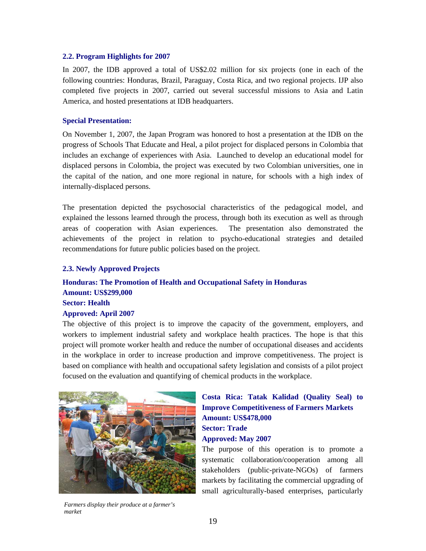#### **2.2. Program Highlights for 2007**

In 2007, the IDB approved a total of US\$2.02 million for six projects (one in each of the following countries: Honduras, Brazil, Paraguay, Costa Rica, and two regional projects. IJP also completed five projects in 2007, carried out several successful missions to Asia and Latin America, and hosted presentations at IDB headquarters.

#### **Special Presentation:**

On November 1, 2007, the Japan Program was honored to host a presentation at the IDB on the progress of Schools That Educate and Heal, a pilot project for displaced persons in Colombia that includes an exchange of experiences with Asia. Launched to develop an educational model for displaced persons in Colombia, the project was executed by two Colombian universities, one in the capital of the nation, and one more regional in nature, for schools with a high index of internally-displaced persons.

The presentation depicted the psychosocial characteristics of the pedagogical model, and explained the lessons learned through the process, through both its execution as well as through areas of cooperation with Asian experiences. The presentation also demonstrated the achievements of the project in relation to psycho-educational strategies and detailed recommendations for future public policies based on the project.

#### **2.3. Newly Approved Projects**

# **Honduras: The Promotion of Health and Occupational Safety in Honduras Amount: US\$299,000 Sector: Health Approved: April 2007**

The objective of this project is to improve the capacity of the government, employers, and workers to implement industrial safety and workplace health practices. The hope is that this project will promote worker health and reduce the number of occupational diseases and accidents in the workplace in order to increase production and improve competitiveness. The project is based on compliance with health and occupational safety legislation and consists of a pilot project focused on the evaluation and quantifying of chemical products in the workplace.



#### *Farmers display their produce at a farmer's market*

# **Costa Rica: Tatak Kalidad (Quality Seal) to Improve Competitiveness of Farmers Markets Amount: US\$478,000 Sector: Trade Approved: May 2007**

The purpose of this operation is to promote a systematic collaboration/cooperation among all stakeholders (public-private-NGOs) of farmers markets by facilitating the commercial upgrading of small agriculturally-based enterprises, particularly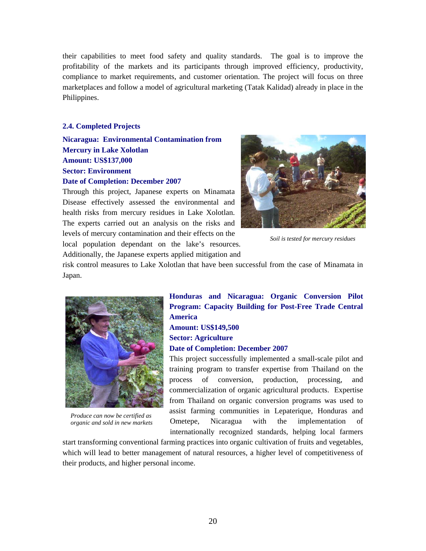their capabilities to meet food safety and quality standards. The goal is to improve the profitability of the markets and its participants through improved efficiency, productivity, compliance to market requirements, and customer orientation. The project will focus on three marketplaces and follow a model of agricultural marketing (Tatak Kalidad) already in place in the Philippines.

# **2.4. Completed Projects**

**Nicaragua: Environmental Contamination from Mercury in Lake Xolotlan Amount: US\$137,000 Sector: Environment Date of Completion: December 2007** 

Through this project, Japanese experts on Minamata Disease effectively assessed the environmental and health risks from mercury residues in Lake Xolotlan. The experts carried out an analysis on the risks and levels of mercury contamination and their effects on the local population dependant on the lake's resources. Additionally, the Japanese experts applied mitigation and



*Soil is tested for mercury residues* 

risk control measures to Lake Xolotlan that have been successful from the case of Minamata in Japan.



*Produce can now be certified as organic and sold in new markets* 

# **Honduras and Nicaragua: Organic Conversion Pilot Program: Capacity Building for Post-Free Trade Central America Amount: US\$149,500 Sector: Agriculture Date of Completion: December 2007**

This project successfully implemented a small-scale pilot and training program to transfer expertise from Thailand on the process of conversion, production, processing, and commercialization of organic agricultural products. Expertise from Thailand on organic conversion programs was used to assist farming communities in Lepaterique, Honduras and Ometepe, Nicaragua with the implementation of internationally recognized standards, helping local farmers

start transforming conventional farming practices into organic cultivation of fruits and vegetables, which will lead to better management of natural resources, a higher level of competitiveness of their products, and higher personal income.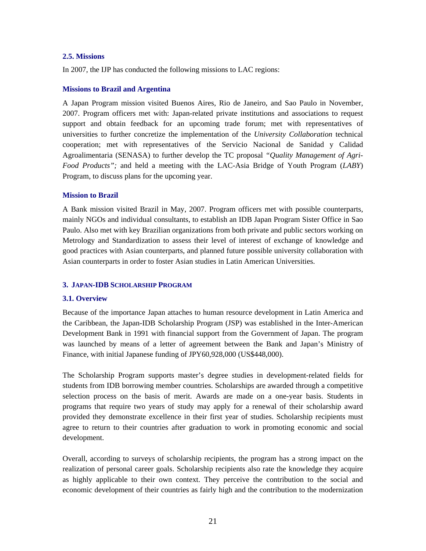#### **2.5. Missions**

In 2007, the IJP has conducted the following missions to LAC regions:

#### **Missions to Brazil and Argentina**

A Japan Program mission visited Buenos Aires, Rio de Janeiro, and Sao Paulo in November, 2007. Program officers met with: Japan-related private institutions and associations to request support and obtain feedback for an upcoming trade forum; met with representatives of universities to further concretize the implementation of the *University Collaboration* technical cooperation; met with representatives of the Servicio Nacional de Sanidad y Calidad Agroalimentaria (SENASA) to further develop the TC proposal *"Quality Management of Agri-Food Products";* and held a meeting with the LAC-Asia Bridge of Youth Program (*LABY*) Program, to discuss plans for the upcoming year.

# **Mission to Brazil**

A Bank mission visited Brazil in May, 2007. Program officers met with possible counterparts, mainly NGOs and individual consultants, to establish an IDB Japan Program Sister Office in Sao Paulo. Also met with key Brazilian organizations from both private and public sectors working on Metrology and Standardization to assess their level of interest of exchange of knowledge and good practices with Asian counterparts, and planned future possible university collaboration with Asian counterparts in order to foster Asian studies in Latin American Universities.

# **3. JAPAN-IDB SCHOLARSHIP PROGRAM**

# **3.1. Overview**

Because of the importance Japan attaches to human resource development in Latin America and the Caribbean, the Japan-IDB Scholarship Program (JSP) was established in the Inter-American Development Bank in 1991 with financial support from the Government of Japan. The program was launched by means of a letter of agreement between the Bank and Japan's Ministry of Finance, with initial Japanese funding of JPY60,928,000 (US\$448,000).

The Scholarship Program supports master's degree studies in development-related fields for students from IDB borrowing member countries. Scholarships are awarded through a competitive selection process on the basis of merit. Awards are made on a one-year basis. Students in programs that require two years of study may apply for a renewal of their scholarship award provided they demonstrate excellence in their first year of studies. Scholarship recipients must agree to return to their countries after graduation to work in promoting economic and social development.

Overall, according to surveys of scholarship recipients, the program has a strong impact on the realization of personal career goals. Scholarship recipients also rate the knowledge they acquire as highly applicable to their own context. They perceive the contribution to the social and economic development of their countries as fairly high and the contribution to the modernization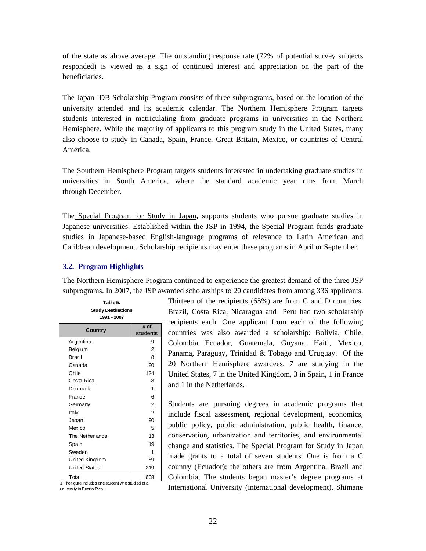of the state as above average. The outstanding response rate (72% of potential survey subjects responded) is viewed as a sign of continued interest and appreciation on the part of the beneficiaries.

The Japan-IDB Scholarship Program consists of three subprograms, based on the location of the university attended and its academic calendar. The Northern Hemisphere Program targets students interested in matriculating from graduate programs in universities in the Northern Hemisphere. While the majority of applicants to this program study in the United States, many also choose to study in Canada, Spain, France, Great Britain, Mexico, or countries of Central America.

The Southern Hemisphere Program targets students interested in undertaking graduate studies in universities in South America, where the standard academic year runs from March through December.

The Special Program for Study in Japan, supports students who pursue graduate studies in Japanese universities. Established within the JSP in 1994, the Special Program funds graduate studies in Japanese-based English-language programs of relevance to Latin American and Caribbean development. Scholarship recipients may enter these programs in April or September.

#### **3.2. Program Highlights**

The Northern Hemisphere Program continued to experience the greatest demand of the three JSP subprograms. In 2007, the JSP awarded scholarships to 20 candidates from among 336 applicants.

| Table 5.<br><b>Study Destinations</b><br>1991 - 2007        |                  |  |  |  |  |  |  |  |
|-------------------------------------------------------------|------------------|--|--|--|--|--|--|--|
| Country                                                     | # of<br>students |  |  |  |  |  |  |  |
| Argentina                                                   | 9                |  |  |  |  |  |  |  |
| Belgium                                                     | $\overline{2}$   |  |  |  |  |  |  |  |
| Brazil                                                      | 8                |  |  |  |  |  |  |  |
| Canada                                                      | 20               |  |  |  |  |  |  |  |
| Chile                                                       | 134              |  |  |  |  |  |  |  |
| Costa Rica                                                  | 8                |  |  |  |  |  |  |  |
| Denmark                                                     | 1                |  |  |  |  |  |  |  |
| France                                                      | 6                |  |  |  |  |  |  |  |
| Germany                                                     | $\overline{2}$   |  |  |  |  |  |  |  |
| Italy                                                       | $\overline{2}$   |  |  |  |  |  |  |  |
| Japan                                                       | 90               |  |  |  |  |  |  |  |
| Mexico                                                      | 5                |  |  |  |  |  |  |  |
| The Netherlands                                             | 13               |  |  |  |  |  |  |  |
| Spain                                                       | 19               |  |  |  |  |  |  |  |
| Sweden                                                      | 1                |  |  |  |  |  |  |  |
| United Kingdom                                              | 69               |  |  |  |  |  |  |  |
| United States <sup>1</sup>                                  | 219              |  |  |  |  |  |  |  |
| Total<br>1 The figure includes one student who studied at a | 608              |  |  |  |  |  |  |  |

Thirteen of the recipients (65%) are from C and D countries. Brazil, Costa Rica, Nicaragua and Peru had two scholarship recipients each. One applicant from each of the following countries was also awarded a scholarship: Bolivia, Chile, Colombia Ecuador, Guatemala, Guyana, Haiti, Mexico, Panama, Paraguay, Trinidad & Tobago and Uruguay. Of the 20 Northern Hemisphere awardees, 7 are studying in the United States, 7 in the United Kingdom, 3 in Spain, 1 in France and 1 in the Netherlands.

Students are pursuing degrees in academic programs that include fiscal assessment, regional development, economics, public policy, public administration, public health, finance, conservation, urbanization and territories, and environmental change and statistics. The Special Program for Study in Japan made grants to a total of seven students. One is from a C country (Ecuador); the others are from Argentina, Brazil and Colombia, The students began master's degree programs at International University (international development), Shimane

university in Puerto Rico.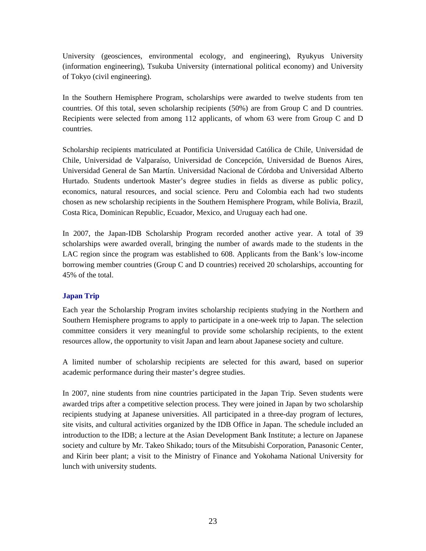University (geosciences, environmental ecology, and engineering), Ryukyus University (information engineering), Tsukuba University (international political economy) and University of Tokyo (civil engineering).

In the Southern Hemisphere Program, scholarships were awarded to twelve students from ten countries. Of this total, seven scholarship recipients (50%) are from Group C and D countries. Recipients were selected from among 112 applicants, of whom 63 were from Group C and D countries.

Scholarship recipients matriculated at Pontificia Universidad Católica de Chile, Universidad de Chile, Universidad de Valparaíso, Universidad de Concepción, Universidad de Buenos Aires, Universidad General de San Martín. Universidad Nacional de Córdoba and Universidad Alberto Hurtado. Students undertook Master's degree studies in fields as diverse as public policy, economics, natural resources, and social science. Peru and Colombia each had two students chosen as new scholarship recipients in the Southern Hemisphere Program, while Bolivia, Brazil, Costa Rica, Dominican Republic, Ecuador, Mexico, and Uruguay each had one.

In 2007, the Japan-IDB Scholarship Program recorded another active year. A total of 39 scholarships were awarded overall, bringing the number of awards made to the students in the LAC region since the program was established to 608. Applicants from the Bank's low-income borrowing member countries (Group C and D countries) received 20 scholarships, accounting for 45% of the total.

# **Japan Trip**

Each year the Scholarship Program invites scholarship recipients studying in the Northern and Southern Hemisphere programs to apply to participate in a one-week trip to Japan. The selection committee considers it very meaningful to provide some scholarship recipients, to the extent resources allow, the opportunity to visit Japan and learn about Japanese society and culture.

A limited number of scholarship recipients are selected for this award, based on superior academic performance during their master's degree studies.

In 2007, nine students from nine countries participated in the Japan Trip. Seven students were awarded trips after a competitive selection process. They were joined in Japan by two scholarship recipients studying at Japanese universities. All participated in a three-day program of lectures, site visits, and cultural activities organized by the IDB Office in Japan. The schedule included an introduction to the IDB; a lecture at the Asian Development Bank Institute; a lecture on Japanese society and culture by Mr. Takeo Shikado; tours of the Mitsubishi Corporation, Panasonic Center, and Kirin beer plant; a visit to the Ministry of Finance and Yokohama National University for lunch with university students.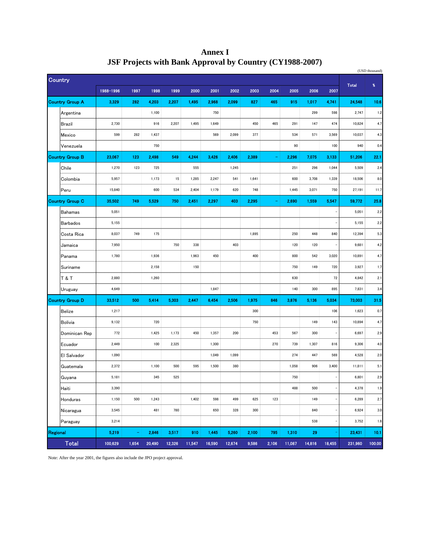|          |                        |           |       |        |        |        |        |        |       |          |        |        |                          |              | (USD thousand) |
|----------|------------------------|-----------|-------|--------|--------|--------|--------|--------|-------|----------|--------|--------|--------------------------|--------------|----------------|
|          | <b>Country</b>         |           |       |        |        |        |        |        |       |          |        |        |                          | <b>Total</b> | $\pmb{\%}$     |
|          |                        | 1988-1996 | 1997  | 1998   | 1999   | 2000   | 2001   | 2002   | 2003  | 2004     | 2005   | 2006   | 2007                     |              |                |
|          | <b>Country Group A</b> | 3,329     | 282   | 4,203  | 2,207  | 1,495  | 2,968  | 2,099  | 827   | 465      | 915    | 1,017  | 4,741                    | 24,548       | 10.6           |
|          | Argentina              |           |       | 1,100  |        |        | 750    |        |       |          |        | 299    | 598                      | 2,747        | 1.2            |
|          | Brazil                 | 2,730     |       | 916    | 2,207  | 1,495  | 1,649  |        | 450   | 465      | 291    | 147    | 474                      | 10,824       | 4.7            |
|          | Mexico                 | 599       | 282   | 1,437  |        |        | 569    | 2,099  | 377   |          | 534    | 571    | 3,569                    | 10,037       | 4.3            |
|          | Venezuela              |           |       | 750    |        |        |        |        |       |          | 90     |        | 100                      | 940          | 0.4            |
|          | <b>Country Group B</b> | 23,067    | 123   | 2,498  | 549    | 4,244  | 3,426  | 2,406  | 2,389 | $\equiv$ | 2,296  | 7,075  | 3,133                    | 51,206       | 22.1           |
|          | Chile                  | 1,270     | 123   | 725    |        | 555    |        | 1,245  |       |          | 251    | 296    | 1,044                    | 5,509        | 2.4            |
|          | Colombia               | 5,957     |       | 1,173  | 15     | 1,285  | 2,247  | 541    | 1,641 |          | 600    | 3,708  | 1,339                    | 18,506       | 8.0            |
|          | Peru                   | 15,840    |       | 600    | 534    | 2,404  | 1,179  | 620    | 748   |          | 1,445  | 3,071  | 750                      | 27,191       | 11.7           |
|          | <b>Country Group C</b> | 35,502    | 749   | 5,529  | 750    | 2,451  | 2,297  | 403    | 2,295 | ÷        | 2,690  | 1,559  | 5,547                    | 59,772       | 25.8           |
|          | <b>Bahamas</b>         | 5,051     |       |        |        |        |        |        |       |          |        |        | $\bar{ }$                | 5,051        | 2.2            |
|          | <b>Barbados</b>        | 5,155     |       |        |        |        |        |        |       |          |        |        | ÷,                       | 5,155        | 2.2            |
|          | Costa Rica             | 8,037     | 749   | 175    |        |        |        |        | 1,895 |          | 250    | 448    | 840                      | 12,394       | 5.3            |
|          | Jamaica                | 7,950     |       |        | 750    | 338    |        | 403    |       |          | 120    | 120    | $\overline{a}$           | 9,681        | 4.2            |
|          | Panama                 | 1,780     |       | 1,936  |        | 1,963  | 450    |        | 400   |          | 800    | 542    | 3,020                    | 10,891       | 4.7            |
|          | Suriname               |           |       | 2,158  |        | 150    |        |        |       |          | 750    | 149    | 720                      | 3,927        | 1.7            |
|          | T & T                  | 2,880     |       | 1,260  |        |        |        |        |       |          | 630    |        | 72                       | 4,842        | 2.1            |
|          | Uruguay                | 4,649     |       |        |        |        | 1,847  |        |       |          | 140    | 300    | 895                      | 7,831        | 3.4            |
|          | Country Group D        | 33,512    | 500   | 5,414  | 5,303  | 2,447  | 6,454  | 2,506  | 1,975 | 846      | 3,876  | 5,136  | 5,034                    | 73,003       | 31.5           |
|          | <b>Belize</b>          | 1,217     |       |        |        |        |        |        | 300   |          |        |        | 106                      | 1,623        | 0.7            |
|          | Bolivia                | 9,132     |       | 720    |        |        |        |        | 750   |          |        | 149    | 143                      | 10,894       | 4.7            |
|          | Dominican Rep          | 772       |       | 1,425  | 1,173  | 450    | 1,357  | 200    |       | 453      | 567    | 300    | $\overline{\phantom{a}}$ | 6,697        | 2.9            |
|          | Ecuador                | 2,449     |       | 100    | 2,325  |        | 1,300  |        |       | 270      | 739    | 1,307  | 816                      | 9,306        | 4.0            |
|          | El Salvador            | 1,090     |       |        |        |        | 1,049  | 1,099  |       |          | 274    | 447    | 569                      | 4,528        | 2.0            |
|          | Guatemala              | 2,372     |       | 1,100  | 500    | 595    | 1,500  | 380    |       |          | 1,058  | 906    | 3,400                    | 11,811       | 5.1            |
|          | Guyana                 | 5,181     |       | 345    | 525    |        |        |        |       |          | 750    |        | $\overline{\phantom{0}}$ | 6,801        | 2.9            |
|          | Haiti                  | 3,390     |       |        |        |        |        |        |       |          | 488    | 500    | $\overline{a}$           | 4,378        | 1.9            |
|          | Honduras               | 1,150     | 500   | 1,243  |        | 1,402  | 598    | 499    | 625   | 123      |        | 149    | $\overline{\phantom{0}}$ | 6,289        | 2.7            |
|          | Nicaragua              | 3,545     |       | 481    | 780    |        | 650    | 328    | 300   |          |        | 840    | $\overline{\phantom{m}}$ | 6,924        | 3.0            |
|          | Paraguay               | 3,214     |       |        |        |        |        |        |       |          |        | 538    | $\overline{\phantom{m}}$ | 3,752        | 1.6            |
| Regional |                        | 5,219     | ۳     | 2,846  | 3,517  | 910    | 1,445  | 5,260  | 2,100 | 795      | 1,310  | 29     | ۰                        | 23,431       | 10.1           |
|          | <b>Total</b>           | 100,629   | 1,654 | 20,490 | 12,326 | 11,547 | 16,590 | 12,674 | 9,586 | 2,106    | 11,087 | 14,816 | 18,455                   | 231,960      | 100.00         |

**Annex I JSF Projects with Bank Approval by Country (CY1988-2007)**

Note: After the year 2001, the figures also include the JPO project approval.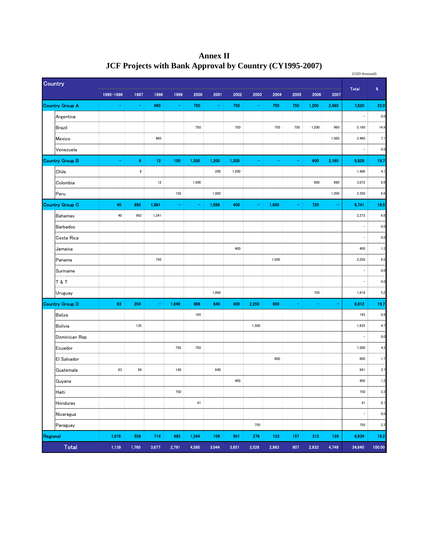|                |                 |           |                  |       |                |          |       |       |       |       |          |       |       | (USD thousand)           |            |
|----------------|-----------------|-----------|------------------|-------|----------------|----------|-------|-------|-------|-------|----------|-------|-------|--------------------------|------------|
| <b>Country</b> |                 |           |                  |       |                |          |       |       |       |       |          |       |       | <b>Total</b>             | $\pmb{\%}$ |
|                |                 | 1995-1996 | 1997             | 1998  | 1999           | 2000     | 2001  | 2002  | 2003  | 2004  | 2005     | 2006  | 2007  |                          |            |
|                | Country Group A | ۰         | $\blacksquare$   | 960   | ۰              | 750      | ÷     | 750   | ۰     | 750   | 750      | 1,200 | 2,460 | 7,620                    | 22.0       |
|                | Argentina       |           |                  |       |                |          |       |       |       |       |          |       |       | $\overline{\phantom{0}}$ | 0.0        |
|                | <b>Brazil</b>   |           |                  |       |                | 750      |       | 750   |       | 750   | 750      | 1,200 | 960   | 5,160                    | 14.9       |
|                | Mexico          |           |                  | 960   |                |          |       |       |       |       |          |       | 1,500 | 2,460                    | 7.1        |
|                | Venezuela       |           |                  |       |                |          |       |       |       |       |          |       |       | $\overline{\phantom{0}}$ | 0.0        |
|                | Country Group B | ۰         | $\bf 6$          | 12    | 150            | 1,500    | 1,200 | 1,200 | ۰     | ۰     |          | 600   | 2,160 | 6,828                    | 19.7       |
|                | Chile           |           | $\boldsymbol{6}$ |       |                |          | 200   | 1,200 |       |       |          |       |       | 1,406                    | 4.1        |
|                | Colombia        |           |                  | 12    |                | 1,500    |       |       |       |       |          | 600   | 960   | 3,072                    | 8.9        |
|                | Peru            |           |                  |       | 150            |          | 1,000 |       |       |       |          |       | 1,200 | 2,350                    | 6.8        |
|                | Country Group C | 40        | 992              | 1,991 | $\blacksquare$ | $\equiv$ | 1,098 | 400   | ۰     | 1,500 | ۰        | 720   | ÷     | 6,741                    | 19.5       |
|                | <b>Bahamas</b>  | 40        | 992              | 1,241 |                |          |       |       |       |       |          |       |       | 2,273                    | 6.6        |
|                | <b>Barbados</b> |           |                  |       |                |          |       |       |       |       |          |       |       | $\qquad \qquad -$        | 0.0        |
|                | Costa Rica      |           |                  |       |                |          |       |       |       |       |          |       |       | $\qquad \qquad -$        | 0.0        |
|                | Jamaica         |           |                  |       |                |          |       | 400   |       |       |          |       |       | 400                      | 1.2        |
|                | Panama          |           |                  | 750   |                |          |       |       |       | 1,500 |          |       |       | 2,250                    | 6.5        |
|                | Suriname        |           |                  |       |                |          |       |       |       |       |          |       |       | ÷                        | 0.0        |
|                | <b>T&amp;T</b>  |           |                  |       |                |          |       |       |       |       |          |       |       | $\overline{\phantom{a}}$ | 0.0        |
|                | Uruguay         |           |                  |       |                |          | 1,098 |       |       |       |          | 720   |       | 1,818                    | 5.2        |
|                | Country Group D | 83        | 204              | ۰     | 1,649          | 986      | 640   | 400   | 2,250 | 600   | $\equiv$ | ÷     | ۳     | 6,812                    | 19.7       |
|                | <b>Belize</b>   |           |                  |       |                | 195      |       |       |       |       |          |       |       | 195                      | 0.6        |
|                | Bolivia         |           | 135              |       |                |          |       |       | 1,500 |       |          |       |       | 1,635                    | 4.7        |
|                | Dominican Rep   |           |                  |       |                |          |       |       |       |       |          |       |       | ÷,                       | 0.0        |
|                | Ecuador         |           |                  |       | 750            | 750      |       |       |       |       |          |       |       | 1,500                    | 4.3        |
|                | El Salvador     |           |                  |       |                |          |       |       |       | 600   |          |       |       | 600                      | 1.7        |
|                | Guatemala       | 83        | 69               |       | 149            |          | 640   |       |       |       |          |       |       | 941                      | 2.7        |
|                | Guyana          |           |                  |       |                |          |       | 400   |       |       |          |       |       | 400                      | 1.2        |
|                | Haiti           |           |                  |       | 750            |          |       |       |       |       |          |       |       | 750                      | 2.2        |
|                | Honduras        |           |                  |       |                | 41       |       |       |       |       |          |       |       | 41                       | 0.1        |
|                | Nicaragua       |           |                  |       |                |          |       |       |       |       |          |       |       | $\qquad \qquad -$        | $0.0\,$    |
|                | Paraguay        |           |                  |       |                |          |       |       | 750   |       |          |       |       | 750                      | 2.2        |
| Regional       |                 | 1,016     | 558              | 714   | 992            | 1,344    | 106   | 901   | 276   | 133   | 157      | 313   | 129   | 6,639                    | 19.2       |
|                | <b>Total</b>    | 1,139     | 1,760            | 3,677 | 2,791          | 4,580    | 3,044 | 3,651 | 2,526 | 2,983 | 907      | 2,833 | 4,749 | 34,640                   | 100.00     |

**Annex II JCF Projects with Bank Approval by Country (CY1995-2007)**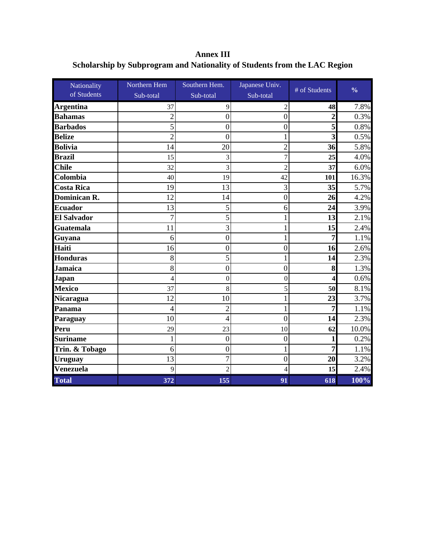**Annex III Scholarship by Subprogram and Nationality of Students from the LAC Region**

| Nationality         | Northern Hem   | Southern Hem.    | Japanese Univ.   | # of Students           | $\frac{0}{0}$ |
|---------------------|----------------|------------------|------------------|-------------------------|---------------|
| of Students         | Sub-total      | Sub-total        | Sub-total        |                         |               |
| <b>Argentina</b>    | 37             | 9                | 2                | 48                      | 7.8%          |
| <b>Bahamas</b>      | 2              | $\mathbf{0}$     | $\boldsymbol{0}$ | $\overline{2}$          | 0.3%          |
| <b>Barbados</b>     |                | $\overline{0}$   | $\boldsymbol{0}$ | 5                       | 0.8%          |
| <b>Belize</b>       | $\overline{2}$ | $\theta$         |                  | $\overline{\mathbf{3}}$ | 0.5%          |
| <b>Bolivia</b>      | 14             | 20               | $\overline{2}$   | 36                      | 5.8%          |
| <b>Brazil</b>       | 15             | 3                | 7                | 25                      | 4.0%          |
| <b>Chile</b>        | 32             | 3                | 2                | 37                      | 6.0%          |
| Colombia            | 40             | 19               | 42               | 101                     | 16.3%         |
| <b>Costa Rica</b>   | 19             | 13               | 3                | 35                      | 5.7%          |
| <b>Dominican R.</b> | 12             | 14               | $\boldsymbol{0}$ | 26                      | 4.2%          |
| <b>Ecuador</b>      | 13             | 5                | 6                | 24                      | 3.9%          |
| <b>El Salvador</b>  | 7              | 5                | 1                | 13                      | 2.1%          |
| <b>Guatemala</b>    | 11             | 3                |                  | 15                      | 2.4%          |
| Guyana              | 6              | $\overline{0}$   | 1                | $\overline{7}$          | 1.1%          |
| Haiti               | 16             | $\overline{0}$   | $\boldsymbol{0}$ | 16                      | 2.6%          |
| <b>Honduras</b>     | 8              | 5                | 1                | 14                      | 2.3%          |
| <b>Jamaica</b>      | 8              | $\overline{0}$   | $\boldsymbol{0}$ | 8                       | 1.3%          |
| <b>Japan</b>        | 4              | $\mathbf{0}$     | $\boldsymbol{0}$ | $\overline{\mathbf{4}}$ | 0.6%          |
| <b>Mexico</b>       | 37             | 8                | 5                | 50                      | 8.1%          |
| Nicaragua           | 12             | 10               | 1                | 23                      | 3.7%          |
| Panama              | 4              | $\overline{c}$   |                  | 7                       | 1.1%          |
| Paraguay            | 10             | 4                | $\overline{0}$   | 14                      | 2.3%          |
| Peru                | 29             | 23               | 10               | 62                      | 10.0%         |
| <b>Suriname</b>     |                | $\boldsymbol{0}$ | $\boldsymbol{0}$ | 1                       | 0.2%          |
| Trin. & Tobago      | 6              | $\mathbf{0}$     | 1                | $\overline{7}$          | 1.1%          |
| <b>Uruguay</b>      | 13             | $\overline{7}$   | $\boldsymbol{0}$ | 20                      | 3.2%          |
| Venezuela           | 9              | $\mathfrak{D}$   | 4                | 15                      | 2.4%          |
| <b>Total</b>        | 372            | 155              | 91               | 618                     | 100%          |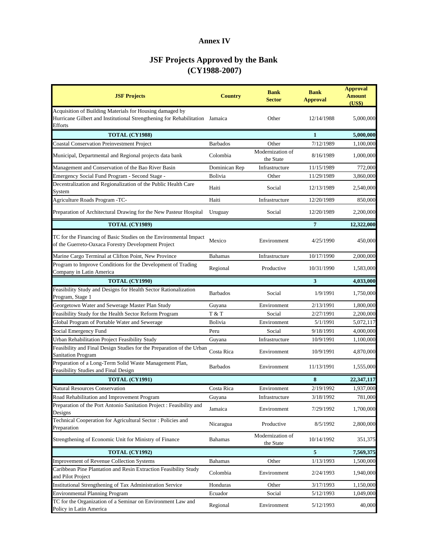# **Annex IV**

| <b>JSF Projects</b>                                                                                                                                        | <b>Country</b>  | <b>Bank</b><br><b>Sector</b>  | <b>Bank</b><br><b>Approval</b> | <b>Approval</b><br><b>Amount</b><br>(US\$) |
|------------------------------------------------------------------------------------------------------------------------------------------------------------|-----------------|-------------------------------|--------------------------------|--------------------------------------------|
| Acquisition of Building Materials for Housing damaged by<br>Hurricane Gilbert and Institutional Strengthening for Rehabilitation Jamaica<br><b>Efforts</b> |                 | Other                         | 12/14/1988                     | 5,000,000                                  |
| <b>TOTAL (CY1988)</b>                                                                                                                                      |                 |                               | 1                              | 5,000,000                                  |
| <b>Coastal Conservation Preinvestment Project</b>                                                                                                          | <b>Barbados</b> | Other                         | 7/12/1989                      | 1,100,000                                  |
| Municipal, Departmental and Regional projects data bank                                                                                                    | Colombia        | Modernization of<br>the State | 8/16/1989                      | 1,000,000                                  |
| Management and Conservation of the Bao River Basin                                                                                                         | Dominican Rep   | Infrastructure                | 11/15/1989                     | 772,000                                    |
| Emergency Social Fund Program - Second Stage -                                                                                                             | Bolivia         | Other                         | 11/29/1989                     | 3,860,000                                  |
| Decentralization and Regionalization of the Public Health Care<br>System                                                                                   | Haiti           | Social                        | 12/13/1989                     | 2,540,000                                  |
| Agriculture Roads Program -TC-                                                                                                                             | Haiti           | Infrastructure                | 12/20/1989                     | 850,000                                    |
| Preparation of Architectural Drawing for the New Pasteur Hospital                                                                                          | Uruguay         | Social                        | 12/20/1989                     | 2,200,000                                  |
| <b>TOTAL (CY1989)</b>                                                                                                                                      |                 |                               | $\overline{7}$                 | 12,322,000                                 |
| TC for the Financing of Basic Studies on the Environmental Impact<br>of the Guerreto-Oaxaca Forestry Development Project                                   | Mexico          | Environment                   | 4/25/1990                      | 450,000                                    |
| Marine Cargo Terminal at Clifton Point, New Province                                                                                                       | <b>Bahamas</b>  | Infrastructure                | 10/17/1990                     | 2,000,000                                  |
| Program to Improve Conditions for the Development of Trading<br>Company in Latin America                                                                   | Regional        | Productive                    | 10/31/1990                     | 1,583,000                                  |
| <b>TOTAL (CY1990)</b>                                                                                                                                      |                 |                               | 3                              | 4,033,000                                  |
| Feasibility Study and Designs for Health Sector Rationalization<br>Program, Stage 1                                                                        | <b>Barbados</b> | Social                        | 1/9/1991                       | 1,750,000                                  |
| Georgetown Water and Sewerage Master Plan Study                                                                                                            | Guyana          | Environment                   | 2/13/1991                      | 1,800,000                                  |
| Feasibility Study for the Health Sector Reform Program                                                                                                     | T & T           | Social                        | 2/27/1991                      | 2,200,000                                  |
| Global Program of Portable Water and Sewerage                                                                                                              | Bolivia         | Environment                   | 5/1/1991                       | 5,072,117                                  |
| Social Emergency Fund                                                                                                                                      | Peru            | Social                        | 9/18/1991                      | 4,000,000                                  |
| Urban Rehabilitation Project Feasibility Study                                                                                                             | Guyana          | Infrastructure                | 10/9/1991                      | 1,100,000                                  |
| Feasibility and Final Design Studies for the Preparation of the Urban<br><b>Sanitation Program</b>                                                         | Costa Rica      | Environment                   | 10/9/1991                      | 4,870,000                                  |
| Preparation of a Long-Term Solid Waste Management Plan,<br>Feasibility Studies and Final Design                                                            | <b>Barbados</b> | Environment                   | 11/13/1991                     | 1,555,000                                  |
| <b>TOTAL (CY1991)</b>                                                                                                                                      |                 |                               | 8                              | 22,347,117                                 |
| <b>Natural Resources Conservation</b>                                                                                                                      | Costa Rica      | Environment                   | 2/19/1992                      | 1,937,000                                  |
| Road Rehabilitation and Improvement Program                                                                                                                | Guyana          | Infrastructure                | 3/18/1992                      | 781,000                                    |
| Preparation of the Port Antonio Sanitation Project : Feasibility and<br>Designs                                                                            | Jamaica         | Environment                   | 7/29/1992                      | 1,700,000                                  |
| Technical Cooperation for Agricultural Sector: Policies and<br>Preparation                                                                                 | Nicaragua       | Productive                    | 8/5/1992                       | 2,800,000                                  |
| Strengthening of Economic Unit for Ministry of Finance                                                                                                     | <b>Bahamas</b>  | Modernization of<br>the State | 10/14/1992                     | 351,375                                    |
| <b>TOTAL (CY1992)</b>                                                                                                                                      |                 |                               | 5                              | 7,569,375                                  |
| <b>Improvement of Revenue Collection Systems</b>                                                                                                           | <b>Bahamas</b>  | Other                         | 1/13/1993                      | 1,500,000                                  |
| Caribbean Pine Plantation and Resin Extraction Feasibility Study<br>and Pilot Project                                                                      | Colombia        | Environment                   | 2/24/1993                      | 1,940,000                                  |
| Institutional Strengthening of Tax Administration Service                                                                                                  | Honduras        | Other                         | 3/17/1993                      | 1,150,000                                  |
| <b>Environmental Planning Program</b>                                                                                                                      | Ecuador         | Social                        | 5/12/1993                      | 1,049,000                                  |
| TC for the Organization of a Seminar on Environment Law and<br>Policy in Latin America                                                                     | Regional        | Environment                   | 5/12/1993                      | 40,000                                     |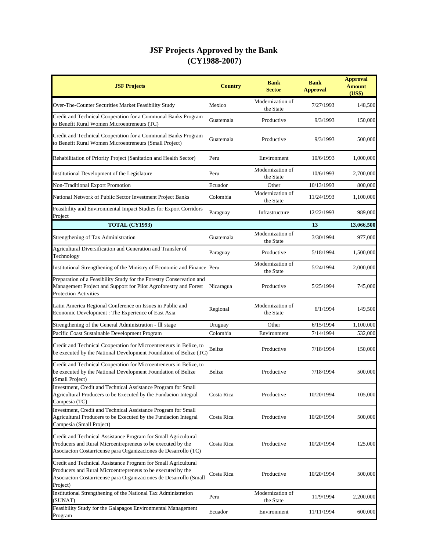| <b>JSF Projects</b>                                                                                                                                                                                            | <b>Country</b> | <b>Bank</b><br><b>Sector</b>  | <b>Bank</b><br><b>Approval</b> | <b>Approval</b><br><b>Amount</b><br>(US\$) |
|----------------------------------------------------------------------------------------------------------------------------------------------------------------------------------------------------------------|----------------|-------------------------------|--------------------------------|--------------------------------------------|
| Over-The-Counter Securities Market Feasibility Study                                                                                                                                                           | Mexico         | Modernization of<br>the State | 7/27/1993                      | 148,500                                    |
| Credit and Technical Cooperation for a Communal Banks Program<br>to Benefit Rural Women Microentreneurs (TC)                                                                                                   | Guatemala      | Productive                    | 9/3/1993                       | 150,000                                    |
| Credit and Technical Cooperation for a Communal Banks Program<br>to Benefit Rural Women Microentreneurs (Small Project)                                                                                        | Guatemala      | Productive                    | 9/3/1993                       | 500,000                                    |
| Rehabilitation of Priority Project (Sanitation and Health Sector)                                                                                                                                              | Peru           | Environment                   | 10/6/1993                      | 1,000,000                                  |
| Institutional Development of the Legislature                                                                                                                                                                   | Peru           | Modernization of<br>the State | 10/6/1993                      | 2,700,000                                  |
| Non-Traditional Export Promotion                                                                                                                                                                               | Ecuador        | Other                         | 10/13/1993                     | 800,000                                    |
| National Network of Public Sector Investment Project Banks                                                                                                                                                     | Colombia       | Modernization of<br>the State | 11/24/1993                     | 1,100,000                                  |
| Feasibility and Environmental Impact Studies for Export Corridors<br>Project                                                                                                                                   | Paraguay       | Infrastructure                | 12/22/1993                     | 989,000                                    |
| <b>TOTAL (CY1993)</b>                                                                                                                                                                                          |                |                               | 13                             | 13,066,500                                 |
| Strengthening of Tax Administration                                                                                                                                                                            | Guatemala      | Modernization of<br>the State | 3/30/1994                      | 977,000                                    |
| Agricultural Diversification and Generation and Transfer of<br>Technology                                                                                                                                      | Paraguay       | Productive                    | 5/18/1994                      | 1,500,000                                  |
| Institutional Strengthening of the Ministry of Economic and Finance Peru                                                                                                                                       |                | Modernization of<br>the State | 5/24/1994                      | 2,000,000                                  |
| Preparation of a Feasibility Study for the Forestry Conservation and<br>Management Project and Support for Pilot Agroforestry and Forest<br><b>Protection Activities</b>                                       | Nicaragua      | Productive                    | 5/25/1994                      | 745,000                                    |
| Latin America Regional Conference on Issues in Public and<br>Economic Development : The Experience of East Asia                                                                                                | Regional       | Modernization of<br>the State | 6/1/1994                       | 149,500                                    |
| Strengthening of the General Administration - III stage                                                                                                                                                        | Uruguay        | Other                         | 6/15/1994                      | 1,100,000                                  |
| Pacific Coast Sustainable Development Program                                                                                                                                                                  | Colombia       | Environment                   | 7/14/1994                      | 532,000                                    |
| Credit and Technical Cooperation for Microentreneurs in Belize, to<br>be executed by the National Development Foundation of Belize (TC)                                                                        | Belize         | Productive                    | 7/18/1994                      | 150,000                                    |
| Credit and Technical Cooperation for Microentreneurs in Belize, to<br>be executed by the National Development Foundation of Belize<br>(Small Project)                                                          | Belize         | Productive                    | 7/18/1994                      | 500,000                                    |
| Investment, Credit and Technical Assistance Program for Small<br>Agricultural Producers to be Executed by the Fundacion Integral<br>Campesia (TC)                                                              | Costa Rica     | Productive                    | 10/20/1994                     | 105,000                                    |
| Investment, Credit and Technical Assistance Program for Small<br>Agricultural Producers to be Executed by the Fundacion Integral<br>Campesia (Small Project)                                                   | Costa Rica     | Productive                    | 10/20/1994                     | 500,000                                    |
| Credit and Technical Assistance Program for Small Agricultural<br>Producers and Rural Microentrepreneus to be executed by the<br>Asociacion Costarricense para Organizaciones de Desarrollo (TC)               | Costa Rica     | Productive                    | 10/20/1994                     | 125,000                                    |
| Credit and Technical Assistance Program for Small Agricultural<br>Producers and Rural Microentrepreneus to be executed by the<br>Asociacion Costarricense para Organizaciones de Desarrollo (Small<br>Project) | Costa Rica     | Productive                    | 10/20/1994                     | 500,000                                    |
| Institutional Strengthening of the National Tax Administration<br>(SUNAT)                                                                                                                                      | Peru           | Modernization of<br>the State | 11/9/1994                      | 2,200,000                                  |
| Feasibility Study for the Galapagos Environmental Management<br>Program                                                                                                                                        | Ecuador        | Environment                   | 11/11/1994                     | 600,000                                    |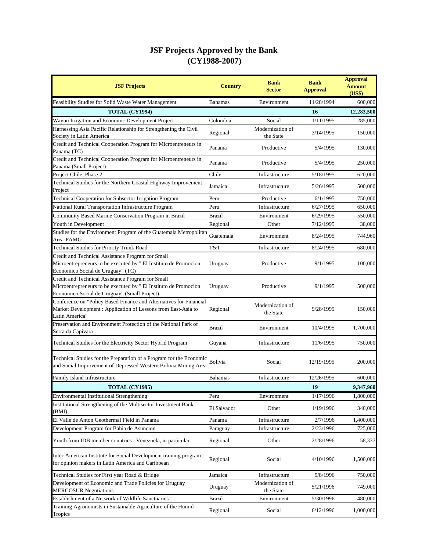| <b>JSF Projects</b>                                                                                                                                                   | <b>Country</b> | <b>Bank</b><br><b>Sector</b>  | <b>Bank</b><br><b>Approval</b> | <b>Approval</b><br><b>Amount</b><br>(US\$) |
|-----------------------------------------------------------------------------------------------------------------------------------------------------------------------|----------------|-------------------------------|--------------------------------|--------------------------------------------|
| Feasibility Studies for Solid Waste Water Management                                                                                                                  | <b>Bahamas</b> | Environment                   | 11/28/1994                     | 600,000                                    |
| TOTAL (CY1994)                                                                                                                                                        |                |                               | 16                             | 12,283,500                                 |
| Wayuu Irrigation and Economic Development Project                                                                                                                     | Colombia       | Social                        | 1/11/1995                      | 285,000                                    |
| Harnessing Asia Pacific Relationship for Strengthening the Civil<br>Society in Latin America                                                                          | Regional       | Modernization of<br>the State | 3/14/1995                      | 150,000                                    |
| Credit and Technical Cooperation Program for Microentreneurs in<br>Panama (TC)                                                                                        | Panama         | Productive                    | 5/4/1995                       | 130,000                                    |
| Credit and Technical Cooperation Program for Microentreneurs in<br>Panama (Small Project)                                                                             | Panama         | Productive                    | 5/4/1995                       | 250,000                                    |
| Project Chile, Phase 2                                                                                                                                                | Chile          | Infrastructure                | 5/18/1995                      | 620,000                                    |
| Technical Studies for the Northern Coastal Highway Improvement<br>Project                                                                                             | Jamaica        | Infrastructure                | 5/26/1995                      | 500,000                                    |
| Technical Cooperation for Subsector Irrigation Program                                                                                                                | Peru           | Productive                    | 6/1/1995                       | 750,000                                    |
| National Rural Transportation Infrastructure Program                                                                                                                  | Peru           | Infrastructure                | 6/27/1995                      | 650,000                                    |
| Community Based Marine Conservation Program in Brazil                                                                                                                 | <b>Brazil</b>  | Environment                   | 6/29/1995                      | 550,000                                    |
| Youth in Development                                                                                                                                                  | Regional       | Other                         | 7/12/1995                      | 38,000                                     |
| Studies for the Environment Program of the Guatemala Metropolitan<br>Area-PAMG                                                                                        | Guatemala      | Environment                   | 8/24/1995                      | 744,960                                    |
| Technical Studies for Priority Trunk Road                                                                                                                             | T&T            | Infrastructure                | 8/24/1995                      | 680,000                                    |
| Credit and Technical Assistance Program for Small<br>Microentrepreneurs to be executed by " El Instituto de Promocion<br>Economico Social de Uruguay" (TC)            | Uruguay        | Productive                    | 9/1/1995                       | 100,000                                    |
| Credit and Technical Assistance Program for Small<br>Microentrepreneurs to be executed by " El Instituto de Promocion<br>Economico Social de Uruguay" (Small Project) | Uruguay        | Productive                    | 9/1/1995                       | 500,000                                    |
| Conference on "Policy Based Finance and Alternatives for Financial<br>Market Development: Application of Lessons from East-Asia to<br>Latin America"                  | Regional       | Modernization of<br>the State | 9/28/1995                      | 150,000                                    |
| Preservation and Environment Protection of the National Park of<br>Serra da Capivara                                                                                  | <b>Brazil</b>  | Environment                   | 10/4/1995                      | 1,700,000                                  |
| Technical Studies for the Electricity Sector Hybrid Program                                                                                                           | Guyana         | Infrastructure                | 11/6/1995                      | 750,000                                    |
| Technical Studies for the Preparation of a Program for the Economic<br>and Social Improvement of Depressed Western Bolivia Mining Area                                | Bolivia        | Social                        | 12/19/1995                     | 200,000                                    |
| Family Island Infrastructure                                                                                                                                          | <b>Bahamas</b> | Infrastructure                | 12/26/1995                     | 600,000                                    |
| <b>TOTAL (CY1995)</b>                                                                                                                                                 |                |                               | 19                             | 9,347,960                                  |
| <b>Environmental Institutional Strengthening</b>                                                                                                                      | Peru           | Environment                   | 1/17/1996                      | 1,800,000                                  |
| Institutional Strengthening of the Multisector Investment Bank<br>(BMI)                                                                                               | El Salvador    | Other                         | 1/19/1996                      | 340,000                                    |
| El Valle de Anton Geothermal Field in Panama                                                                                                                          | Panama         | Infrastructure                | 2/7/1996                       | 1,400,000                                  |
| Development Program for Bahia de Asuncion                                                                                                                             | Paraguay       | Infrastructure                | 2/23/1996                      | 725,000                                    |
| Youth from IDB member countries : Venezuela, in particular                                                                                                            | Regional       | Other                         | 2/28/1996                      | 58,337                                     |
| Inter-American Institute for Social Development training program<br>for opinion makers in Latin America and Caribbean                                                 | Regional       | Social                        | 4/10/1996                      | 1,500,000                                  |
| Technical Studies for First year Road & Bridge                                                                                                                        | Jamaica        | Infrastructure                | 5/8/1996                       | 750,000                                    |
| Development of Economic and Trade Policies for Uruguay<br><b>MERCOSUR Negotiations</b>                                                                                | Uruguay        | Modernization of<br>the State | 5/21/1996                      | 749,000                                    |
| Establishment of a Network of Wildlife Sanctuaries                                                                                                                    | <b>Brazil</b>  | Environment                   | 5/30/1996                      | 480,000                                    |
| Training Agronomists in Sustainable Agriculture of the Humid<br>Tropics                                                                                               | Regional       | Social                        | 6/12/1996                      | 1,000,000                                  |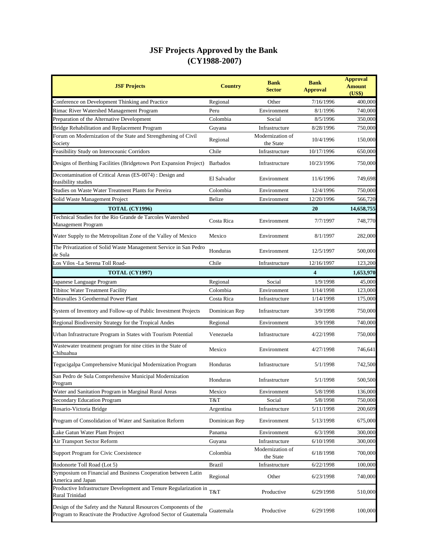| <b>JSF Projects</b>                                                                                                                   | <b>Country</b>  | <b>Bank</b><br>Sector         | <b>Bank</b><br><b>Approval</b> | <b>Approval</b><br><b>Amount</b><br>(US\$) |
|---------------------------------------------------------------------------------------------------------------------------------------|-----------------|-------------------------------|--------------------------------|--------------------------------------------|
| Conference on Development Thinking and Practice                                                                                       | Regional        | Other                         | 7/16/1996                      | 400,000                                    |
| Rimac River Watershed Management Program                                                                                              | Peru            | Environment                   | 8/1/1996                       | 740,000                                    |
| Preparation of the Alternative Development                                                                                            | Colombia        | Social                        | 8/5/1996                       | 350,000                                    |
| Bridge Rehabilitation and Replacement Program                                                                                         | Guyana          | Infrastructure                | 8/28/1996                      | 750,000                                    |
| Forum on Modernization of the State and Strengthening of Civil<br>Society                                                             | Regional        | Modernization of<br>the State | 10/4/1996                      | 150,000                                    |
| Feasibility Study on Interoceanic Corridors                                                                                           | Chile           | Infrastructure                | 10/17/1996                     | 650,000                                    |
| Designs of Berthing Facilities (Bridgetown Port Expansion Project)                                                                    | <b>Barbados</b> | Infrastructure                | 10/23/1996                     | 750,000                                    |
| Decontamination of Critical Areas (ES-0074) : Design and<br>feasibility studies                                                       | El Salvador     | Environment                   | 11/6/1996                      | 749,698                                    |
| Studies on Waste Water Treatment Plants for Pereira                                                                                   | Colombia        | Environment                   | 12/4/1996                      | 750,000                                    |
| Solid Waste Management Project                                                                                                        | Belize          | Environment                   | 12/20/1996                     | 566,720                                    |
| <b>TOTAL (CY1996)</b>                                                                                                                 |                 |                               | 20                             | 14,658,755                                 |
| Technical Studies for the Rio Grande de Tarcoles Watershed<br>Management Program                                                      | Costa Rica      | Environment                   | 7/7/1997                       | 748,770                                    |
| Water Supply to the Metropolitan Zone of the Valley of Mexico                                                                         | Mexico          | Environment                   | 8/1/1997                       | 282,000                                    |
| The Privatization of Solid Waste Management Service in San Pedro<br>de Sula                                                           | Honduras        | Environment                   | 12/5/1997                      | 500,000                                    |
| Los Vilos -La Serena Toll Road-                                                                                                       | Chile           | Infrastructure                | 12/16/1997                     | 123,200                                    |
| <b>TOTAL (CY1997)</b>                                                                                                                 |                 |                               | 4                              | 1,653,970                                  |
| Japanese Language Program                                                                                                             | Regional        | Social                        | 1/9/1998                       | 45,000                                     |
| Tibitoc Water Treatment Facility                                                                                                      | Colombia        | Environment                   | 1/14/1998                      | 123,000                                    |
| Miravalles 3 Geothermal Power Plant                                                                                                   | Costa Rica      | Infrastructure                | 1/14/1998                      | 175,000                                    |
| System of Inventory and Follow-up of Public Investment Projects                                                                       | Dominican Rep   | Infrastructure                | 3/9/1998                       | 750,000                                    |
| Regional Biodiversity Strategy for the Tropical Andes                                                                                 | Regional        | Environment                   | 3/9/1998                       | 740,000                                    |
| Urban Infrastructure Program in States with Tourism Potential                                                                         | Venezuela       | Infrastructure                | 4/22/1998                      | 750,000                                    |
| Wastewater treatment program for nine cities in the State of<br>Chihuahua                                                             | Mexico          | Environment                   | 4/27/1998                      | 746,641                                    |
| Tegucigalpa Comprehensive Municipal Modernization Program                                                                             | Honduras        | Infrastructure                | 5/1/1998                       | 742,500                                    |
| San Pedro de Sula Comprehensive Municipal Modernization<br>Program                                                                    | Honduras        | Infrastructure                | 5/1/1998                       | 500,500                                    |
| Water and Sanitation Program in Marginal Rural Areas                                                                                  | Mexico          | Environment                   | 5/8/1998                       | 136,000                                    |
| <b>Secondary Education Program</b>                                                                                                    | T&T             | Social                        | 5/8/1998                       | 750,000                                    |
| Rosario-Victoria Bridge                                                                                                               | Argentina       | Infrastructure                | 5/11/1998                      | 200,609                                    |
| Program of Consolidation of Water and Sanitation Reform                                                                               | Dominican Rep   | Environment                   | 5/13/1998                      | 675,000                                    |
| Lake Gatun Water Plant Project                                                                                                        | Panama          | Environment                   | 6/3/1998                       | 300,000                                    |
| Air Transport Sector Reform                                                                                                           | Guyana          | Infrastructure                | 6/10/1998                      | 300,000                                    |
| Support Program for Civic Coexistence                                                                                                 | Colombia        | Modernization of<br>the State | 6/18/1998                      | 700,000                                    |
| Rodonorte Toll Road (Lot 5)                                                                                                           | <b>Brazil</b>   | Infrastructure                | 6/22/1998                      | 100,000                                    |
| Symposium on Financial and Business Cooperation between Latin                                                                         | Regional        | Other                         | 6/23/1998                      | 740,000                                    |
| America and Japan<br>Productive Infrastructure Development and Tenure Regularization in<br>Rural Trinidad                             | T&T             | Productive                    | 6/29/1998                      | 510,000                                    |
| Design of the Safety and the Natural Resources Components of the<br>Program to Reactivate the Productive Agrofood Sector of Guatemala | Guatemala       | Productive                    | 6/29/1998                      | 100,000                                    |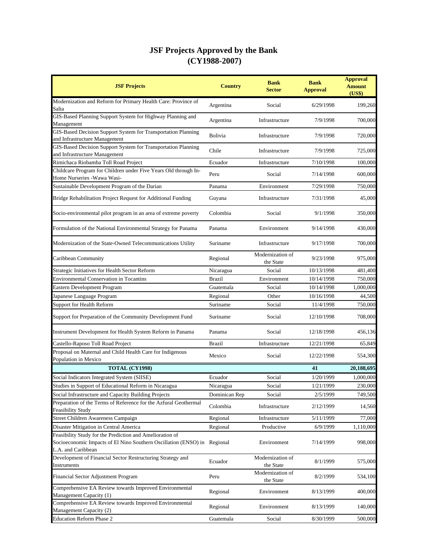| <b>JSF Projects</b>                                                                                                                                        | <b>Country</b> | <b>Bank</b><br><b>Sector</b>  | <b>Bank</b><br><b>Approval</b> | <b>Approval</b><br><b>Amount</b><br>(US\$) |
|------------------------------------------------------------------------------------------------------------------------------------------------------------|----------------|-------------------------------|--------------------------------|--------------------------------------------|
| Modernization and Reform for Primary Health Care: Province of<br>Salta                                                                                     | Argentina      | Social                        | 6/29/1998                      | 199,260                                    |
| GIS-Based Planning Support System for Highway Planning and<br>Management                                                                                   | Argentina      | Infrastructure                | 7/9/1998                       | 700,000                                    |
| GIS-Based Decision Support System for Transportation Planning<br>and Infrastructure Management                                                             | <b>Bolivia</b> | Infrastructure                | 7/9/1998                       | 720,000                                    |
| GIS-Based Decision Support System for Transportation Planning<br>and Infrastructure Management                                                             | Chile          | Infrastructure                | 7/9/1998                       | 725,000                                    |
| Rimichaca Riobamba Toll Road Project                                                                                                                       | Ecuador        | Infrastructure                | 7/10/1998                      | 100,000                                    |
| Childcare Program for Children under Five Years Old through In-<br>Home Nurseries - Wawa Wasi-                                                             | Peru           | Social                        | 7/14/1998                      | 600,000                                    |
| Sustainable Development Program of the Darian                                                                                                              | Panama         | Environment                   | 7/29/1998                      | 750,000                                    |
| Bridge Rehabilitation Project Request for Additional Funding                                                                                               | Guyana         | Infrastructure                | 7/31/1998                      | 45,000                                     |
| Socio-environmental pilot program in an area of extreme poverty                                                                                            | Colombia       | Social                        | 9/1/1998                       | 350,000                                    |
| Formulation of the National Environmental Strategy for Panama                                                                                              | Panama         | Environment                   | 9/14/1998                      | 430,000                                    |
| Modernization of the State-Owned Telecommunications Utility                                                                                                | Suriname       | Infrastructure                | 9/17/1998                      | 700,000                                    |
| Caribbean Community                                                                                                                                        | Regional       | Modernization of<br>the State | 9/23/1998                      | 975,000                                    |
| Strategic Initiatives for Health Sector Reform                                                                                                             | Nicaragua      | Social                        | 10/13/1998                     | 481,400                                    |
| <b>Environmental Conservation in Tocantins</b>                                                                                                             | <b>Brazil</b>  | Environment                   | 10/14/1998                     | 750,000                                    |
| Eastern Development Program                                                                                                                                | Guatemala      | Social                        | 10/14/1998                     | 1,000,000                                  |
| Japanese Language Program                                                                                                                                  | Regional       | Other                         | 10/16/1998                     | 44,500                                     |
| Support for Health Reform                                                                                                                                  | Suriname       | Social                        | 11/4/1998                      | 750,000                                    |
| Support for Preparation of the Community Development Fund                                                                                                  | Suriname       | Social                        | 12/10/1998                     | 708,000                                    |
| Instrument Development for Health System Reform in Panama                                                                                                  | Panama         | Social                        | 12/18/1998                     | 456,136                                    |
| Castello-Raposo Toll Road Project                                                                                                                          | <b>Brazil</b>  | Infrastructure                | 12/21/1998                     | 65,849                                     |
| Proposal on Maternal and Child Health Care for Indigenous<br>Population in Mexico                                                                          | Mexico         | Social                        | 12/22/1998                     | 554,300                                    |
| <b>TOTAL (CY1998)</b>                                                                                                                                      |                |                               | 41                             | 20,188,695                                 |
| Social Indicators Integrated System (SIISE)                                                                                                                | Ecuador        | Social                        | 1/20/1999                      | 1,000,000                                  |
| Studies in Support of Educational Reform in Nicaragua                                                                                                      | Nicaragua      | Social                        | 1/21/1999                      | 230,000                                    |
| Social Infrastructure and Capacity Building Projects                                                                                                       | Dominican Rep  | Social                        | 2/5/1999                       | 749,500                                    |
| Preparation of the Terms of Reference for the Azfural Geothermal<br>Feasibility Study                                                                      | Colombia       | Infrastructure                | 2/12/1999                      | 14,560                                     |
| Street Children Awareness Campaign                                                                                                                         | Regional       | Infrastructure                | 5/11/1999                      | 77,000                                     |
| Disaster Mitigation in Central America                                                                                                                     | Regional       | Productive                    | 6/9/1999                       | 1,110,000                                  |
| Feasibility Study for the Prediction and Amelioration of<br>Socioeconomic Impacts of El Nino Southern Oscillation (ENSO) in Regional<br>L.A. and Caribbean |                | Environment                   | 7/14/1999                      | 998,000                                    |
| Development of Financial Sector Restructuring Strategy and<br>Instruments                                                                                  | Ecuador        | Modernization of<br>the State | 8/1/1999                       | 575,000                                    |
| Financial Sector Adjustment Program                                                                                                                        | Peru           | Modernization of<br>the State | 8/2/1999                       | 534,100                                    |
| Comprehensive EA Review towards Improved Environmental<br>Management Capacity (1)                                                                          | Regional       | Environment                   | 8/13/1999                      | 400,000                                    |
| Comprehensive EA Review towards Improved Environmental<br>Management Capacity (2)                                                                          | Regional       | Environment                   | 8/13/1999                      | 140,000                                    |
| <b>Education Reform Phase 2</b>                                                                                                                            | Guatemala      | Social                        | 8/30/1999                      | 500,000                                    |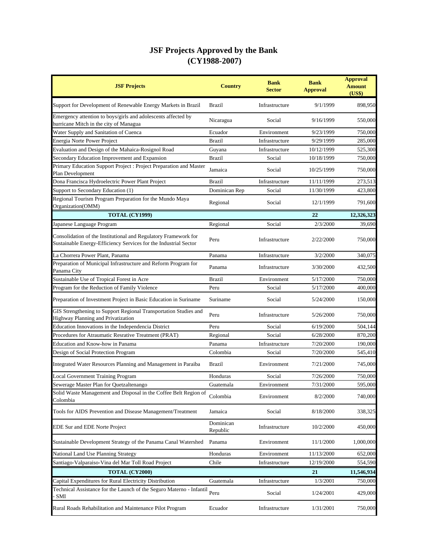| <b>JSF Projects</b>                                                                                                                 | <b>Country</b>        | <b>Bank</b><br>Sector | <b>Bank</b><br><b>Approval</b> | <b>Approval</b><br><b>Amount</b><br>(US\$) |
|-------------------------------------------------------------------------------------------------------------------------------------|-----------------------|-----------------------|--------------------------------|--------------------------------------------|
| Support for Development of Renewable Energy Markets in Brazil                                                                       | Brazil                | Infrastructure        | 9/1/1999                       | 898,950                                    |
| Emergency attention to boys/girls and adolescents affected by<br>hurricane Mitch in the city of Managua                             | Nicaragua             | Social                | 9/16/1999                      | 550,000                                    |
| Water Supply and Sanitation of Cuenca                                                                                               | Ecuador               | Environment           | 9/23/1999                      | 750,000                                    |
| Energia Norte Power Project                                                                                                         | <b>Brazil</b>         | Infrastructure        | 9/29/1999                      | 285,000                                    |
| Evaluation and Design of the Mahaica-Rosignol Road                                                                                  | Guyana                | Infrastructure        | 10/12/1999                     | 525,300                                    |
| Secondary Education Improvement and Expansion                                                                                       | <b>Brazil</b>         | Social                | 10/18/1999                     | 750,000                                    |
| Primary Education Support Project : Project Preparation and Master<br>Plan Development                                              | Jamaica               | Social                | 10/25/1999                     | 750,000                                    |
| Dona Francisca Hydroelectric Power Plant Project                                                                                    | <b>Brazil</b>         | Infrastructure        | 11/11/1999                     | 273,513                                    |
| Support to Secondary Education (1)                                                                                                  | Dominican Rep         | Social                | 11/30/1999                     | 423,800                                    |
| Regional Tourism Program Preparation for the Mundo Maya<br>Organization(OMM)                                                        | Regional              | Social                | 12/1/1999                      | 791,600                                    |
| <b>TOTAL (CY1999)</b>                                                                                                               |                       |                       | 22                             | 12,326,323                                 |
| Japanese Language Program                                                                                                           | Regional              | Social                | 2/3/2000                       | 39,690                                     |
| Consolidation of the Institutional and Regulatory Framework for<br>Sustainable Energy-Efficiency Services for the Industrial Sector | Peru                  | Infrastructure        | 2/22/2000                      | 750,000                                    |
| La Chorrera Power Plant, Panama                                                                                                     | Panama                | Infrastructure        | 3/2/2000                       | 340,075                                    |
| Preparation of Municipal Infrastructure and Reform Program for<br>Panama City                                                       | Panama                | Infrastructure        | 3/30/2000                      | 432,500                                    |
| Sustainable Use of Tropical Forest in Acre                                                                                          | <b>Brazil</b>         | Environment           | 5/17/2000                      | 750,000                                    |
| Program for the Reduction of Family Violence                                                                                        | Peru                  | Social                | 5/17/2000                      | 400,000                                    |
| Preparation of Investment Project in Basic Education in Suriname                                                                    | Suriname              | Social                | 5/24/2000                      | 150,000                                    |
| GIS Strengthening to Support Regional Transportation Studies and<br>Highway Planning and Privatization                              | Peru                  | Infrastructure        | 5/26/2000                      | 750,000                                    |
| Education Innovations in the Independencia District                                                                                 | Peru                  | Social                | 6/19/2000                      | 504,144                                    |
| Procedures for Atraumatic Resrative Treatment (PRAT)                                                                                | Regional              | Social                | 6/28/2000                      | 870,200                                    |
| Education and Know-how in Panama                                                                                                    | Panama                | Infrastructure        | 7/20/2000                      | 190,000                                    |
| Design of Social Protection Program                                                                                                 | Colombia              | Social                | 7/20/2000                      | 545,410                                    |
| Integrated Water Resources Planning and Management in Paraiba                                                                       | Brazil                | Environment           | 7/21/2000                      | 745,000                                    |
| <b>Local Government Training Program</b>                                                                                            | Honduras              | Social                | 7/26/2000                      | 750,000                                    |
| Sewerage Master Plan for Quetzaltenango                                                                                             | Guatemala             | Environment           | 7/31/2000                      | 595,000                                    |
| Solid Waste Management and Disposal in the Coffee Belt Region of<br>Colombia                                                        | Colombia              | Environment           | 8/2/2000                       | 740,000                                    |
| Tools for AIDS Prevention and Disease Management/Treatment                                                                          | Jamaica               | Social                | 8/18/2000                      | 338,325                                    |
| EDE Sur and EDE Norte Project                                                                                                       | Dominican<br>Republic | Infrastructure        | 10/2/2000                      | 450,000                                    |
| Sustainable Development Strategy of the Panama Canal Watershed                                                                      | Panama                | Environment           | 11/1/2000                      | 1,000,000                                  |
| National Land Use Planning Strategy                                                                                                 | Honduras              | Environment           | 11/13/2000                     | 652,000                                    |
| Santiago-Valparaiso-Vina del Mar Toll Road Project                                                                                  | Chile                 | Infrastructure        | 12/19/2000                     | 554,590                                    |
| TOTAL (CY2000)                                                                                                                      |                       |                       | 21                             | 11,546,934                                 |
| Capital Expenditures for Rural Electricity Distribution                                                                             | Guatemala             | Infrastructure        | 1/3/2001                       | 750,000                                    |
| Technical Assistance for the Launch of the Seguro Materno - Infantil<br>SMI                                                         | Peru                  | Social                | 1/24/2001                      | 429,000                                    |
| Rural Roads Rehabilitation and Maintenance Pilot Program                                                                            | Ecuador               | Infrastructure        | 1/31/2001                      | 750,000                                    |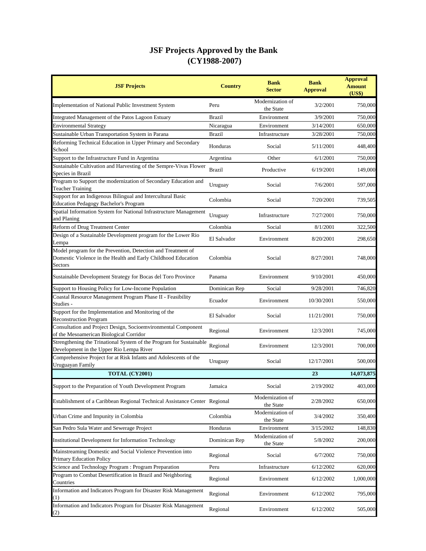| <b>JSF Projects</b>                                                                                                                             | <b>Country</b> | <b>Bank</b><br><b>Sector</b>  | <b>Bank</b><br><b>Approval</b> | <b>Approval</b><br><b>Amount</b><br>(US\$) |
|-------------------------------------------------------------------------------------------------------------------------------------------------|----------------|-------------------------------|--------------------------------|--------------------------------------------|
| Implementation of National Public Investment System                                                                                             | Peru           | Modernization of<br>the State | 3/2/2001                       | 750,000                                    |
| Integrated Management of the Patos Lagoon Estuary                                                                                               | <b>Brazil</b>  | Environment                   | 3/9/2001                       | 750,000                                    |
| <b>Environmental Strategy</b>                                                                                                                   | Nicaragua      | Environment                   | 3/14/2001                      | 650,000                                    |
| Sustainable Urban Transportation System in Parana                                                                                               | <b>Brazil</b>  | Infrastructure                | 3/28/2001                      | 750,000                                    |
| Reforming Technical Education in Upper Primary and Secondary<br>School                                                                          | Honduras       | Social                        | 5/11/2001                      | 448,400                                    |
| Support to the Infrastructure Fund in Argentina                                                                                                 | Argentina      | Other                         | 6/1/2001                       | 750,000                                    |
| Sustainable Cultivation and Harvesting of the Sempre-Vivas Flower<br>Species in Brazil                                                          | <b>Brazil</b>  | Productive                    | 6/19/2001                      | 149,000                                    |
| Program to Support the modernization of Secondary Education and<br><b>Teacher Training</b>                                                      | Uruguay        | Social                        | 7/6/2001                       | 597,000                                    |
| Support for an Indigenous Bilingual and Intercultural Basic<br><b>Education Pedagogy Bachelor's Program</b>                                     | Colombia       | Social                        | 7/20/2001                      | 739,505                                    |
| Spatial Information System for National Infrastructure Management<br>and Planing                                                                | Uruguay        | Infrastructure                | 7/27/2001                      | 750,000                                    |
| Reform of Drug Treatment Center                                                                                                                 | Colombia       | Social                        | 8/1/2001                       | 322,500                                    |
| Design of a Sustainable Development program for the Lower Rio<br>Lempa                                                                          | El Salvador    | Environment                   | 8/20/2001                      | 298,650                                    |
| Model program for the Prevention, Detection and Treatment of<br>Domestic Violence in the Health and Early Childhood Education<br><b>Sectors</b> | Colombia       | Social                        | 8/27/2001                      | 748,000                                    |
| Sustainable Development Strategy for Bocas del Toro Province                                                                                    | Panama         | Environment                   | 9/10/2001                      | 450,000                                    |
| Support to Housing Policy for Low-Income Population                                                                                             | Dominican Rep  | Social                        | 9/28/2001                      | 746,820                                    |
| Coastal Resource Management Program Phase II - Feasibility<br>Studies -                                                                         | Ecuador        | Environment                   | 10/30/2001                     | 550,000                                    |
| Support for the Implementation and Monitoring of the<br><b>Reconstruction Program</b>                                                           | El Salvador    | Social                        | 11/21/2001                     | 750,000                                    |
| Consultation and Project Design, Socioemvironmental Component<br>of the Mesoamerican Biological Corridor                                        | Regional       | Environment                   | 12/3/2001                      | 745,000                                    |
| Strengthening the Trinational System of the Program for Sustainable<br>Development in the Upper Rio Lempa River                                 | Regional       | Environment                   | 12/3/2001                      | 700,000                                    |
| Comprehensive Project for at Risk Infants and Adolescents of the<br>Uruguayan Family                                                            | Uruguay        | Social                        | 12/17/2001                     | 500,000                                    |
| TOTAL (CY2001)                                                                                                                                  |                |                               | 23                             | 14,073,875                                 |
| Support to the Preparation of Youth Development Program                                                                                         | Jamaica        | Social                        | 2/19/2002                      | 403,000                                    |
| Establishment of a Caribbean Regional Technical Assistance Center Regional                                                                      |                | Modernization of<br>the State | 2/28/2002                      | 650,000                                    |
| Urban Crime and Impunity in Colombia                                                                                                            | Colombia       | Modernization of<br>the State | 3/4/2002                       | 350,400                                    |
| San Pedro Sula Water and Sewerage Project                                                                                                       | Honduras       | Environment                   | 3/15/2002                      | 148,830                                    |
| <b>Institutional Development for Information Technology</b>                                                                                     | Dominican Rep  | Modernization of<br>the State | 5/8/2002                       | 200,000                                    |
| Mainstreaming Domestic and Social Violence Prevention into<br>Primary Education Policy                                                          | Regional       | Social                        | 6/7/2002                       | 750,000                                    |
| Science and Technology Program : Program Preparation                                                                                            | Peru           | Infrastructure                | 6/12/2002                      | 620,000                                    |
| Program to Combat Desertification in Brazil and Neighboring<br>Countries                                                                        | Regional       | Environment                   | 6/12/2002                      | 1,000,000                                  |
| Information and Indicators Program for Disaster Risk Management<br>$^{(1)}$                                                                     | Regional       | Environment                   | 6/12/2002                      | 795,000                                    |
| Information and Indicators Program for Disaster Risk Management<br>(2)                                                                          | Regional       | Environment                   | 6/12/2002                      | 505,000                                    |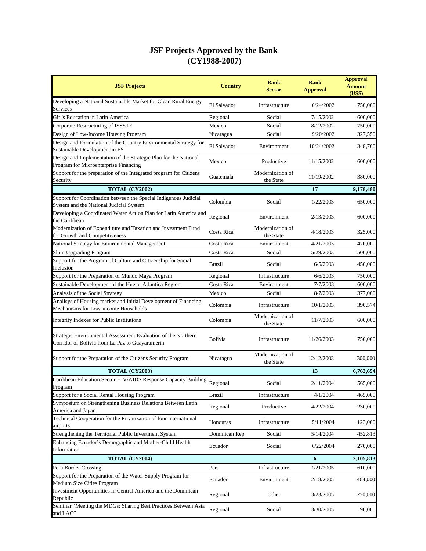| <b>JSF Projects</b>                                                                                              | <b>Country</b> | <b>Bank</b><br><b>Sector</b>  | <b>Bank</b><br><b>Approval</b> | <b>Approval</b><br><b>Amount</b><br>(US\$) |
|------------------------------------------------------------------------------------------------------------------|----------------|-------------------------------|--------------------------------|--------------------------------------------|
| Developing a National Sustainable Market for Clean Rural Energy<br>Services                                      | El Salvador    | Infrastructure                | 6/24/2002                      | 750,000                                    |
| Girl's Education in Latin America                                                                                | Regional       | Social                        | 7/15/2002                      | 600,000                                    |
| Corporate Restructuring of ISSSTE                                                                                | Mexico         | Social                        | 8/12/2002                      | 750,000                                    |
| Design of Low-Income Housing Program                                                                             | Nicaragua      | Social                        | 9/20/2002                      | 327,550                                    |
| Design and Formulation of the Country Environmental Strategy for<br>Sustainable Development in ES                | El Salvador    | Environment                   | 10/24/2002                     | 348,700                                    |
| Design and Implementation of the Strategic Plan for the National<br>Program for Microenterprise Financing        | Mexico         | Productive                    | 11/15/2002                     | 600,000                                    |
| Support for the preparation of the Integrated program for Citizens<br>Security                                   | Guatemala      | Modernization of<br>the State | 11/19/2002                     | 380,000                                    |
| TOTAL (CY2002)                                                                                                   |                |                               | 17                             | 9,178,480                                  |
| Support for Coordination between the Special Indigenous Judicial<br>System and the National Judicial System      | Colombia       | Social                        | 1/22/2003                      | 650,000                                    |
| Developing a Coordinated Water Action Plan for Latin America and<br>the Caribbean                                | Regional       | Environment                   | 2/13/2003                      | 600,000                                    |
| Modernization of Expenditure and Taxation and Investment Fund<br>for Growth and Competitiveness                  | Costa Rica     | Modernization of<br>the State | 4/18/2003                      | 325,000                                    |
| National Strategy for Environmental Management                                                                   | Costa Rica     | Environment                   | 4/21/2003                      | 470,000                                    |
| <b>Slum Upgrading Program</b>                                                                                    | Costa Rica     | Social                        | 5/29/2003                      | 500,000                                    |
| Support for the Program of Culture and Citizenship for Social<br>Inclusion                                       | <b>Brazil</b>  | Social                        | 6/5/2003                       | 450,080                                    |
| Support for the Preparation of Mundo Maya Program                                                                | Regional       | Infrastructure                | 6/6/2003                       | 750,000                                    |
| Sustainable Development of the Huetar Atlantica Region                                                           | Costa Rica     | Environment                   | 7/7/2003                       | 600,000                                    |
| Analysis of the Social Strategy                                                                                  | Mexico         | Social                        | 8/7/2003                       | 377,000                                    |
| Analisys of Housing market and Initial Development of Financing<br>Mechanisms for Low-income Households          | Colombia       | Infrastructure                | 10/1/2003                      | 390,574                                    |
| Integrity Indexes for Public Institutions                                                                        | Colombia       | Modernization of<br>the State | 11/7/2003                      | 600,000                                    |
| Strategic Environmental Assessment Evaluation of the Northern<br>Corridor of Bolivia from La Paz to Guayaramerin | Bolivia        | Infrastructure                | 11/26/2003                     | 750,000                                    |
| Support for the Preparation of the Citizens Security Program                                                     | Nicaragua      | Modernization of<br>the State | 12/12/2003                     | 300,000                                    |
| TOTAL (CY2003)                                                                                                   |                |                               | 13                             | 6,762,654                                  |
| Caribbean Education Sector HIV/AIDS Response Capacity Building<br>Program                                        | Regional       | Social                        | 2/11/2004                      | 565,000                                    |
| Support for a Social Rental Housing Program                                                                      | <b>Brazil</b>  | Infrastructure                | 4/1/2004                       | 465,000                                    |
| Symposium on Strengthening Business Relations Between Latin<br>America and Japan                                 | Regional       | Productive                    | 4/22/2004                      | 230,000                                    |
| Technical Cooperation for the Privatization of four international<br>airports                                    | Honduras       | Infrastructure                | 5/11/2004                      | 123,000                                    |
| Strengthening the Territorial Public Investment System                                                           | Dominican Rep  | Social                        | 5/14/2004                      | 452,813                                    |
| Enhancing Ecuador's Demographic and Mother-Child Health<br>Information                                           | Ecuador        | Social                        | 6/22/2004                      | 270,000                                    |
| TOTAL (CY2004)                                                                                                   |                |                               | 6                              | 2,105,813                                  |
| Peru Border Crossing                                                                                             | Peru           | Infrastructure                | 1/21/2005                      | 610,000                                    |
| Support for the Preparation of the Water Supply Program for<br>Medium Size Cities Program                        | Ecuador        | Environment                   | 2/18/2005                      | 464,000                                    |
| Investment Opportunities in Central America and the Dominican<br>Republic                                        | Regional       | Other                         | 3/23/2005                      | 250,000                                    |
| Seminar "Meeting the MDGs: Sharing Best Practices Between Asia<br>and LAC"                                       | Regional       | Social                        | 3/30/2005                      | 90,000                                     |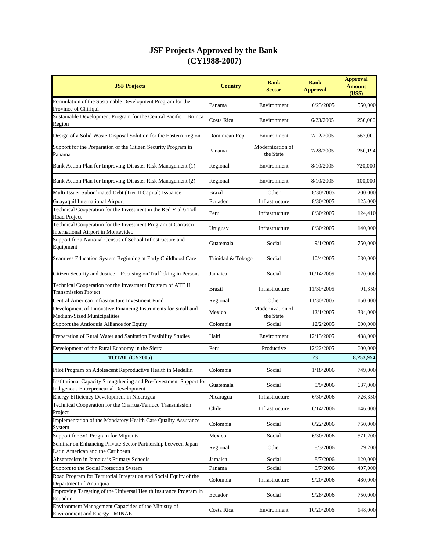| <b>JSF Projects</b>                                                                                           | <b>Country</b>    | <b>Bank</b><br><b>Sector</b>  | <b>Bank</b><br><b>Approval</b> | <b>Approval</b><br><b>Amount</b><br>(US\$) |
|---------------------------------------------------------------------------------------------------------------|-------------------|-------------------------------|--------------------------------|--------------------------------------------|
| Formulation of the Sustainable Development Program for the<br>Province of Chiriquí                            | Panama            | Environment                   | 6/23/2005                      | 550,000                                    |
| Sustainable Development Program for the Central Pacific - Brunca<br>Region                                    | Costa Rica        | Environment                   | 6/23/2005                      | 250,000                                    |
| Design of a Solid Waste Disposal Solution for the Eastern Region                                              | Dominican Rep     | Environment                   | 7/12/2005                      | 567,000                                    |
| Support for the Preparation of the Citizen Security Program in<br>Panama                                      | Panama            | Modernization of<br>the State | 7/28/2005                      | 250,194                                    |
| Bank Action Plan for Improving Disaster Risk Management (1)                                                   | Regional          | Environment                   | 8/10/2005                      | 720,000                                    |
| Bank Action Plan for Improving Disaster Risk Management (2)                                                   | Regional          | Environment                   | 8/10/2005                      | 100,000                                    |
| Multi Issuer Subordinated Debt (Tier II Capital) Issuance                                                     | <b>Brazil</b>     | Other                         | 8/30/2005                      | 200,000                                    |
| Guayaquil International Airport                                                                               | Ecuador           | Infrastructure                | 8/30/2005                      | 125,000                                    |
| Technical Cooperation for the Investment in the Red Vial 6 Toll<br>Road Project                               | Peru              | Infrastructure                | 8/30/2005                      | 124,410                                    |
| Technical Cooperation for the Investment Program at Carrasco<br><b>International Airport in Montevideo</b>    | Uruguay           | Infrastructure                | 8/30/2005                      | 140,000                                    |
| Support for a National Census of School Infrastructure and<br>Equipment                                       | Guatemala         | Social                        | 9/1/2005                       | 750,000                                    |
| Seamless Education System Beginning at Early Childhood Care                                                   | Trinidad & Tobago | Social                        | 10/4/2005                      | 630,000                                    |
| Citizen Security and Justice – Focusing on Trafficking in Persons                                             | Jamaica           | Social                        | 10/14/2005                     | 120,000                                    |
| Technical Cooperation for the Investment Program of ATE II<br><b>Transmission Project</b>                     | <b>Brazil</b>     | Infrastructure                | 11/30/2005                     | 91,350                                     |
| Central American Infrastructure Investment Fund                                                               | Regional          | Other                         | 11/30/2005                     | 150,000                                    |
| Development of Innovative Financing Instruments for Small and<br>Medium-Sized Municipalities                  | Mexico            | Modernization of<br>the State | 12/1/2005                      | 384,000                                    |
| Support the Antioquia Alliance for Equity                                                                     | Colombia          | Social                        | 12/2/2005                      | 600,000                                    |
| Preparation of Rural Water and Sanitation Feasibility Studies                                                 | Haiti             | Environment                   | 12/13/2005                     | 488,000                                    |
| Development of the Rural Economy in the Sierra                                                                | Peru              | Productive                    | 12/22/2005                     | 600,000                                    |
| TOTAL (CY2005)                                                                                                |                   |                               | 23                             | 8,253,954                                  |
| Pilot Program on Adolescent Reproductive Health in Medellin                                                   | Colombia          | Social                        | 1/18/2006                      | 749,000                                    |
| Institutional Capacity Strengthening and Pre-Investment Support for<br>Indigenous Entrepreneurial Development | Guatemala         | Social                        | 5/9/2006                       | 637,000                                    |
| Energy Efficiency Development in Nicaragua                                                                    | Nicaragua         | Infrastructure                | 6/30/2006                      | 726,350                                    |
| Technical Cooperation for the Charrua-Temuco Transmission<br>Project                                          | Chile             | Infrastructure                | 6/14/2006                      | 146,000                                    |
| Implementation of the Mandatory Health Care Quality Assurance<br>System                                       | Colombia          | Social                        | 6/22/2006                      | 750,000                                    |
| Support for 3x1 Program for Migrants                                                                          | Mexico            | Social                        | 6/30/2006                      | 571,200                                    |
| Seminar on Enhancing Private Sector Partnership between Japan -<br>Latin American and the Caribbean           | Regional          | Other                         | 8/3/2006                       | 29,200                                     |
| Absenteeism in Jamaica's Primary Schools                                                                      | Jamaica           | Social                        | 8/7/2006                       | 120,000                                    |
| Support to the Social Protection System                                                                       | Panama            | Social                        | 9/7/2006                       | 407,000                                    |
| Road Program for Territorial Integration and Social Equity of the<br>Department of Antioquia                  | Colombia          | Infrastructure                | 9/20/2006                      | 480,000                                    |
| Improving Targeting of the Universal Health Insurance Program in<br>Ecuador                                   | Ecuador           | Social                        | 9/28/2006                      | 750,000                                    |
| Environment Management Capacities of the Ministry of<br><b>Environment and Energy - MINAE</b>                 | Costa Rica        | Environment                   | 10/20/2006                     | 148,000                                    |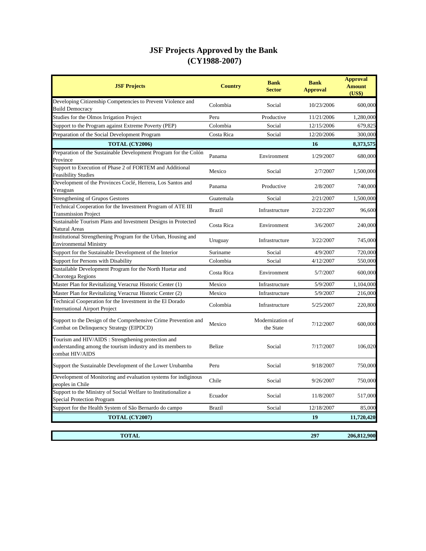| <b>JSF Projects</b>                                                                                                                   | <b>Country</b> | <b>Bank</b><br><b>Sector</b>  | <b>Bank</b><br><b>Approval</b> | <b>Approval</b><br><b>Amount</b><br>(US\$) |
|---------------------------------------------------------------------------------------------------------------------------------------|----------------|-------------------------------|--------------------------------|--------------------------------------------|
| Developing Citizenship Competencies to Prevent Violence and<br><b>Build Democracy</b>                                                 | Colombia       | Social                        | 10/23/2006                     | 600,000                                    |
| Studies for the Olmos Irrigation Project                                                                                              | Peru           | Productive                    | 11/21/2006                     | 1,280,000                                  |
| Support to the Program against Extreme Poverty (PEP)                                                                                  | Colombia       | Social                        | 12/15/2006                     | 679,825                                    |
| Preparation of the Social Development Program                                                                                         | Costa Rica     | Social                        | 12/20/2006                     | 300,000                                    |
| TOTAL (CY2006)                                                                                                                        |                |                               | 16                             | 8,373,575                                  |
| Preparation of the Sustainable Development Program for the Colón<br>Province                                                          | Panama         | Environment                   | 1/29/2007                      | 680,000                                    |
| Support to Execution of Phase 2 of FORTEM and Additional<br><b>Feasibility Studies</b>                                                | Mexico         | Social                        | 2/7/2007                       | 1,500,000                                  |
| Development of the Provinces Coclé, Herrera, Los Santos and<br>Veraguas                                                               | Panama         | Productive                    | 2/8/2007                       | 740,000                                    |
| <b>Strengthening of Grupos Gestores</b>                                                                                               | Guatemala      | Social                        | 2/21/2007                      | 1,500,000                                  |
| Technical Cooperation for the Investment Program of ATE III<br><b>Transmission Project</b>                                            | <b>Brazil</b>  | Infrastructure                | 2/22/2207                      | 96,600                                     |
| Sustainable Tourism Plans and Investment Designs in Protected<br>Natural Areas                                                        | Costa Rica     | Environment                   | 3/6/2007                       | 240,000                                    |
| Institutional Strengthening Program for the Urban, Housing and<br><b>Environmental Ministry</b>                                       | Uruguay        | Infrastructure                | 3/22/2007                      | 745,000                                    |
| Support for the Sustainable Development of the Interior                                                                               | Suriname       | Social                        | 4/9/2007                       | 720,000                                    |
| Support for Persons with Disability                                                                                                   | Colombia       | Social                        | 4/12/2007                      | 550,000                                    |
| Sustailable Development Program for the North Huetar and<br>Chorotega Regions                                                         | Costa Rica     | Environment                   | 5/7/2007                       | 600,000                                    |
| Master Plan for Revitalizing Veracruz Historic Center (1)                                                                             | Mexico         | Infrastructure                | 5/9/2007                       | 1,104,000                                  |
| Master Plan for Revitalizing Veracruz Historic Center (2)                                                                             | Mexico         | Infrastructure                | 5/9/2007                       | 216,000                                    |
| Technical Cooperation for the Investment in the El Dorado<br><b>International Airport Project</b>                                     | Colombia       | Infrastructure                | 5/25/2007                      | 220,800                                    |
| Support to the Design of the Comprehensive Crime Prevention and<br>Combat on Delinquency Strategy (EIPDCD)                            | Mexico         | Modernization of<br>the State | 7/12/2007                      | 600,000                                    |
| Tourism and HIV/AIDS : Strengthening protection and<br>understanding among the tourism industry and its members to<br>combat HIV/AIDS | Belize         | Social                        | 7/17/2007                      | 106,020                                    |
| Support the Sustainable Development of the Lower Urubamba                                                                             | Peru           | Social                        | 9/18/2007                      | 750,000                                    |
| Development of Monitoring and evaluation systems for indiginous<br>peoples in Chile                                                   | Chile          | Social                        | 9/26/2007                      | 750,000                                    |
| Support to the Ministry of Social Welfare to Institutionalize a<br><b>Special Protection Program</b>                                  | Ecuador        | Social                        | 11/8/2007                      | 517,000                                    |
| Support for the Health System of São Bernardo do campo                                                                                | <b>Brazil</b>  | Social                        | 12/18/2007                     | 85,000                                     |
| <b>TOTAL (CY2007)</b>                                                                                                                 |                |                               | 19                             | 11,720,420                                 |
|                                                                                                                                       |                |                               |                                |                                            |
| <b>TOTAL</b>                                                                                                                          |                |                               | 297                            | 206,812,900                                |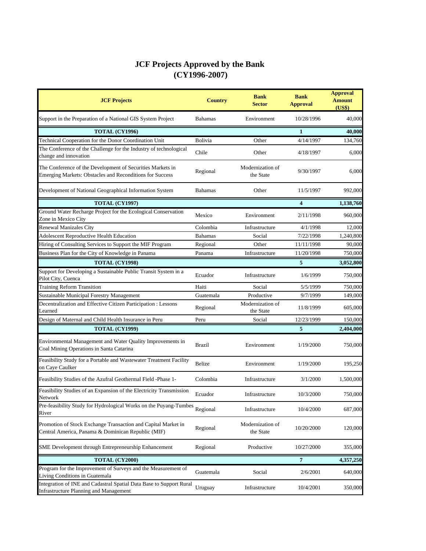| <b>JCF Projects</b>                                                                                                    | <b>Country</b> | <b>Bank</b><br><b>Sector</b>  | <b>Bank</b><br><b>Approval</b> | <b>Approval</b><br><b>Amount</b><br>(US\$) |
|------------------------------------------------------------------------------------------------------------------------|----------------|-------------------------------|--------------------------------|--------------------------------------------|
| Support in the Preparation of a National GIS System Project                                                            | Bahamas        | Environment                   | 10/28/1996                     | 40,000                                     |
| <b>TOTAL (CY1996)</b>                                                                                                  |                |                               | 1                              | 40,000                                     |
| Technical Cooperation for the Donor Coordination Unit                                                                  | Bolivia        | Other                         | 4/14/1997                      | 134,760                                    |
| The Conference of the Challenge for the Industry of technological<br>change and innovation                             | Chile          | Other                         | 4/18/1997                      | 6,000                                      |
| The Conference of the Development of Securities Markets in<br>Emerging Markets: Obstacles and Reconditions for Success | Regional       | Modernization of<br>the State | 9/30/1997                      | 6,000                                      |
| Development of National Geographical Information System                                                                | <b>Bahamas</b> | Other                         | 11/5/1997                      | 992,000                                    |
| <b>TOTAL (CY1997)</b>                                                                                                  |                |                               | 4                              | 1,138,760                                  |
| Ground Water Recharge Project for the Ecological Conservation<br>Zone in Mexico City                                   | Mexico         | Environment                   | 2/11/1998                      | 960,000                                    |
| <b>Renewal Manizales City</b>                                                                                          | Colombia       | Infrastructure                | 4/1/1998                       | 12,000                                     |
| <b>Adolescent Reproductive Health Education</b>                                                                        | <b>Bahamas</b> | Social                        | 7/22/1998                      | 1,240,800                                  |
| Hiring of Consulting Services to Support the MIF Program                                                               | Regional       | Other                         | 11/11/1998                     | 90,000                                     |
| Business Plan for the City of Knowledge in Panama                                                                      | Panama         | Infrastructure                | 11/20/1998                     | 750,000                                    |
| <b>TOTAL (CY1998)</b>                                                                                                  |                |                               | 5                              | 3,052,800                                  |
| Support for Developing a Sustainable Public Transit System in a<br>Pilot City, Cuenca                                  | Ecuador        | Infrastructure                | 1/6/1999                       | 750,000                                    |
| <b>Training Reform Transition</b>                                                                                      | Haiti          | Social                        | 5/5/1999                       | 750,000                                    |
| Sustainable Municipal Forestry Management                                                                              | Guatemala      | Productive                    | 9/7/1999                       | 149,000                                    |
| Decentralization and Effective Citizen Participation : Lessons<br>Learned                                              | Regional       | Modernization of<br>the State | 11/8/1999                      | 605,000                                    |
| Design of Maternal and Child Health Insurance in Peru                                                                  | Peru           | Social                        | 12/23/1999                     | 150,000                                    |
| <b>TOTAL (CY1999)</b>                                                                                                  |                |                               | 5                              | 2,404,000                                  |
| Environmental Management and Water Quality Improvements in<br>Coal Mining Operations in Santa Catarina                 | <b>Brazil</b>  | Environment                   | 1/19/2000                      | 750,000                                    |
| Feasibility Study for a Portable and Wastewater Treatment Facility<br>on Caye Caulker                                  | Belize         | Environment                   | 1/19/2000                      | 195,250                                    |
| Feasibility Studies of the Azufral Geothermal Field -Phase 1-                                                          | Colombia       | Infrastructure                | 3/1/2000                       | 1,500,000                                  |
| Feasibility Studies of an Expansion of the Electricity Transmission<br>Network                                         | Ecuador        | Infrastructure                | 10/3/2000                      | 750,000                                    |
| Pre-feasibility Study for Hydrological Works on the Puyang-Tumbes<br>River                                             | Regional       | Infrastructure                | 10/4/2000                      | 687,000                                    |
| Promotion of Stock Exchange Transaction and Capital Market in<br>Central America, Panama & Dominican Republic (MIF)    | Regional       | Modernization of<br>the State | 10/20/2000                     | 120,000                                    |
| SME Development through Entrepreneurship Enhancement                                                                   | Regional       | Productive                    | 10/27/2000                     | 355,000                                    |
| TOTAL (CY2000)                                                                                                         |                |                               | 7                              | 4,357,250                                  |
| Program for the Improvement of Surveys and the Measurement of<br>Living Conditions in Guatemala                        | Guatemala      | Social                        | 2/6/2001                       | 640,000                                    |
| Integration of INE and Cadastral Spatial Data Base to Support Rural<br><b>Infrastructure Planning and Management</b>   | Uruguay        | Infrastructure                | 10/4/2001                      | 350,000                                    |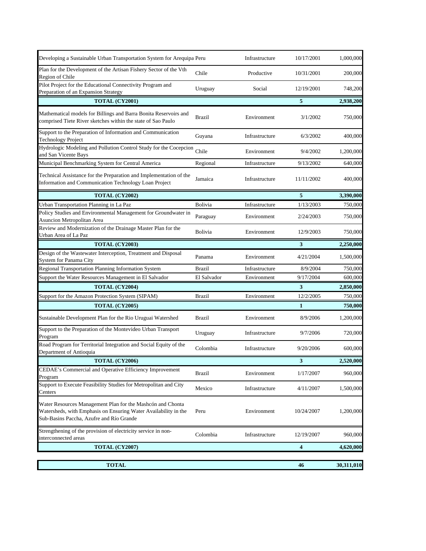| Developing a Sustainable Urban Transportation System for Arequipa Peru                                                                                                    |               | Infrastructure | 10/17/2001 | 1,000,000  |
|---------------------------------------------------------------------------------------------------------------------------------------------------------------------------|---------------|----------------|------------|------------|
| Plan for the Development of the Artisan Fishery Sector of the Vth<br>Region of Chile                                                                                      | Chile         | Productive     | 10/31/2001 | 200,000    |
| Pilot Project for the Educational Connectivity Program and<br>Preparation of an Expansion Strategy                                                                        | Uruguay       | Social         | 12/19/2001 | 748,200    |
| TOTAL (CY2001)                                                                                                                                                            |               |                | 5          | 2,938,200  |
| Mathematical models for Billings and Barra Bonita Reservoirs and<br>comprised Tiete River sketches within the state of Sao Paulo                                          | <b>Brazil</b> | Environment    | 3/1/2002   | 750,000    |
| Support to the Preparation of Information and Communication<br><b>Technology Project</b>                                                                                  | Guyana        | Infrastructure | 6/3/2002   | 400,000    |
| Hydrologic Modeling and Pollution Control Study for the Cocepcion<br>and San Vicente Bays                                                                                 | Chile         | Environment    | 9/4/2002   | 1,200,000  |
| Municipal Benchmarking System for Central America                                                                                                                         | Regional      | Infrastructure | 9/13/2002  | 640,000    |
| Technical Assistance for the Preparation and Implementation of the<br>Information and Communication Technology Loan Project                                               | Jamaica       | Infrastructure | 11/11/2002 | 400,000    |
| TOTAL (CY2002)                                                                                                                                                            |               |                | 5          | 3,390,000  |
| Urban Transportation Planning in La Paz                                                                                                                                   | Bolivia       | Infrastructure | 1/13/2003  | 750,000    |
| Policy Studies and Environmental Management for Groundwater in<br><b>Asuncion Metropolitan Area</b>                                                                       | Paraguay      | Environment    | 2/24/2003  | 750,000    |
| Review and Modernization of the Drainage Master Plan for the<br>Urban Area of La Paz                                                                                      | Bolivia       | Environment    | 12/9/2003  | 750,000    |
| TOTAL (CY2003)                                                                                                                                                            |               |                | 3          | 2,250,000  |
| Design of the Wastewater Interception, Treatment and Disposal<br>System for Panama City                                                                                   | Panama        | Environment    | 4/21/2004  | 1,500,000  |
| Regional Transportation Planning Information System                                                                                                                       | <b>Brazil</b> | Infrastructure | 8/9/2004   | 750,000    |
| Support the Water Resources Management in El Salvador                                                                                                                     | El Salvador   | Environment    | 9/17/2004  | 600,000    |
| TOTAL (CY2004)                                                                                                                                                            |               |                | 3          | 2,850,000  |
| Support for the Amazon Protection System (SIPAM)                                                                                                                          | Brazil        | Environment    | 12/2/2005  | 750,000    |
| TOTAL (CY2005)                                                                                                                                                            |               |                | 1          | 750,000    |
| Sustainable Development Plan for the Rio Uruguai Watershed                                                                                                                | <b>Brazil</b> | Environment    | 8/9/2006   | 1,200,000  |
| Support to the Preparation of the Montevideo Urban Transport<br>Program                                                                                                   | Uruguay       | Infrastructure | 9/7/2006   | 720,000    |
| Road Program for Territorial Integration and Social Equity of the<br>Department of Antioquia                                                                              | Colombia      | Infrastructure | 9/20/2006  | 600,000    |
| TOTAL (CY2006)                                                                                                                                                            |               |                | 3          | 2,520,000  |
| CEDAE's Commercial and Operative Efficiency Improvement<br>Program                                                                                                        | Brazil        | Environment    | 1/17/2007  | 960,000    |
| Support to Execute Feasibility Studies for Metropolitan and City<br>Centers                                                                                               | Mexico        | Infrastructure | 4/11/2007  | 1,500,000  |
| Water Resources Management Plan for the Mashcón and Chonta<br>Watersheds, with Emphasis on Ensuring Water Availability in the<br>Sub-Basins Paccha, Azufre and Río Grande | Peru          | Environment    | 10/24/2007 | 1,200,000  |
| Strengthening of the provision of electricity service in non-<br>interconnected areas                                                                                     | Colombia      | Infrastructure | 12/19/2007 | 960,000    |
| TOTAL (CY2007)                                                                                                                                                            |               |                | 4          | 4,620,000  |
|                                                                                                                                                                           |               |                |            |            |
| <b>TOTAL</b>                                                                                                                                                              |               |                | 46         | 30,311,010 |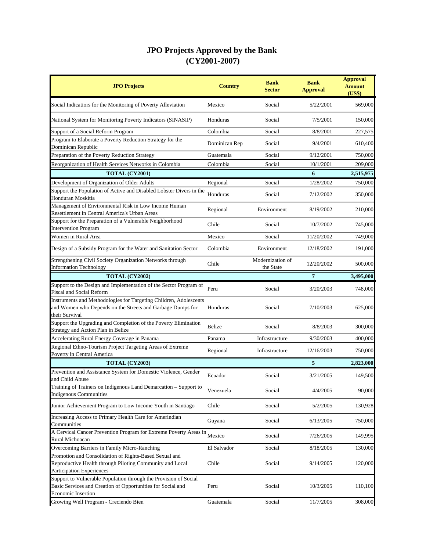| <b>JPO Projects</b>                                                                                                                                          | <b>Country</b> | <b>Bank</b><br><b>Sector</b>  | <b>Bank</b><br><b>Approval</b> | <b>Approval</b><br><b>Amount</b><br>(US\$) |
|--------------------------------------------------------------------------------------------------------------------------------------------------------------|----------------|-------------------------------|--------------------------------|--------------------------------------------|
| Social Indicatiors for the Monitoring of Poverty Alleviation                                                                                                 | Mexico         | Social                        | 5/22/2001                      | 569,000                                    |
| National System for Monitoring Poverty Indicators (SINASIP)                                                                                                  | Honduras       | Social                        | 7/5/2001                       | 150,000                                    |
| Support of a Social Reform Program                                                                                                                           | Colombia       | Social                        | 8/8/2001                       | 227,575                                    |
| Program to Elaborate a Poverty Reduction Strategy for the<br>Dominican Republic                                                                              | Dominican Rep  | Social                        | 9/4/2001                       | 610,400                                    |
| Preparation of the Poverty Reduction Strategy                                                                                                                | Guatemala      | Social                        | 9/12/2001                      | 750,000                                    |
| Reorganization of Health Services Networks in Colombia                                                                                                       | Colombia       | Social                        | 10/1/2001                      | 209,000                                    |
| TOTAL (CY2001)                                                                                                                                               |                |                               | 6                              | 2,515,975                                  |
| Development of Organization of Older Adults                                                                                                                  | Regional       | Social                        | 1/28/2002                      | 750,000                                    |
| Support the Population of Active and Disabled Lobster Divers in the<br>Honduran Moskitia                                                                     | Honduras       | Social                        | 7/12/2002                      | 350,000                                    |
| Management of Environmental Risk in Low Income Human<br>Resettlement in Central America's Urban Areas                                                        | Regional       | Environment                   | 8/19/2002                      | 210,000                                    |
| Support for the Preparation of a Vulnerable Neighborhood<br><b>Intervention Program</b>                                                                      | Chile          | Social                        | 10/7/2002                      | 745,000                                    |
| Women in Rural Area                                                                                                                                          | Mexico         | Social                        | 11/20/2002                     | 749,000                                    |
| Design of a Subsidy Program for the Water and Sanitation Sector                                                                                              | Colombia       | Environment                   | 12/18/2002                     | 191,000                                    |
| Strengthening Civil Society Organization Networks through<br><b>Information Technology</b>                                                                   | Chile          | Modernization of<br>the State | 12/20/2002                     | 500,000                                    |
| TOTAL (CY2002)                                                                                                                                               |                |                               | $\overline{7}$                 | 3,495,000                                  |
| Support to the Design and Implementation of the Sector Program of                                                                                            | Peru           | Social                        | 3/20/2003                      | 748,000                                    |
| Fiscal and Social Reform                                                                                                                                     |                |                               |                                |                                            |
| Instruments and Methodologies for Targeting Children, Adolescents<br>and Women who Depends on the Streets and Garbage Dumps for<br>their Survival            | Honduras       | Social                        | 7/10/2003                      | 625,000                                    |
| Support the Upgrading and Completion of the Poverty Elimination<br>Strategy and Action Plan in Belize                                                        | Belize         | Social                        | 8/8/2003                       | 300,000                                    |
| Accelerating Rural Energy Coverage in Panama                                                                                                                 | Panama         | Infrastructure                | 9/30/2003                      | 400,000                                    |
| Regional Ethno-Tourism Project Targeting Areas of Extreme<br>Poverty in Central America                                                                      | Regional       | Infrastructure                | 12/16/2003                     | 750,000                                    |
| TOTAL (CY2003)                                                                                                                                               |                |                               | 5                              | 2,823,000                                  |
| Prevention and Assistance System for Domestic Violence, Gender<br>and Child Abuse                                                                            | Ecuador        | Social                        | 3/21/2005                      | 149,500                                    |
| Training of Trainers on Indigenous Land Demarcation - Support to<br>Indigenous Communities                                                                   | Venezuela      | Social                        | 4/4/2005                       | 90,000                                     |
| Junior Achievement Program to Low Income Youth in Santiago                                                                                                   | Chile          | Social                        | 5/2/2005                       | 130,928                                    |
| Increasing Access to Primary Health Care for Amerindian<br>Communities                                                                                       | Guyana         | Social                        | 6/13/2005                      | 750,000                                    |
| A Cervical Cancer Prevention Program for Extreme Poverty Areas in<br>Rural Michoacan                                                                         | Mexico         | Social                        | 7/26/2005                      | 149,995                                    |
| Overcoming Barriers in Family Micro-Ranching                                                                                                                 | El Salvador    | Social                        | 8/18/2005                      | 130,000                                    |
| Promotion and Consolidation of Rights-Based Sexual and<br>Reproductive Health through Piloting Community and Local<br>Participation Experiences              | Chile          | Social                        | 9/14/2005                      | 120,000                                    |
| Support to Vulnerable Population through the Provision of Social<br>Basic Services and Creation of Opportunities for Social and<br><b>Economic Insertion</b> | Peru           | Social                        | 10/3/2005                      | 110,100                                    |
| Growing Well Program - Creciendo Bien                                                                                                                        | Guatemala      | Social                        | 11/7/2005                      | 308,000                                    |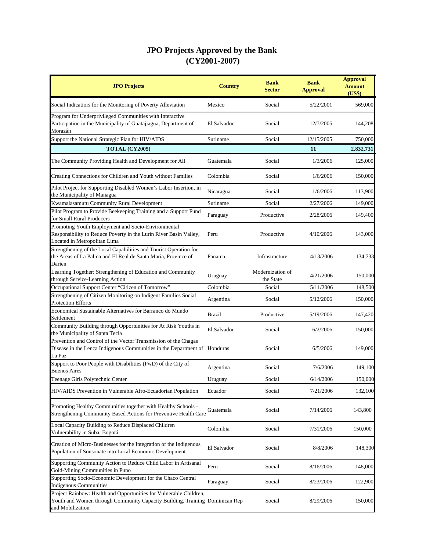| <b>JPO Projects</b>                                                                                                                                                   | <b>Country</b> | <b>Bank</b><br><b>Sector</b>  | <b>Bank</b><br><b>Approval</b> | <b>Approval</b><br><b>Amount</b><br>(US\$) |
|-----------------------------------------------------------------------------------------------------------------------------------------------------------------------|----------------|-------------------------------|--------------------------------|--------------------------------------------|
| Social Indicatiors for the Monitoring of Poverty Alleviation                                                                                                          | Mexico         | Social                        | 5/22/2001                      | 569,000                                    |
| Program for Underprivileged Communities with Interactive<br>Participation in the Municipality of Guatajiagua, Department of<br>Morazán                                | El Salvador    | Social                        | 12/7/2005                      | 144,208                                    |
| Support the National Strategic Plan for HIV/AIDS                                                                                                                      | Suriname       | Social                        | 12/15/2005                     | 750,000                                    |
| TOTAL (CY2005)                                                                                                                                                        |                |                               | 11                             | 2,832,731                                  |
| The Community Providing Health and Development for All                                                                                                                | Guatemala      | Social                        | 1/3/2006                       | 125,000                                    |
| Creating Connections for Children and Youth without Families                                                                                                          | Colombia       | Social                        | 1/6/2006                       | 150,000                                    |
| Pilot Project for Supporting Disabled Women's Labor Insertion, in<br>the Municipality of Managua                                                                      | Nicaragua      | Social                        | 1/6/2006                       | 113,900                                    |
| Kwamalasamutu Community Rural Development                                                                                                                             | Suriname       | Social                        | 2/27/2006                      | 149,000                                    |
| Pilot Program to Provide Beekeeping Training and a Support Fund<br>for Small Rural Producers                                                                          | Paraguay       | Productive                    | 2/28/2006                      | 149,400                                    |
| Promoting Youth Employment and Socio-Environmental<br>Responsibility to Reduce Poverty in the Lurín River Basin Valley,<br>Located in Metropolitan Lima               | Peru           | Productive                    | 4/10/2006                      | 143,000                                    |
| Strengthening of the Local Capabilities and Tourist Operation for<br>the Areas of La Palma and El Real de Santa Maria, Province of<br>Darien                          | Panama         | Infrastracture                | 4/13/2006                      | 134,733                                    |
| Learning Together: Strengthening of Education and Community<br>through Service-Learning Action                                                                        | Uruguay        | Modernization of<br>the State | 4/21/2006                      | 150,000                                    |
| Occupational Support Center "Citizen of Tomorrow"                                                                                                                     | Colombia       | Social                        | 5/11/2006                      | 148,500                                    |
| Strengthening of Citizen Monitoring on Indigent Families Social<br><b>Protection Efforts</b>                                                                          | Argentina      | Social                        | 5/12/2006                      | 150,000                                    |
| Economical Sustainable Alternatives for Barranco do Mundo<br>Settlement                                                                                               | <b>Brazil</b>  | Productive                    | 5/19/2006                      | 147,420                                    |
| Community Building through Opportunities for At Risk Youths in<br>the Municipality of Santa Tecla                                                                     | El Salvador    | Social                        | 6/2/2006                       | 150,000                                    |
| Prevention and Control of the Vector Transmission of the Chagas<br>Disease in the Lenca Indigenous Communities in the Department of Honduras<br>La Paz                |                | Social                        | 6/5/2006                       | 149,000                                    |
| Support to Poor People with Disabilities (PwD) of the City of<br><b>Buenos Aires</b>                                                                                  | Argentina      | Social                        | 7/6/2006                       | 149,100                                    |
| Teenage Girls Polytechnic Center                                                                                                                                      | Uruguay        | Social                        | 6/14/2006                      | 150,000                                    |
| HIV/AIDS Prevention in Vulnerable Afro-Ecuadorian Population                                                                                                          | Ecuador        | Social                        | 7/21/2006                      | 132,100                                    |
| Promoting Healthy Communities together with Healthy Schools -<br>Strengthening Community Based Actions for Preventive Health Care                                     | Guatemala      | Social                        | 7/14/2006                      | 143,800                                    |
| Local Capacity Building to Reduce Displaced Children<br>Vulnerability in Suba, Bogotá                                                                                 | Colombia       | Social                        | 7/31/2006                      | 150,000                                    |
| Creation of Micro-Businesses for the Integration of the Indigenous<br>Population of Sonsonate into Local Economic Development                                         | El Salvador    | Social                        | 8/8/2006                       | 148,300                                    |
| Supporting Community Action to Reduce Child Labor in Artisanal<br>Gold-Mining Communities in Puno                                                                     | Peru           | Social                        | 8/16/2006                      | 148,000                                    |
| Supporting Socio-Economic Development for the Chaco Central<br><b>Indigenous Communities</b>                                                                          | Paraguay       | Social                        | 8/23/2006                      | 122,900                                    |
| Project Rainbow: Health and Opportunities for Vulnerable Children,<br>Youth and Women through Community Capacity Building, Training Dominican Rep<br>and Mobilization |                | Social                        | 8/29/2006                      | 150,000                                    |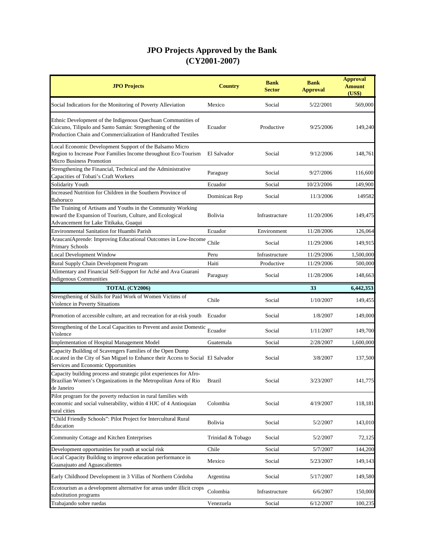| <b>JPO Projects</b>                                                                                                                                                                       | <b>Country</b>    | <b>Bank</b><br><b>Sector</b> | <b>Bank</b><br><b>Approval</b> | <b>Approval</b><br><b>Amount</b><br>(US\$) |
|-------------------------------------------------------------------------------------------------------------------------------------------------------------------------------------------|-------------------|------------------------------|--------------------------------|--------------------------------------------|
| Social Indicatiors for the Monitoring of Poverty Alleviation                                                                                                                              | Mexico            | Social                       | 5/22/2001                      | 569,000                                    |
| Ethnic Development of the Indigenous Quechuan Communities of<br>Cuicuno, Tilipulo and Santo Samán: Strengthening of the<br>Production Chain and Commercialization of Handcrafted Textiles | Ecuador           | Productive                   | 9/25/2006                      | 149,240                                    |
| Local Economic Development Support of the Balsamo Micro<br>Region to Increase Poor Families Income throughout Eco-Tourism<br>Micro Business Promotion                                     | El Salvador       | Social                       | 9/12/2006                      | 148,761                                    |
| Strengthening the Financial, Technical and the Administrative<br>Capacities of Tobati's Craft Workers                                                                                     | Paraguay          | Social                       | 9/27/2006                      | 116,600                                    |
| Solidarity Youth                                                                                                                                                                          | Ecuador           | Social                       | 10/23/2006                     | 149,900                                    |
| Increased Nutrition for Children in the Southern Province of<br>Bahoruco                                                                                                                  | Dominican Rep     | Social                       | 11/3/2006                      | 149582                                     |
| The Training of Artisans and Youths in the Community Working<br>toward the Expansion of Tourism, Culture, and Ecological<br>Advancement for Lake Titikaka, Guaqui                         | Bolivia           | Infrastracture               | 11/20/2006                     | 149,475                                    |
| <b>Environmental Sanitation for Huambi Parish</b>                                                                                                                                         | Ecuador           | Environment                  | 11/28/2006                     | 126,064                                    |
| Araucaní Aprende: Improving Educational Outcomes in Low-Income<br>Primary Schools                                                                                                         | Chile             | Social                       | 11/29/2006                     | 149,915                                    |
| <b>Local Development Window</b>                                                                                                                                                           | Peru              | Infrastructure               | 11/29/2006                     | 1,500,000                                  |
| Rural Supply Chain Development Program                                                                                                                                                    | Haiti             | Productive                   | 11/29/2006                     | 500,000                                    |
| Alimentary and Financial Self-Support for Aché and Ava Guaraní<br><b>Indigenous Communities</b>                                                                                           | Paraguay          | Social                       | 11/28/2006                     | 148,663                                    |
| TOTAL (CY2006)                                                                                                                                                                            |                   |                              | 33                             | 6,442,353                                  |
| Strengthening of Skills for Paid Work of Women Victims of<br>Violence in Poverty Situations                                                                                               | Chile             | Social                       | 1/10/2007                      | 149,455                                    |
| Promotion of accessible culture, art and recreation for at-risk youth                                                                                                                     | Ecuador           | Social                       | 1/8/2007                       | 149,000                                    |
| Strengthening of the Local Capacities to Prevent and assist Domestic<br>Violence                                                                                                          | Ecuador           | Social                       | 1/11/2007                      | 149,700                                    |
| <b>Implementation of Hospital Management Model</b>                                                                                                                                        | Guatemala         | Social                       | 2/28/2007                      | 1,600,000                                  |
| Capacity Building of Scavengers Families of the Open Dump<br>Located in the City of San Miguel to Enhance their Access to Social El Salvador<br>Services and Economic Opportunities       |                   | Social                       | 3/8/2007                       | 137,500                                    |
| Capacity building process and strategic pilot experiences for Afro-<br>Brazilian Women's Organizations in the Metropolitan Area of Rio<br>de Janeiro                                      | Brazil            | Social                       | 3/23/2007                      | 141,775                                    |
| Pilot program for the poverty reduction in rural families with<br>economic and social vulnerability, within 4 HJC of 4 Antioquian<br>rural cities                                         | Colombia          | Social                       | 4/19/2007                      | 118,181                                    |
| 'Child Friendly Schools'': Pilot Project for Intercultural Rural<br>Education                                                                                                             | Bolivia           | Social                       | 5/2/2007                       | 143,010                                    |
| Community Cottage and Kitchen Enterprises                                                                                                                                                 | Trinidad & Tobago | Social                       | 5/2/2007                       | 72,125                                     |
| Development opportunities for youth at social risk                                                                                                                                        | Chile             | Social                       | 5/7/2007                       | 144,200                                    |
| Local Capacity Building to improve education performance in<br>Guanajuato and Aguascalientes                                                                                              | Mexico            | Social                       | 5/23/2007                      | 149,143                                    |
| Early Childhood Development in 3 Villas of Northern Córdoba                                                                                                                               | Argentina         | Social                       | 5/17/2007                      | 149,580                                    |
| Ecotourism as a development alternative for areas under illicit crops<br>substitution programs                                                                                            | Colombia          | Infrastructure               | 6/6/2007                       | 150,000                                    |
| Trabajando sobre ruedas                                                                                                                                                                   | Venezuela         | Social                       | 6/12/2007                      | 100,235                                    |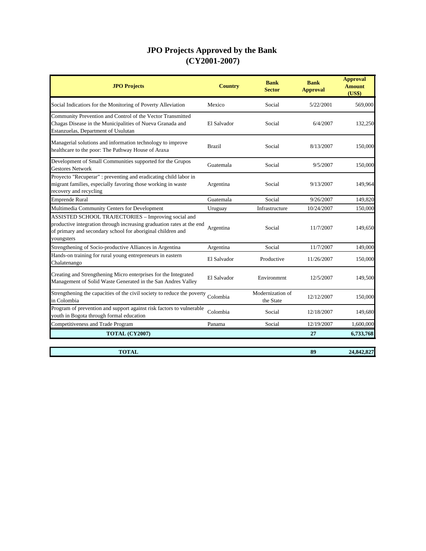| <b>JPO Projects</b>                                                                                                                                                                                       | <b>Country</b> | <b>Bank</b><br><b>Sector</b>  | <b>Bank</b><br><b>Approval</b> | <b>Approval</b><br><b>Amount</b><br>(US\$) |
|-----------------------------------------------------------------------------------------------------------------------------------------------------------------------------------------------------------|----------------|-------------------------------|--------------------------------|--------------------------------------------|
| Social Indicatiors for the Monitoring of Poverty Alleviation                                                                                                                                              | Mexico         | Social                        | 5/22/2001                      | 569,000                                    |
| Community Prevention and Control of the Vector Transmitted<br>Chagas Disease in the Municipalities of Nueva Granada and<br>Estanzuelas, Department of Usulutan                                            | El Salvador    | Social                        | 6/4/2007                       | 132,250                                    |
| Managerial solutions and information technology to improve<br>healthcare to the poor: The Pathway House of Araxa                                                                                          | <b>Brazil</b>  | Social                        | 8/13/2007                      | 150,000                                    |
| Development of Small Communities supported for the Grupos<br><b>Gestores Network</b>                                                                                                                      | Guatemala      | Social                        | 9/5/2007                       | 150,000                                    |
| Proyecto "Recuperar" : preventing and eradicating child labor in<br>migrant families, especially favoring those working in waste<br>recovery and recycling                                                | Argentina      | Social                        | 9/13/2007                      | 149,964                                    |
| <b>Emprende Rural</b>                                                                                                                                                                                     | Guatemala      | Social                        | 9/26/2007                      | 149,820                                    |
| Multimedia Community Centers for Development                                                                                                                                                              | Uruguay        | Infrastructure                | 10/24/2007                     | 150,000                                    |
| ASSISTED SCHOOL TRAJECTORIES - Improving social and<br>productive integration through increasing graduation rates at the end<br>of primary and secondary school for aboriginal children and<br>youngsters | Argentina      | Social                        | 11/7/2007                      | 149,650                                    |
| Strengthening of Socio-productive Alliances in Argentina                                                                                                                                                  | Argentina      | Social                        | 11/7/2007                      | 149,000                                    |
| Hands-on training for rural young entrepreneurs in eastern<br>Chalatenango                                                                                                                                | El Salvador    | Productive                    | 11/26/2007                     | 150,000                                    |
| Creating and Strengthening Micro enterprises for the Integrated<br>Management of Solid Waste Generated in the San Andres Valley                                                                           | El Salvador    | Environmrnt                   | 12/5/2007                      | 149,500                                    |
| Strengthening the capacities of the civil society to reduce the poverty<br>in Colombia                                                                                                                    | Colombia       | Modernization of<br>the State | 12/12/2007                     | 150,000                                    |
| Program of prevention and support against risk factors to vulnerable<br>youth in Bogota through formal education                                                                                          | Colombia       | Social                        | 12/18/2007                     | 149,680                                    |
| Competitiveness and Trade Program                                                                                                                                                                         | Panama         | Social                        | 12/19/2007                     | 1,600,000                                  |
| TOTAL (CY2007)                                                                                                                                                                                            |                |                               | 27                             | 6,733,768                                  |

**TOTAL 89 24,842,827**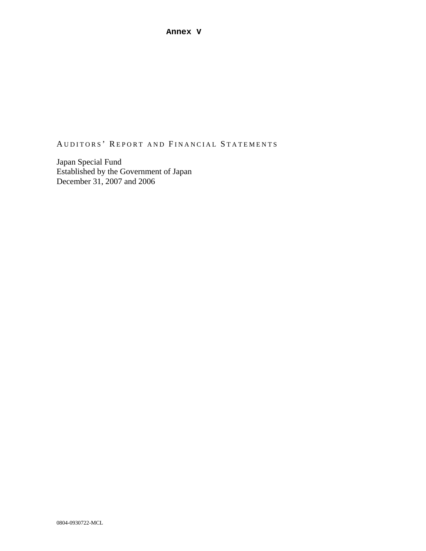AUDITORS' REPORT AND FINANCIAL STATEMENTS

Japan Special Fund Established by the Government of Japan December 31, 2007 and 2006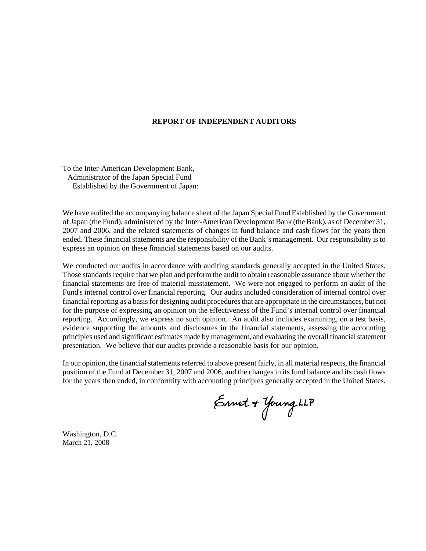#### **REPORT OF INDEPENDENT AUDITORS**

To the Inter-American Development Bank, Administrator of the Japan Special Fund Established by the Government of Japan:

We have audited the accompanying balance sheet of the Japan Special Fund Established by the Government of Japan (the Fund), administered by the Inter-American Development Bank (the Bank), as of December 31, 2007 and 2006, and the related statements of changes in fund balance and cash flows for the years then ended. These financial statements are the responsibility of the Bank's management. Our responsibility is to express an opinion on these financial statements based on our audits.

We conducted our audits in accordance with auditing standards generally accepted in the United States. Those standards require that we plan and perform the audit to obtain reasonable assurance about whether the financial statements are free of material misstatement. We were not engaged to perform an audit of the Fund's internal control over financial reporting. Our audits included consideration of internal control over financial reporting as a basis for designing audit procedures that are appropriate in the circumstances, but not for the purpose of expressing an opinion on the effectiveness of the Fund's internal control over financial reporting. Accordingly, we express no such opinion. An audit also includes examining, on a test basis, evidence supporting the amounts and disclosures in the financial statements, assessing the accounting principles used and significant estimates made by management, and evaluating the overall financial statement presentation. We believe that our audits provide a reasonable basis for our opinion.

In our opinion, the financial statements referred to above present fairly, in all material respects, the financial position of the Fund at December 31, 2007 and 2006, and the changes in its fund balance and its cash flows for the years then ended, in conformity with accounting principles generally accepted in the United States.

Ernet + Young LLP

Washington, D.C. March 21, 2008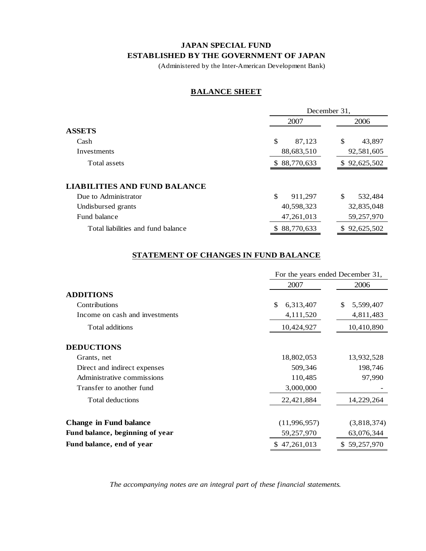## **JAPAN SPECIAL FUND ESTABLISHED BY THE GOVERNMENT OF JAPAN**

(Administered by the Inter-American Development Bank)

## **BALANCE SHEET**

|                                     | December 31,      |               |  |
|-------------------------------------|-------------------|---------------|--|
|                                     | 2007              | 2006          |  |
| ASSETS                              |                   |               |  |
| Cash                                | \$<br>87.123      | \$<br>43,897  |  |
| Investments                         | 88,683,510        | 92,581,605    |  |
| Total assets                        | \$88,770,633      | \$92,625,502  |  |
|                                     |                   |               |  |
| <b>LIABILITIES AND FUND BALANCE</b> |                   |               |  |
| Due to Administrator                | \$<br>911,297     | \$<br>532,484 |  |
| Undisbursed grants                  | 40,598,323        | 32,835,048    |  |
| Fund balance                        | 47,261,013        | 59,257,970    |  |
| Total liabilities and fund balance  | 88.770.633<br>SS. | \$92,625,502  |  |

## **STATEMENT OF CHANGES IN FUND BALANCE**

|                                 |                 | For the years ended December 31, |  |  |
|---------------------------------|-----------------|----------------------------------|--|--|
|                                 | 2007            | 2006                             |  |  |
| <b>ADDITIONS</b>                |                 |                                  |  |  |
| Contributions                   | \$<br>6,313,407 | \$<br>5,599,407                  |  |  |
| Income on cash and investments  | 4,111,520       | 4,811,483                        |  |  |
| Total additions                 | 10,424,927      | 10,410,890                       |  |  |
| <b>DEDUCTIONS</b>               |                 |                                  |  |  |
| Grants, net                     | 18,802,053      | 13,932,528                       |  |  |
| Direct and indirect expenses    | 509,346         | 198,746                          |  |  |
| Administrative commissions      | 110,485         | 97,990                           |  |  |
| Transfer to another fund        | 3,000,000       |                                  |  |  |
| Total deductions                | 22,421,884      | 14,229,264                       |  |  |
| <b>Change in Fund balance</b>   | (11,996,957)    | (3,818,374)                      |  |  |
| Fund balance, beginning of year | 59,257,970      | 63,076,344                       |  |  |
| Fund balance, end of year       | 47,261,013      | \$59,257,970                     |  |  |

*The accompanying notes are an integral part of these financial statements.*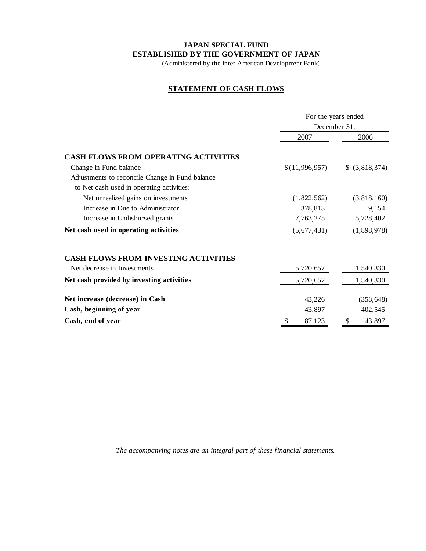### **JAPAN SPECIAL FUND ESTABLISHED BY THE GOVERNMENT OF JAPAN**

(Administered by the Inter-American Development Bank)

## **STATEMENT OF CASH FLOWS**

|                                                 | For the years ended<br>December 31, |                |  |
|-------------------------------------------------|-------------------------------------|----------------|--|
|                                                 | 2007                                | 2006           |  |
| <b>CASH FLOWS FROM OPERATING ACTIVITIES</b>     |                                     |                |  |
| Change in Fund balance                          | \$(11,996,957)                      | \$ (3,818,374) |  |
| Adjustments to reconcile Change in Fund balance |                                     |                |  |
| to Net cash used in operating activities:       |                                     |                |  |
| Net unrealized gains on investments             | (1,822,562)                         | (3,818,160)    |  |
| Increase in Due to Administrator                | 378,813                             | 9,154          |  |
| Increase in Undisbursed grants                  | 7,763,275                           | 5,728,402      |  |
| Net cash used in operating activities           | (5,677,431)                         | (1,898,978)    |  |
| <b>CASH FLOWS FROM INVESTING ACTIVITIES</b>     |                                     |                |  |
| Net decrease in Investments                     | 5,720,657                           | 1,540,330      |  |
| Net cash provided by investing activities       | 5,720,657                           | 1,540,330      |  |
| Net increase (decrease) in Cash                 | 43,226                              | (358, 648)     |  |
| Cash, beginning of year                         | 43,897                              | 402,545        |  |
| Cash, end of year                               | 87,123                              | 43,897         |  |

*The accompanying notes are an integral part of these financial statements.*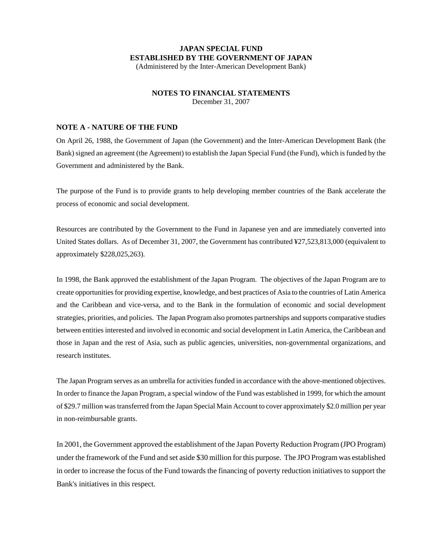## **JAPAN SPECIAL FUND ESTABLISHED BY THE GOVERNMENT OF JAPAN**

(Administered by the Inter-American Development Bank)

### **NOTES TO FINANCIAL STATEMENTS**

December 31, 2007

### **NOTE A - NATURE OF THE FUND**

On April 26, 1988, the Government of Japan (the Government) and the Inter-American Development Bank (the Bank) signed an agreement (the Agreement) to establish the Japan Special Fund (the Fund), which is funded by the Government and administered by the Bank.

The purpose of the Fund is to provide grants to help developing member countries of the Bank accelerate the process of economic and social development.

Resources are contributed by the Government to the Fund in Japanese yen and are immediately converted into United States dollars. As of December 31, 2007, the Government has contributed ¥27,523,813,000 (equivalent to approximately \$228,025,263).

In 1998, the Bank approved the establishment of the Japan Program. The objectives of the Japan Program are to create opportunities for providing expertise, knowledge, and best practices of Asia to the countries of Latin America and the Caribbean and vice-versa, and to the Bank in the formulation of economic and social development strategies, priorities, and policies. The Japan Program also promotes partnerships and supports comparative studies between entities interested and involved in economic and social development in Latin America, the Caribbean and those in Japan and the rest of Asia, such as public agencies, universities, non-governmental organizations, and research institutes.

The Japan Program serves as an umbrella for activities funded in accordance with the above-mentioned objectives. In order to finance the Japan Program, a special window of the Fund was established in 1999, for which the amount of \$29.7 million was transferred from the Japan Special Main Account to cover approximately \$2.0 million per year in non-reimbursable grants.

In 2001, the Government approved the establishment of the Japan Poverty Reduction Program (JPO Program) under the framework of the Fund and set aside \$30 million for this purpose. The JPO Program was established in order to increase the focus of the Fund towards the financing of poverty reduction initiatives to support the Bank's initiatives in this respect.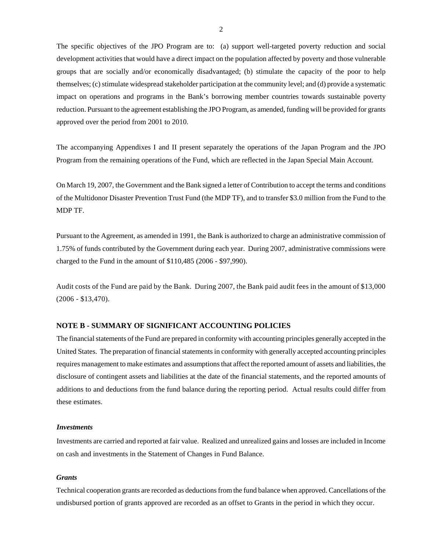The specific objectives of the JPO Program are to: (a) support well-targeted poverty reduction and social development activities that would have a direct impact on the population affected by poverty and those vulnerable groups that are socially and/or economically disadvantaged; (b) stimulate the capacity of the poor to help themselves; (c) stimulate widespread stakeholder participation at the community level; and (d) provide a systematic impact on operations and programs in the Bank's borrowing member countries towards sustainable poverty reduction. Pursuant to the agreement establishing the JPO Program, as amended, funding will be provided for grants approved over the period from 2001 to 2010.

The accompanying Appendixes I and II present separately the operations of the Japan Program and the JPO Program from the remaining operations of the Fund, which are reflected in the Japan Special Main Account.

On March 19, 2007, the Government and the Bank signed a letter of Contribution to accept the terms and conditions of the Multidonor Disaster Prevention Trust Fund (the MDP TF), and to transfer \$3.0 million from the Fund to the MDP TF.

Pursuant to the Agreement, as amended in 1991, the Bank is authorized to charge an administrative commission of 1.75% of funds contributed by the Government during each year. During 2007, administrative commissions were charged to the Fund in the amount of \$110,485 (2006 - \$97,990).

Audit costs of the Fund are paid by the Bank. During 2007, the Bank paid audit fees in the amount of \$13,000 (2006 - \$13,470).

### **NOTE B - SUMMARY OF SIGNIFICANT ACCOUNTING POLICIES**

The financial statements of the Fund are prepared in conformity with accounting principles generally accepted in the United States. The preparation of financial statements in conformity with generally accepted accounting principles requires management to make estimates and assumptions that affect the reported amount of assets and liabilities, the disclosure of contingent assets and liabilities at the date of the financial statements, and the reported amounts of additions to and deductions from the fund balance during the reporting period. Actual results could differ from these estimates.

### *Investments*

Investments are carried and reported at fair value. Realized and unrealized gains and losses are included in Income on cash and investments in the Statement of Changes in Fund Balance.

#### *Grants*

Technical cooperation grants are recorded as deductions from the fund balance when approved. Cancellations of the undisbursed portion of grants approved are recorded as an offset to Grants in the period in which they occur.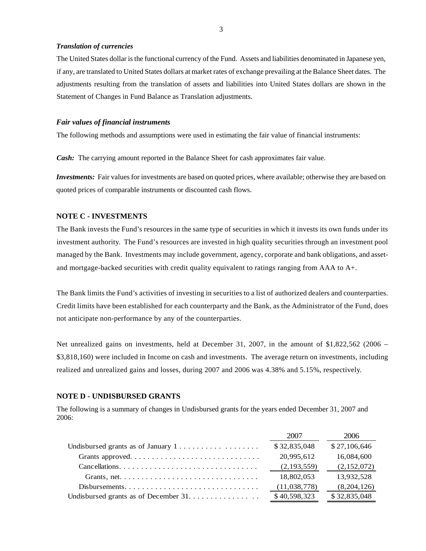#### *Translation of currencies*

The United States dollar is the functional currency of the Fund. Assets and liabilities denominated in Japanese yen, if any, are translated to United States dollars at market rates of exchange prevailing at the Balance Sheet dates. The adjustments resulting from the translation of assets and liabilities into United States dollars are shown in the Statement of Changes in Fund Balance as Translation adjustments.

### *Fair values of financial instruments*

The following methods and assumptions were used in estimating the fair value of financial instruments:

*Cash:* The carrying amount reported in the Balance Sheet for cash approximates fair value.

*Investments:* Fair values for investments are based on quoted prices, where available; otherwise they are based on quoted prices of comparable instruments or discounted cash flows.

### **NOTE C - INVESTMENTS**

The Bank invests the Fund's resources in the same type of securities in which it invests its own funds under its investment authority. The Fund's resources are invested in high quality securities through an investment pool managed by the Bank. Investments may include government, agency, corporate and bank obligations, and assetand mortgage-backed securities with credit quality equivalent to ratings ranging from AAA to A+.

The Bank limits the Fund's activities of investing in securities to a list of authorized dealers and counterparties. Credit limits have been established for each counterparty and the Bank, as the Administrator of the Fund, does not anticipate non-performance by any of the counterparties.

Net unrealized gains on investments, held at December 31, 2007, in the amount of \$1,822,562 (2006 – \$3,818,160) were included in Income on cash and investments. The average return on investments, including realized and unrealized gains and losses, during 2007 and 2006 was 4.38% and 5.15%, respectively.

### **NOTE D - UNDISBURSED GRANTS**

The following is a summary of changes in Undisbursed grants for the years ended December 31, 2007 and 2006:

|                                                                                        | 2007          | 2006         |
|----------------------------------------------------------------------------------------|---------------|--------------|
| Undisbursed grants as of January $1, \ldots, \ldots, \ldots, \ldots$                   | \$32,835,048  | \$27,106,646 |
| Grants approved                                                                        | 20,995,612    | 16,084,600   |
|                                                                                        | (2, 193, 559) | (2,152,072)  |
| Grants, net. $\dots \dots \dots \dots \dots \dots \dots \dots \dots \dots \dots \dots$ | 18,802,053    | 13,932,528   |
|                                                                                        | (11,038,778)  | (8,204,126)  |
|                                                                                        | \$40,598,323  | \$32,835,048 |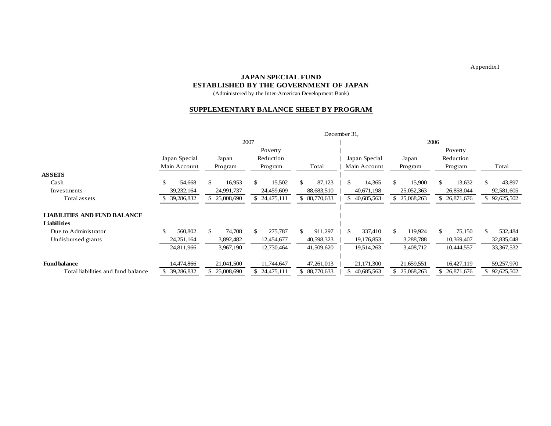Appendix I

### **JAPAN SPECIAL FUND**

### **ESTABLISHED BY THE GOVERNMENT OF JAPAN**

(Administered by the Inter-American Development Bank)

#### **SUPPLEMENTARY BALANCE SHEET BY PROGRAM**

|                                     | December 31,  |              |                          |                |                          |                |               |                |
|-------------------------------------|---------------|--------------|--------------------------|----------------|--------------------------|----------------|---------------|----------------|
|                                     | 2007          |              |                          |                | 2006                     |                |               |                |
|                                     |               |              | Poverty                  |                |                          |                | Poverty       |                |
|                                     | Japan Special | Japan        | Reduction                |                | Japan Special            | Japan          | Reduction     |                |
|                                     | Main Account  | Program      | Program                  | Total          | Main Account             | Program        | Program       | Total          |
| <b>ASSETS</b>                       |               |              |                          |                |                          |                |               |                |
| Cash                                | \$<br>54,668  | \$<br>16,953 | \$<br>15,502             | 87,123<br>\$.  | 14,365<br>\$.            | 15,900<br>\$   | \$.<br>13,632 | \$.<br>43,897  |
| Investments                         | 39, 232, 164  | 24,991,737   | 24,459,609               | 88,683,510     | 40,671,198               | 25,052,363     | 26,858,044    | 92,581,605     |
| Total assets                        | 39,286,832    | \$25,008,690 | \$24,475,111             | 88,770,633     | 40,685,563               | 25,068,263     | 26,871,676    | \$92,625,502   |
|                                     |               |              |                          |                |                          |                |               |                |
| <b>LIABILITIES AND FUND BALANCE</b> |               |              |                          |                |                          |                |               |                |
| <b>Liabilities</b>                  |               |              |                          |                |                          |                |               |                |
| Due to Administrator                | \$<br>560,802 | 74,708<br>\$ | $\mathcal{S}$<br>275,787 | \$.<br>911,297 | 337,410<br><sup>\$</sup> | 119,924<br>\$. | \$.<br>75,150 | \$.<br>532,484 |
| Undisbursed grants                  | 24, 251, 164  | 3,892,482    | 12,454,677               | 40,598,323     | 19,176,853               | 3,288,788      | 10,369,407    | 32,835,048     |
|                                     | 24,811,966    | 3,967,190    | 12,730,464               | 41,509,620     | 19,514,263               | 3,408,712      | 10,444,557    | 33, 367, 532   |
|                                     |               |              |                          |                |                          |                |               |                |
| <b>Fund balance</b>                 | 14,474,866    | 21,041,500   | 11,744,647               | 47,261,013     | 21,171,300               | 21,659,551     | 16,427,119    | 59,257,970     |
| Total liabilities and fund balance  | 39,286,832    | \$25,008,690 | \$24,475,111             | \$ 88,770,633  | 40,685,563               | 25,068,263     | 26,871,676    | \$92,625,502   |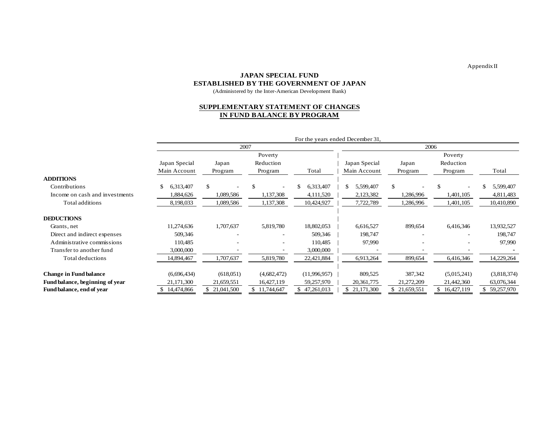Appendix II

### **JAPAN SPECIAL FUNDESTABLISHED BY THE GOVERNMENT OF JAPAN**

(Administered by the Inter-American Development Bank)

#### **SUPPLEMENTARY STATEMENT OF CHANGES IN FUND BALANCE BY PROGRAM**

|                                 |                 |                                 |               | For the years ended December 31, |               |            |              |                 |  |
|---------------------------------|-----------------|---------------------------------|---------------|----------------------------------|---------------|------------|--------------|-----------------|--|
|                                 |                 |                                 | 2007          |                                  |               | 2006       |              |                 |  |
|                                 |                 |                                 | Poverty       |                                  |               |            | Poverty      |                 |  |
|                                 | Japan Special   | Japan                           | Reduction     |                                  | Japan Special | Japan      | Reduction    |                 |  |
|                                 | Main Account    | Program                         | Program       | Total                            | Main Account  | Program    | Program      | Total           |  |
| <b>ADDITIONS</b>                |                 |                                 |               |                                  |               |            |              |                 |  |
| Contributions                   | 6,313,407<br>-S | \$.<br>$\overline{\phantom{a}}$ | $\mathcal{S}$ | 6,313,407<br>\$                  | 5,599,407     | \$         | \$.          | 5,599,407<br>£. |  |
| Income on cash and investments  | 1,884,626       | 1,089,586                       | 1,137,308     | 4,111,520                        | 2,123,382     | 1,286,996  | 1,401,105    | 4,811,483       |  |
| Total additions                 | 8,198,033       | 1,089,586                       | 1,137,308     | 10,424,927                       | 7,722,789     | 1,286,996  | 1,401,105    | 10,410,890      |  |
| <b>DEDUCTIONS</b>               |                 |                                 |               |                                  |               |            |              |                 |  |
| Grants, net                     | 11,274,636      | 1,707,637                       | 5,819,780     | 18,802,053                       | 6,616,527     | 899,654    | 6,416,346    | 13,932,527      |  |
| Direct and indirect expenses    | 509,346         |                                 |               | 509,346                          | 198,747       |            |              | 198,747         |  |
| Administrative commissions      | 110,485         |                                 |               | 110,485                          | 97,990        |            |              | 97,990          |  |
| Transfer to another fund        | 3,000,000       |                                 |               | 3,000,000                        |               |            |              |                 |  |
| Total deductions                | 14,894,467      | 1,707,637                       | 5,819,780     | 22,421,884                       | 6,913,264     | 899,654    | 6,416,346    | 14,229,264      |  |
|                                 |                 |                                 |               |                                  |               |            |              |                 |  |
| <b>Change in Fund balance</b>   | (6,696,434)     | (618,051)                       | (4,682,472)   | (11,996,957)                     | 809,525       | 387,342    | (5,015,241)  | (3,818,374)     |  |
| Fund balance, beginning of year | 21,171,300      | 21,659,551                      | 16,427,119    | 59,257,970                       | 20, 361, 775  | 21,272,209 | 21,442,360   | 63,076,344      |  |
| Fund balance, end of year       | 14,474,866      | 21,041,500                      | \$11,744,647  | 47,261,013                       | 21,171,300    | 21,659,551 | \$16,427,119 | 59,257,970      |  |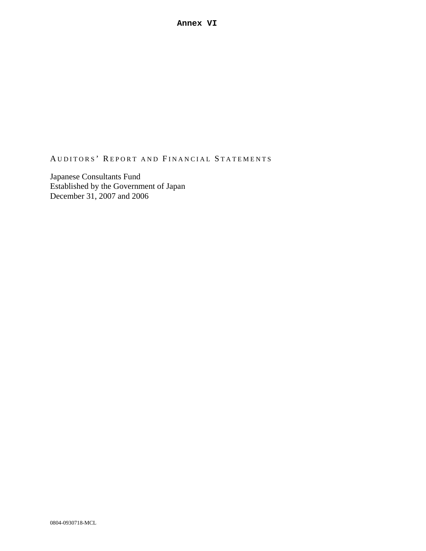# AUDITORS' REPORT AND FINANCIAL STATEMENTS

Japanese Consultants Fund Established by the Government of Japan December 31, 2007 and 2006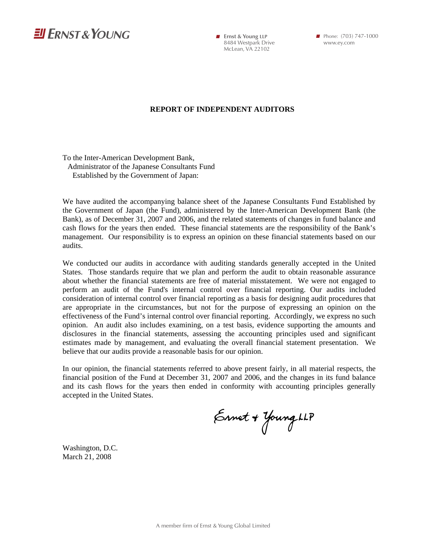

**Firmst & Young LLP** 8484 Westpark Drive McLean, VA 22102

www.ey.com

### **REPORT OF INDEPENDENT AUDITORS**

To the Inter-American Development Bank, Administrator of the Japanese Consultants Fund Established by the Government of Japan:

We have audited the accompanying balance sheet of the Japanese Consultants Fund Established by the Government of Japan (the Fund), administered by the Inter-American Development Bank (the Bank), as of December 31, 2007 and 2006, and the related statements of changes in fund balance and cash flows for the years then ended. These financial statements are the responsibility of the Bank's management. Our responsibility is to express an opinion on these financial statements based on our audits.

We conducted our audits in accordance with auditing standards generally accepted in the United States. Those standards require that we plan and perform the audit to obtain reasonable assurance about whether the financial statements are free of material misstatement. We were not engaged to perform an audit of the Fund's internal control over financial reporting. Our audits included consideration of internal control over financial reporting as a basis for designing audit procedures that are appropriate in the circumstances, but not for the purpose of expressing an opinion on the effectiveness of the Fund's internal control over financial reporting. Accordingly, we express no such opinion. An audit also includes examining, on a test basis, evidence supporting the amounts and disclosures in the financial statements, assessing the accounting principles used and significant estimates made by management, and evaluating the overall financial statement presentation. We believe that our audits provide a reasonable basis for our opinion.

In our opinion, the financial statements referred to above present fairly, in all material respects, the financial position of the Fund at December 31, 2007 and 2006, and the changes in its fund balance and its cash flows for the years then ended in conformity with accounting principles generally accepted in the United States.

Ernet + Young LLP

Washington, D.C. March 21, 2008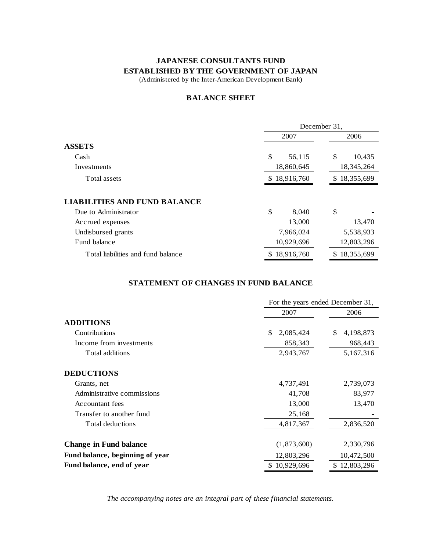## **JAPANESE CONSULTANTS FUND ESTABLISHED BY THE GOVERNMENT OF JAPAN**

(Administered by the Inter-American Development Bank)

### **BALANCE SHEET**

|                                     |              | December 31, |              |            |  |
|-------------------------------------|--------------|--------------|--------------|------------|--|
|                                     |              | 2007         | 2006         |            |  |
| <b>ASSETS</b>                       |              |              |              |            |  |
| Cash                                | \$           | 56,115       | \$           | 10,435     |  |
| Investments                         |              | 18,860,645   | 18, 345, 264 |            |  |
| Total assets                        | \$18,916,760 | \$18,355,699 |              |            |  |
| <b>LIABILITIES AND FUND BALANCE</b> |              |              |              |            |  |
| Due to Administrator                | \$           | 8,040        | \$           |            |  |
| Accrued expenses                    |              | 13,000       |              | 13,470     |  |
| Undisbursed grants                  |              | 7,966,024    |              | 5,538,933  |  |
| Fund balance                        |              | 10,929,696   |              | 12,803,296 |  |
| Total liabilities and fund balance  |              | \$18,916,760 | S.           | 18,355,699 |  |

### **STATEMENT OF CHANGES IN FUND BALANCE**

|                                 |                 | For the years ended December 31, |  |  |  |
|---------------------------------|-----------------|----------------------------------|--|--|--|
|                                 | 2007            | 2006                             |  |  |  |
| <b>ADDITIONS</b>                |                 |                                  |  |  |  |
| Contributions                   | \$<br>2,085,424 | \$<br>4,198,873                  |  |  |  |
| Income from investments         | 858,343         | 968,443                          |  |  |  |
| Total additions                 | 2,943,767       | 5,167,316                        |  |  |  |
| <b>DEDUCTIONS</b>               |                 |                                  |  |  |  |
| Grants, net                     | 4,737,491       | 2,739,073                        |  |  |  |
| Administrative commissions      | 41,708          | 83,977                           |  |  |  |
| Accountant fees                 | 13,000          | 13,470                           |  |  |  |
| Transfer to another fund        | 25,168          |                                  |  |  |  |
| Total deductions                | 4,817,367       | 2,836,520                        |  |  |  |
| <b>Change in Fund balance</b>   | (1,873,600)     | 2,330,796                        |  |  |  |
| Fund balance, beginning of year | 12,803,296      | 10,472,500                       |  |  |  |
| Fund balance, end of year       | \$10,929,696    | \$12,803,296                     |  |  |  |

*The accompanying notes are an integral part of these financial statements.*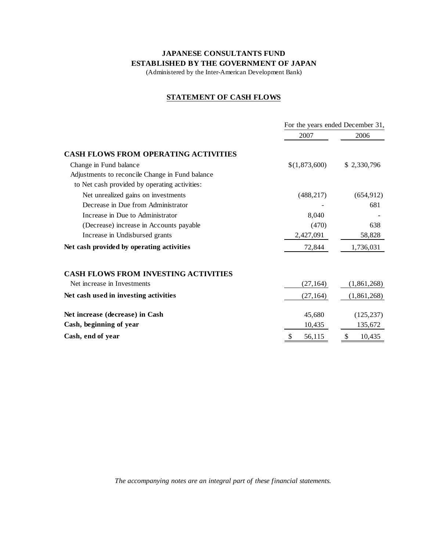## **JAPANESE CONSULTANTS FUND ESTABLISHED BY THE GOVERNMENT OF JAPAN**

(Administered by the Inter-American Development Bank)

## **STATEMENT OF CASH FLOWS**

|                                                 |               | For the years ended December 31, |  |  |
|-------------------------------------------------|---------------|----------------------------------|--|--|
|                                                 | 2007          | 2006                             |  |  |
| <b>CASH FLOWS FROM OPERATING ACTIVITIES</b>     |               |                                  |  |  |
| Change in Fund balance                          | \$(1,873,600) | \$2,330,796                      |  |  |
| Adjustments to reconcile Change in Fund balance |               |                                  |  |  |
| to Net cash provided by operating activities:   |               |                                  |  |  |
| Net unrealized gains on investments             | (488, 217)    | (654, 912)                       |  |  |
| Decrease in Due from Administrator              |               | 681                              |  |  |
| Increase in Due to Administrator                | 8,040         |                                  |  |  |
| (Decrease) increase in Accounts payable         | (470)         | 638                              |  |  |
| Increase in Undisbursed grants                  | 2,427,091     | 58,828                           |  |  |
| Net cash provided by operating activities       | 72,844        | 1,736,031                        |  |  |
| <b>CASH FLOWS FROM INVESTING ACTIVITIES</b>     |               |                                  |  |  |
| Net increase in Investments                     | (27, 164)     | (1,861,268)                      |  |  |
| Net cash used in investing activities           | (27, 164)     | (1,861,268)                      |  |  |
| Net increase (decrease) in Cash                 | 45,680        | (125, 237)                       |  |  |
| Cash, beginning of year                         | 10,435        | 135,672                          |  |  |
| Cash, end of year                               | 56,115<br>\$  | 10,435<br>\$                     |  |  |

*The accompanying notes are an integral part of these financial statements.*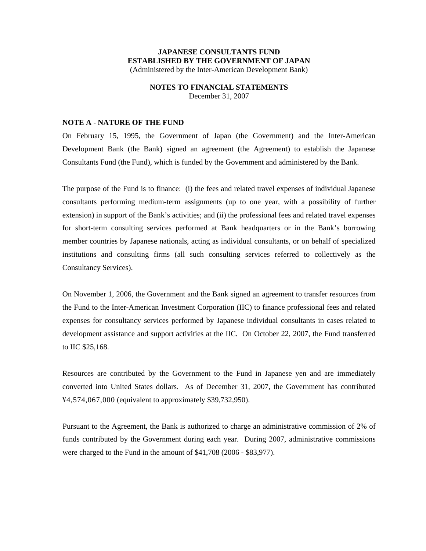### **JAPANESE CONSULTANTS FUND ESTABLISHED BY THE GOVERNMENT OF JAPAN**  (Administered by the Inter-American Development Bank)

# **NOTES TO FINANCIAL STATEMENTS**

December 31, 2007

### **NOTE A - NATURE OF THE FUND**

On February 15, 1995, the Government of Japan (the Government) and the Inter-American Development Bank (the Bank) signed an agreement (the Agreement) to establish the Japanese Consultants Fund (the Fund), which is funded by the Government and administered by the Bank.

The purpose of the Fund is to finance: (i) the fees and related travel expenses of individual Japanese consultants performing medium-term assignments (up to one year, with a possibility of further extension) in support of the Bank's activities; and (ii) the professional fees and related travel expenses for short-term consulting services performed at Bank headquarters or in the Bank's borrowing member countries by Japanese nationals, acting as individual consultants, or on behalf of specialized institutions and consulting firms (all such consulting services referred to collectively as the Consultancy Services).

On November 1, 2006, the Government and the Bank signed an agreement to transfer resources from the Fund to the Inter-American Investment Corporation (IIC) to finance professional fees and related expenses for consultancy services performed by Japanese individual consultants in cases related to development assistance and support activities at the IIC. On October 22, 2007, the Fund transferred to IIC \$25,168.

Resources are contributed by the Government to the Fund in Japanese yen and are immediately converted into United States dollars. As of December 31, 2007, the Government has contributed ¥4,574,067,000 (equivalent to approximately \$39,732,950).

Pursuant to the Agreement, the Bank is authorized to charge an administrative commission of 2% of funds contributed by the Government during each year. During 2007, administrative commissions were charged to the Fund in the amount of \$41,708 (2006 - \$83,977).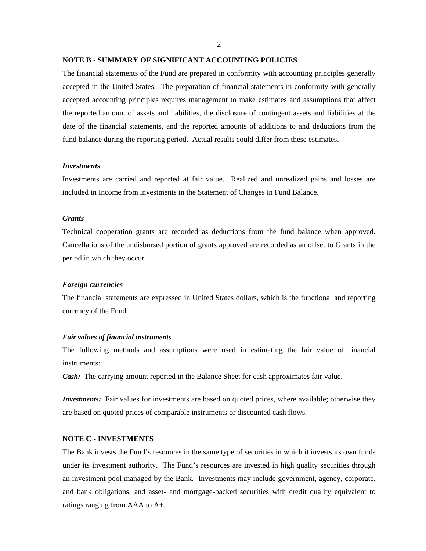$\mathcal{L}$ 

#### **NOTE B - SUMMARY OF SIGNIFICANT ACCOUNTING POLICIES**

The financial statements of the Fund are prepared in conformity with accounting principles generally accepted in the United States. The preparation of financial statements in conformity with generally accepted accounting principles requires management to make estimates and assumptions that affect the reported amount of assets and liabilities, the disclosure of contingent assets and liabilities at the date of the financial statements, and the reported amounts of additions to and deductions from the fund balance during the reporting period. Actual results could differ from these estimates.

#### *Investments*

Investments are carried and reported at fair value. Realized and unrealized gains and losses are included in Income from investments in the Statement of Changes in Fund Balance.

#### *Grants*

Technical cooperation grants are recorded as deductions from the fund balance when approved. Cancellations of the undisbursed portion of grants approved are recorded as an offset to Grants in the period in which they occur.

#### *Foreign currencies*

The financial statements are expressed in United States dollars, which is the functional and reporting currency of the Fund.

#### *Fair values of financial instruments*

The following methods and assumptions were used in estimating the fair value of financial instruments:

*Cash:* The carrying amount reported in the Balance Sheet for cash approximates fair value.

*Investments:* Fair values for investments are based on quoted prices, where available; otherwise they are based on quoted prices of comparable instruments or discounted cash flows.

### **NOTE C - INVESTMENTS**

The Bank invests the Fund's resources in the same type of securities in which it invests its own funds under its investment authority. The Fund's resources are invested in high quality securities through an investment pool managed by the Bank. Investments may include government, agency, corporate, and bank obligations, and asset- and mortgage-backed securities with credit quality equivalent to ratings ranging from AAA to A+.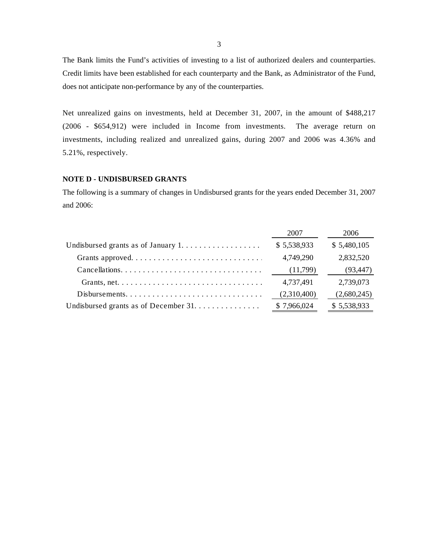The Bank limits the Fund's activities of investing to a list of authorized dealers and counterparties. Credit limits have been established for each counterparty and the Bank, as Administrator of the Fund, does not anticipate non-performance by any of the counterparties.

Net unrealized gains on investments, held at December 31, 2007, in the amount of \$488,217 (2006 - \$654,912) were included in Income from investments. The average return on investments, including realized and unrealized gains, during 2007 and 2006 was 4.36% and 5.21%, respectively.

### **NOTE D - UNDISBURSED GRANTS**

The following is a summary of changes in Undisbursed grants for the years ended December 31, 2007 and 2006:

|                                                                                        | 2007        | 2006        |
|----------------------------------------------------------------------------------------|-------------|-------------|
| Undisbursed grants as of January $1, \ldots, \ldots, \ldots, \ldots$                   | \$5,538,933 | \$5,480,105 |
|                                                                                        | 4,749,290   | 2,832,520   |
|                                                                                        | (11,799)    | (93, 447)   |
| Grants, net. $\dots \dots \dots \dots \dots \dots \dots \dots \dots \dots \dots \dots$ | 4,737,491   | 2,739,073   |
| Disbursements                                                                          | (2,310,400) | (2,680,245) |
|                                                                                        | \$7,966,024 | \$5,538,933 |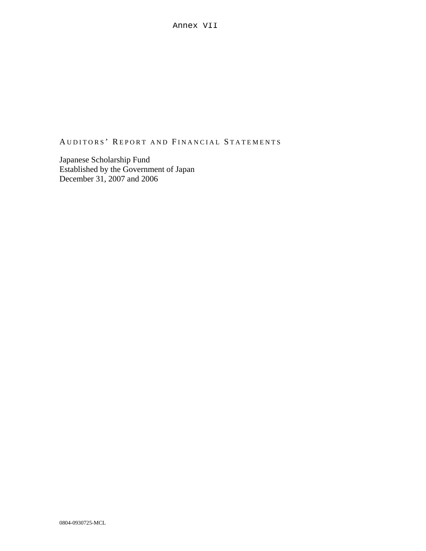## AUDITORS' REPORT AND FINANCIAL STATEMENTS

Japanese Scholarship Fund Established by the Government of Japan December 31, 2007 and 2006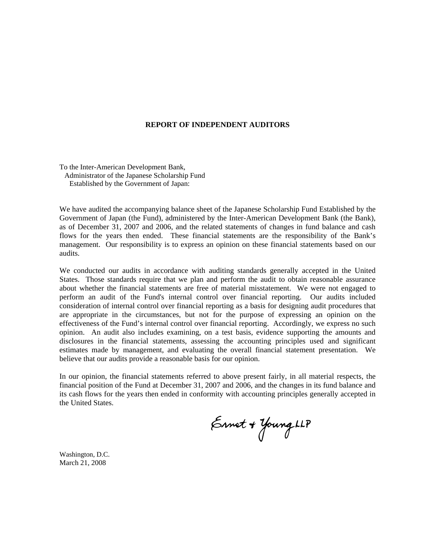#### **REPORT OF INDEPENDENT AUDITORS**

To the Inter-American Development Bank, Administrator of the Japanese Scholarship Fund Established by the Government of Japan:

We have audited the accompanying balance sheet of the Japanese Scholarship Fund Established by the Government of Japan (the Fund), administered by the Inter-American Development Bank (the Bank), as of December 31, 2007 and 2006, and the related statements of changes in fund balance and cash flows for the years then ended. These financial statements are the responsibility of the Bank's management. Our responsibility is to express an opinion on these financial statements based on our audits.

We conducted our audits in accordance with auditing standards generally accepted in the United States. Those standards require that we plan and perform the audit to obtain reasonable assurance about whether the financial statements are free of material misstatement. We were not engaged to perform an audit of the Fund's internal control over financial reporting. Our audits included consideration of internal control over financial reporting as a basis for designing audit procedures that are appropriate in the circumstances, but not for the purpose of expressing an opinion on the effectiveness of the Fund's internal control over financial reporting. Accordingly, we express no such opinion. An audit also includes examining, on a test basis, evidence supporting the amounts and disclosures in the financial statements, assessing the accounting principles used and significant estimates made by management, and evaluating the overall financial statement presentation. We believe that our audits provide a reasonable basis for our opinion.

In our opinion, the financial statements referred to above present fairly, in all material respects, the financial position of the Fund at December 31, 2007 and 2006, and the changes in its fund balance and its cash flows for the years then ended in conformity with accounting principles generally accepted in the United States.

Ernet + Young LLP

Washington, D.C. March 21, 2008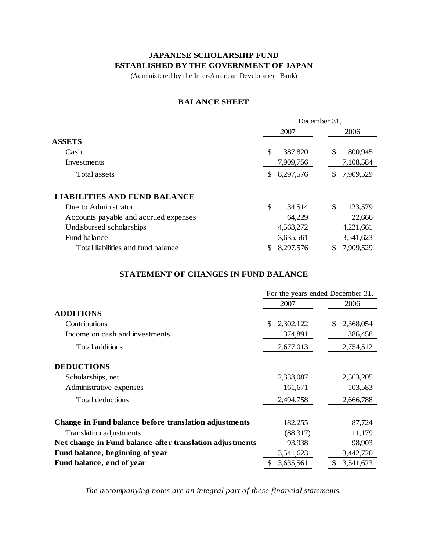## **JAPANESE SCHOLARSHIP FUND ESTABLISHED BY THE GOVERNMENT OF JAPAN**

(Administered by the Inter-American Development Bank)

### **BALANCE SHEET**

|                                       | December 31,  |                |  |  |
|---------------------------------------|---------------|----------------|--|--|
|                                       | 2007          | 2006           |  |  |
| <b>ASSETS</b>                         |               |                |  |  |
| Cash                                  | \$<br>387,820 | \$<br>800,945  |  |  |
| Investments                           | 7,909,756     | 7,108,584      |  |  |
| Total assets                          | 8,297,576     | 7,909,529<br>S |  |  |
| <b>LIABILITIES AND FUND BALANCE</b>   |               |                |  |  |
| Due to Administrator                  | \$<br>34,514  | \$<br>123,579  |  |  |
| Accounts payable and accrued expenses | 64,229        | 22,666         |  |  |
| Undisbursed scholarships              | 4,563,272     | 4,221,661      |  |  |
| Fund balance                          | 3,635,561     | 3,541,623      |  |  |
| Total liabilities and fund balance    | 8,297,576     | 7,909,529<br>S |  |  |

## **STATEMENT OF CHANGES IN FUND BALANCE**

|                                                          | For the years ended December 31, |                 |  |  |
|----------------------------------------------------------|----------------------------------|-----------------|--|--|
|                                                          | 2007                             | 2006            |  |  |
| <b>ADDITIONS</b>                                         |                                  |                 |  |  |
| Contributions                                            | \$<br>2,302,122                  | 2,368,054<br>\$ |  |  |
| Income on cash and investments                           | 374,891                          | 386,458         |  |  |
| Total additions                                          | 2,677,013                        | 2,754,512       |  |  |
| <b>DEDUCTIONS</b>                                        |                                  |                 |  |  |
| Scholarships, net                                        | 2,333,087                        | 2,563,205       |  |  |
| Administrative expenses                                  | 161,671                          | 103,583         |  |  |
| Total deductions                                         | 2,494,758                        | 2,666,788       |  |  |
| Change in Fund balance before translation adjustments    | 182,255                          | 87,724          |  |  |
| Translation adjustments                                  | (88,317)                         | 11,179          |  |  |
| Net change in Fund balance after translation adjustments | 93,938                           | 98,903          |  |  |
| Fund balance, beginning of year                          | 3,541,623                        | 3,442,720       |  |  |
| Fund balance, end of year                                | 3,635,561                        | 3,541,623       |  |  |

*The accompanying notes are an integral part of these financial statements.*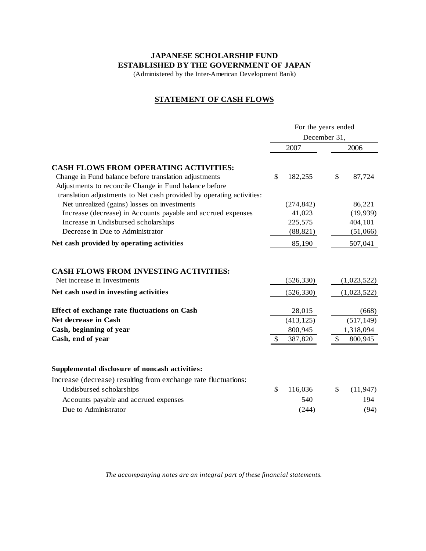## **JAPANESE SCHOLARSHIP FUND ESTABLISHED BY THE GOVERNMENT OF JAPAN**

(Administered by the Inter-American Development Bank)

### **STATEMENT OF CASH FLOWS**

|                                                                       | For the years ended |    |             |  |
|-----------------------------------------------------------------------|---------------------|----|-------------|--|
|                                                                       | December 31,        |    |             |  |
|                                                                       | 2007                |    | 2006        |  |
| <b>CASH FLOWS FROM OPERATING ACTIVITIES:</b>                          |                     |    |             |  |
| Change in Fund balance before translation adjustments                 | \$<br>182,255       | \$ | 87,724      |  |
| Adjustments to reconcile Change in Fund balance before                |                     |    |             |  |
| translation adjustments to Net cash provided by operating activities: |                     |    |             |  |
| Net unrealized (gains) losses on investments                          | (274, 842)          |    | 86,221      |  |
| Increase (decrease) in Accounts payable and accrued expenses          | 41,023              |    | (19,939)    |  |
| Increase in Undisbursed scholarships                                  | 225,575             |    | 404,101     |  |
| Decrease in Due to Administrator                                      | (88, 821)           |    | (51,066)    |  |
| Net cash provided by operating activities                             | 85,190              |    | 507,041     |  |
| <b>CASH FLOWS FROM INVESTING ACTIVITIES:</b>                          |                     |    |             |  |
| Net increase in Investments                                           | (526, 330)          |    | (1,023,522) |  |
| Net cash used in investing activities                                 | (526, 330)          |    | (1,023,522) |  |
| <b>Effect of exchange rate fluctuations on Cash</b>                   | 28,015              |    | (668)       |  |
| Net decrease in Cash                                                  | (413, 125)          |    | (517, 149)  |  |
| Cash, beginning of year                                               | 800,945             |    | 1,318,094   |  |
| Cash, end of year                                                     | \$<br>387,820       | \$ | 800,945     |  |
| Supplemental disclosure of noncash activities:                        |                     |    |             |  |
| Increase (decrease) resulting from exchange rate fluctuations:        |                     |    |             |  |
| Undisbursed scholarships                                              | \$<br>116,036       | \$ | (11, 947)   |  |
| Accounts payable and accrued expenses                                 | 540                 |    | 194         |  |
| Due to Administrator                                                  | (244)               |    | (94)        |  |
|                                                                       |                     |    |             |  |

*The accompanying notes are an integral part of these financial statements.*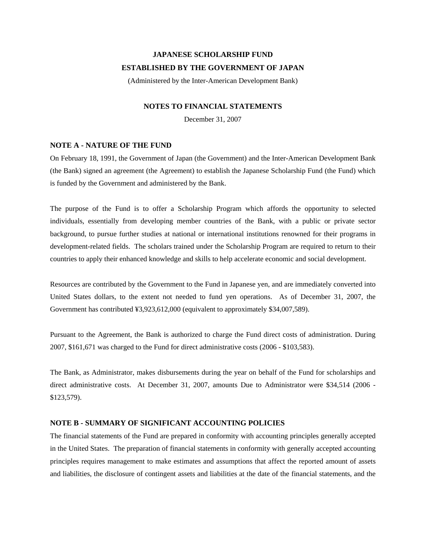# **JAPANESE SCHOLARSHIP FUND ESTABLISHED BY THE GOVERNMENT OF JAPAN**

(Administered by the Inter-American Development Bank)

### **NOTES TO FINANCIAL STATEMENTS**

December 31, 2007

### **NOTE A - NATURE OF THE FUND**

On February 18, 1991, the Government of Japan (the Government) and the Inter-American Development Bank (the Bank) signed an agreement (the Agreement) to establish the Japanese Scholarship Fund (the Fund) which is funded by the Government and administered by the Bank.

The purpose of the Fund is to offer a Scholarship Program which affords the opportunity to selected individuals, essentially from developing member countries of the Bank, with a public or private sector background, to pursue further studies at national or international institutions renowned for their programs in development-related fields. The scholars trained under the Scholarship Program are required to return to their countries to apply their enhanced knowledge and skills to help accelerate economic and social development.

Resources are contributed by the Government to the Fund in Japanese yen, and are immediately converted into United States dollars, to the extent not needed to fund yen operations. As of December 31, 2007, the Government has contributed ¥3,923,612,000 (equivalent to approximately \$34,007,589).

Pursuant to the Agreement, the Bank is authorized to charge the Fund direct costs of administration. During 2007, \$161,671 was charged to the Fund for direct administrative costs (2006 - \$103,583).

The Bank, as Administrator, makes disbursements during the year on behalf of the Fund for scholarships and direct administrative costs. At December 31, 2007, amounts Due to Administrator were \$34,514 (2006 - \$123,579).

### **NOTE B - SUMMARY OF SIGNIFICANT ACCOUNTING POLICIES**

The financial statements of the Fund are prepared in conformity with accounting principles generally accepted in the United States. The preparation of financial statements in conformity with generally accepted accounting principles requires management to make estimates and assumptions that affect the reported amount of assets and liabilities, the disclosure of contingent assets and liabilities at the date of the financial statements, and the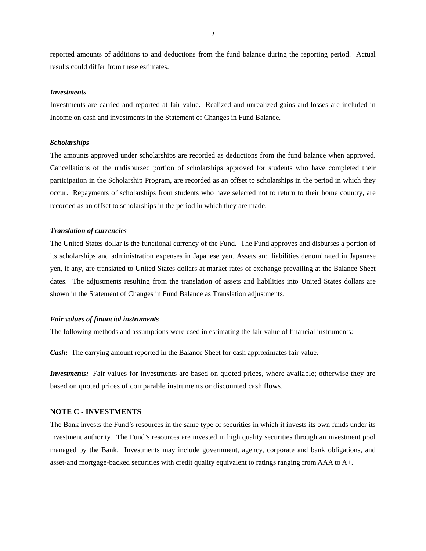reported amounts of additions to and deductions from the fund balance during the reporting period. Actual results could differ from these estimates.

#### *Investments*

Investments are carried and reported at fair value. Realized and unrealized gains and losses are included in Income on cash and investments in the Statement of Changes in Fund Balance.

#### *Scholarships*

The amounts approved under scholarships are recorded as deductions from the fund balance when approved. Cancellations of the undisbursed portion of scholarships approved for students who have completed their participation in the Scholarship Program, are recorded as an offset to scholarships in the period in which they occur. Repayments of scholarships from students who have selected not to return to their home country, are recorded as an offset to scholarships in the period in which they are made.

### *Translation of currencies*

The United States dollar is the functional currency of the Fund. The Fund approves and disburses a portion of its scholarships and administration expenses in Japanese yen. Assets and liabilities denominated in Japanese yen, if any, are translated to United States dollars at market rates of exchange prevailing at the Balance Sheet dates. The adjustments resulting from the translation of assets and liabilities into United States dollars are shown in the Statement of Changes in Fund Balance as Translation adjustments.

#### *Fair values of financial instruments*

The following methods and assumptions were used in estimating the fair value of financial instruments:

*Cash***:** The carrying amount reported in the Balance Sheet for cash approximates fair value.

*Investments:* Fair values for investments are based on quoted prices, where available; otherwise they are based on quoted prices of comparable instruments or discounted cash flows.

#### **NOTE C - INVESTMENTS**

The Bank invests the Fund's resources in the same type of securities in which it invests its own funds under its investment authority. The Fund's resources are invested in high quality securities through an investment pool managed by the Bank. Investments may include government, agency, corporate and bank obligations, and asset-and mortgage-backed securities with credit quality equivalent to ratings ranging from AAA to A+.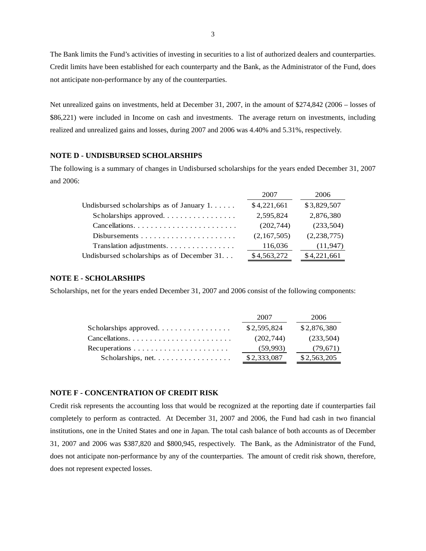The Bank limits the Fund's activities of investing in securities to a list of authorized dealers and counterparties. Credit limits have been established for each counterparty and the Bank, as the Administrator of the Fund, does not anticipate non-performance by any of the counterparties.

Net unrealized gains on investments, held at December 31, 2007, in the amount of \$274,842 (2006 – losses of \$86,221) were included in Income on cash and investments. The average return on investments, including realized and unrealized gains and losses, during 2007 and 2006 was 4.40% and 5.31%, respectively.

#### **NOTE D - UNDISBURSED SCHOLARSHIPS**

The following is a summary of changes in Undisbursed scholarships for the years ended December 31, 2007 and 2006:

|                                                      | 2007        | 2006          |
|------------------------------------------------------|-------------|---------------|
| Undisbursed scholarships as of January $1, \ldots$ . | \$4,221,661 | \$3,829,507   |
| Scholarships approved                                | 2,595,824   | 2,876,380     |
|                                                      | (202, 744)  | (233,504)     |
|                                                      | (2,167,505) | (2, 238, 775) |
| Translation adjustments.                             | 116,036     | (11, 947)     |
| Undisbursed scholarships as of December 31           | \$4,563,272 | \$4,221,661   |

#### **NOTE E - SCHOLARSHIPS**

Scholarships, net for the years ended December 31, 2007 and 2006 consist of the following components:

|                                                                   | 2007        | 2006        |
|-------------------------------------------------------------------|-------------|-------------|
|                                                                   | \$2,595,824 | \$2,876,380 |
| $Cancellations. \ldots \ldots \ldots \ldots \ldots \ldots \ldots$ | (202.744)   | (233,504)   |
|                                                                   | (59, 993)   | (79, 671)   |
|                                                                   | \$2,333,087 | \$2,563,205 |

#### **NOTE F - CONCENTRATION OF CREDIT RISK**

Credit risk represents the accounting loss that would be recognized at the reporting date if counterparties fail completely to perform as contracted. At December 31, 2007 and 2006, the Fund had cash in two financial institutions, one in the United States and one in Japan. The total cash balance of both accounts as of December 31, 2007 and 2006 was \$387,820 and \$800,945, respectively. The Bank, as the Administrator of the Fund, does not anticipate non-performance by any of the counterparties. The amount of credit risk shown, therefore, does not represent expected losses.